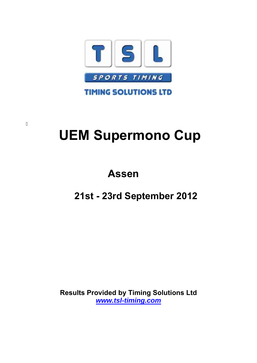

## **Assen**

## **21st - 23rd September 2012**

**Results Provided by Timing Solutions Ltd**  *www.tsl-timing.com*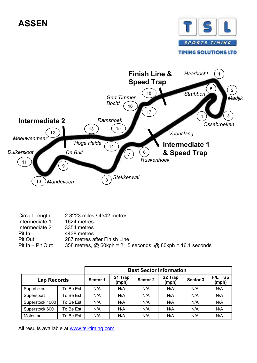## **ASSEN**





| Circuit Length:   | 2.8223 miles / 4542 metres                                               |
|-------------------|--------------------------------------------------------------------------|
| Intermediate 1:   | 1624 metres                                                              |
| Intermediate 2:   | 3354 metres                                                              |
| Pit In:           | 4438 metres                                                              |
| Pit Out:          | 287 metres after Finish Line                                             |
| Pit In - Pit Out: | 358 metres, $\omega$ 60kph = 21.5 seconds, $\omega$ 80kph = 16.1 seconds |

|                 |            | <b>Best Sector Information</b> |                  |          |                              |          |                   |  |  |  |
|-----------------|------------|--------------------------------|------------------|----------|------------------------------|----------|-------------------|--|--|--|
| Lap Records     |            | Sector 1                       | S1 Trap<br>(mph) | Sector 2 | S <sub>2</sub> Trap<br>(mph) | Sector 3 | F/L Trap<br>(mph) |  |  |  |
| Superbikes      | To Be Est. | N/A                            | N/A              | N/A      | N/A                          | N/A      | N/A               |  |  |  |
| Supersport      | To Be Est. | N/A                            | N/A              | N/A      | N/A                          | N/A      | N/A               |  |  |  |
| Superstock 1000 | To Be Est. | N/A                            | N/A              | N/A      | N/A                          | N/A      | N/A               |  |  |  |
| Superstock 600  | To Be Est. | N/A                            | N/A              | N/A      | N/A                          | N/A      | N/A               |  |  |  |
| Motostar        | To Be Est. | N/A                            | N/A              | N/A      | N/A                          | N/A      | N/A               |  |  |  |

All results available at www.tsl-timing.com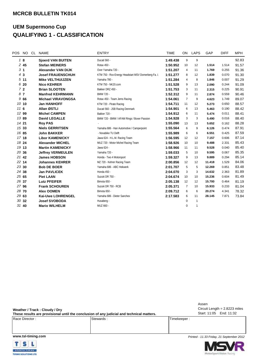## **UEM Supermono Cup QUALIFYING 1 - CLASSIFICATION**

| <b>POS</b> | <b>NO</b>      | CL NAME                   | <b>ENTRY</b>                                       | <b>TIME</b> | ON             | <b>LAPS</b>  | GAP    | <b>DIFF</b> | <b>MPH</b> |
|------------|----------------|---------------------------|----------------------------------------------------|-------------|----------------|--------------|--------|-------------|------------|
|            | 18             | <b>Sjoerd VAN BUITEN</b>  | Ducati 560 -                                       | 1:49.438    | 9              | 9            |        |             | 92.83      |
|            | 245            | <b>Stefan MEINERS</b>     | Rotax 450 -                                        | 1:50.952    | 10             | 12           | 1.514  | 1.514       | 91.57      |
|            | 3 <sub>1</sub> | <b>Alexander VAN DIJK</b> | Over Yamaha 720 -                                  | 1:51.207    | $\overline{4}$ | 11           | 1.769  | 0.255       | 91.36      |
|            | 43             | <b>Josef FRAUENSCHUH</b>  | KTM 750 - Rox-Energy Headstart MSV Domerberg Fa. L | 1:51.277    | 8              | 12           | 1.839  | 0.070       | 91.30      |
|            | 511            | <b>Mike VELTHUIJZEN</b>   | Yamaha 780 -                                       | 1:51.284    | 4              | 8            | 1.846  | 0.007       | 91.29      |
|            | 6 20           | <b>Nico KEHRER</b>        | KTM 750 - NK20.com                                 | 1:51.528    | 9              | 13           | 2.090  | 0.244       | 91.09      |
|            | 72             | <b>Brian SLOOTEN</b>      | Bakker DRZ 450 -                                   | 1:51.753    | 3              | 11           | 2.315  | 0.225       | 90.91      |
|            | 87             | <b>Manfred KEHRMANN</b>   | BMW 720 -                                          | 1:52.312    | 9              | 11           | 2.874  | 0.559       | 90.46      |
|            | 966            | <b>Michael VIRAVONGSA</b> | Rotax 450 - Team Jems Racing                       | 1:54.061    | $\overline{7}$ | 9            | 4.623  | 1.749       | 89.07      |
|            | 1010           | <b>Jan HANHOFF</b>        | KTM 720 - Pirate Racing                            | 1:54.711    | 11             | 12           | 5.273  | 0.650       | 88.57      |
| 116        |                | Allan ØSTLI               | Ducati 560 - JSB Racing Denmark                    | 1:54.901    | 6              | 13           | 5.463  | 0.190       | 88.42      |
|            | 12 99          | <b>Michel CAMPEN</b>      | Bakker 720 -                                       | 1:54.912    | 6              | 11           | 5.474  | 0.011       | 88.41      |
|            | 13 89          | <b>David LEGALLE</b>      | BMW 720 - BMW / AFAM Rings / Boxer Passion         | 1:54.928    | 3              | 3            | 5.490  | 0.016       | 88.40      |
|            | 14 21          | <b>Roy PAS</b>            |                                                    | 1:55.090    | 13             | 13           | 5.652  | 0.162       | 88.28      |
|            | 15 33          | <b>Niels GERRITSEN</b>    | Yamaha 686 - Han Automotive / Camperpoint          | 1:55.564    | 6              | 9            | 6.126  | 0.474       | 87.91      |
|            | 16 85          | <b>John BAKKER</b>        | - Novabike TU Delft                                | 1:55.989    | 6              | 6            | 6.551  | 0.425       | 87.59      |
|            | 17 18          | <b>Libor KAMENICKY</b>    | Jawa 624 - H.L.M. Racing Team                      | 1:56.595    | 12             | 12           | 7.157  | 0.606       | 87.14      |
|            | 18 24          | <b>Alexander MICHEL</b>   | MUZ 720 - Motor Michel Racing Team                 | 1:58.926    | 10             | 10           | 9.488  | 2.331       | 85.43      |
|            | 19 13          | <b>Martin KAMENICKY</b>   | Jawa 624 -                                         | 1:58.966    | 11             | 11           | 9.528  | 0.040       | 85.40      |
|            | 20 36          | <b>Jeffrey VERMEULEN</b>  | Yamaha 720 -                                       | 1:59.033    | 5              | 10           | 9.595  | 0.067       | 85.35      |
|            | 2142           | <b>James HOBSON</b>       | Honda - Two 4 Motorsport                           | 1:59.327    | 9              | 13           | 9.889  | 0.294       | 85.14      |
|            | 22 14          | <b>Johannes KEHRER</b>    | MZ 720 - Kehrer Racing Team                        | 2:00.856    | 12             | 12           | 11.418 | 1.529       | 84.06      |
|            | 23 30          | <b>Bob DE BOER</b>        | Yamaha 686 - ABC Hekwerk                           | 2:01.707    | 5              | 5            | 12.269 | 0.851       | 83.48      |
|            | 24 38          | <b>Jan PAVLICEK</b>       | Honda 450 -                                        | 2:04.070    | 3              | 3            | 14.632 | 2.363       | 81.89      |
|            | 25 65          | <b>Piet LAAN</b>          | Suzuki DR 750 -                                    | 2:04.674    | 10             | 10           | 15.236 | 0.604       | 81.49      |
|            | 26 37          | <b>Lutz PFEIFER</b>       | Bimota 650 -                                       | 2:05.138    | 12             | 12           | 15.700 | 0.464       | 81.19      |
|            | 27 96          | <b>Frank SCHOUREN</b>     | Suzuki DR 750 - RCB                                | 2:05.371    | 7              | 10           | 15.933 | 0.233       | 81.04      |
|            | 28 70          | <b>Alex OOMEN</b>         | Bimota 650 -                                       | 2:09.712    | 6              | 6            | 20.274 | 4.341       | 78.32      |
|            | 29 63          | Kai-Uwe LOHRENGEL         | Yamaha 686 - Dieter Sanchex                        | 2:17.583    | 6              | 11           | 28.145 | 7.871       | 73.84      |
|            | 30 32          | <b>Josef SVOBODA</b>      | Husaberg -                                         |             | 0              | $\mathbf{1}$ |        |             |            |
|            | 31 40          | <b>Mario WILHELM</b>      | MUZ 660 -                                          |             | 0              | $\mathbf{1}$ |        |             |            |
|            |                |                           |                                                    |             |                |              |        |             |            |

| Weather / Track: Cloudy / Dry<br>These results are provisional until the conclusion of any judicial and technical matters. | Assen<br>Start: 11:05 End: 11:32 | Circuit Length $= 2.8223$ miles |  |  |
|----------------------------------------------------------------------------------------------------------------------------|----------------------------------|---------------------------------|--|--|
| Race Director :                                                                                                            | Stewards:                        | Timekeeper:                     |  |  |



**www.tsl-timing.com** *Printed - 11.33 Friday, 21 September 2012*

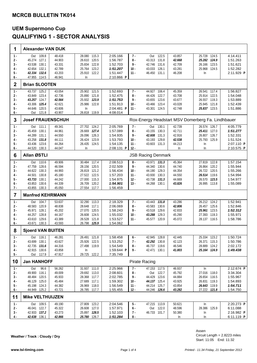#### **1 Alexander VAN DIJK 1** 0ut 109.8 48.418 28.080 115.3 2:05.166<br>**2** 45.274 1271 44.903 26.610 120.5 1:56.787 **2 -** 45.274 127.1 44.903 26.610 120.5 1:56.787<br> **3 -** 43.538 130.1 43.331 25.834 122.8 1:52.703 **3** - 43.538 130.1 43.331 25.834 122.8 1:52.703<br>**4** - 42.654 132.1 42.789 25.764 123.2 1**:51.207 4 -** 42.654 132.1 42.789 25.764 123.2 *1:51.207* **5 -** *42.334 132.6* 43.203 25.910 122.2 1:51.447 **6** - 47.955 114.5 46.941 In **7** - Out 122.5 43.857 25.728 124.5 4:14.411<br>**8** 43.313 131.8 42.668 25.728 124.9 1:51.263 **8 -** 43.313 131.8 *42.668 25.282 124.9* 1:51.263 **9** - 42.746 131.6 42.709 26.166 123.5 1:51.621<br>**10** - 43.033 126.1 43.281 25.968 124.5 1:52.282 **10 -** 43.033 126.1 43.281 25.968 124.5<br>**11 -** 46.450 131.1 46.208 ln **1n 1** 2:11.929 **P 2 Brian SLOOTEN 1** 43.737 125.2 43.054 25.902 121.5 1:52.693 **2** - 43.849 123.4 | 42.736 | 25.890 121.8 | 1:52.475 **3 -** *43.257* 124.7 *42.564* 25.932 *123.9 1:51.753* **4** - 43.306 **125.4 42.621 25.986 122.8 1:51.913**<br>**5** - 44.646 120.5 **43.606 10 10 2:04.481 5 -** 44.646 120.5 43.606 In 2:04.481 **P 6 -** Out 121.8 43.907 26.818 119.9 **7 -** 44.927 106.4 45.359 26.541 117.4 1:56.827 **8 -** 44.426 122.7 | 43.708 | 25.914 122.5 | 1:54.048 **9 -** 43.655 123.6 43.677 | 26.557 119.3 | 1:53.889 **10 -** 43.466 123.4 | 43.028 | 25.945 121.8 | 1:52.439 **11 -** 43.301 124.5 42.748 *25.837* 123.5 1:51.886 **3** Josef FRAUENSCHUH Rox-Energy Headstart MSV Domerberg Fa. Lindhbauer **1 -** Out 111.1 49.341 27.702 124.2 2:05.769 **2** - 45.459 130.1 44.961 26.669 **127.4** 1:57.089<br>**3** - 44.289 131.1 44.550 26.096 126.3 1:54.935 44.289 131.1 44.550 26.096 126.3 1:54.935<br>43.258 **131.8** 44.111 26.424 123.9 1:53.793 **4** - 43.258 **131.8** 44.111 26.424 123.9 1:53.793<br>**5** - 43.436 123.6 44.264 26.435 124.5 1:54.135 44.264 **26.435 124.5** 1:54.135<br>44.047 **10** 2:08.131 **P 6** - 44.520 130.3 44.047 ln **7** - Out 130.1 42.739 26.574 126.7 4:05.779<br>**8** - 43.155 130.3 42.711 2*75.471* 127.0 1:51.277 **8** - 43.155 130.3 42.711 **25.411** 127.0 **1:51.277**<br>**9 - 42.608 131.3 42.916 26.807 126.7 1:52.331 9 - 42.608** 131.3 42.916 26.807 126.7 126.7 1:52.331<br>**10 -** 43.193 129.8 **42.538** 25.793 125.9 1:51.524 **10 -** 43.193 129.8 **42.538** 25.793 125.9 1:51.524<br>**11 -** 43.603 131.3 44.213 ln 2:07.110 **P 11 -** 43.603 131.3 44.213 In 12 -**12 -** In In 2:10.575 **P 6** Allan ØSTLI JSB Racing Denmark **1 -** Out 110.6 49.906 30.484 117.4 2:08.513 **2** - 47.759 128.6 46.594 28.156 120.5 2:02.509<br>**3** - 44.622 130.3 44.993 26.819 121.2 1:56.434 **3** - 44.622 130.3 44.993 26.819 121.2 1:56.434<br>**4** - 44.501 130.8 45.180 27.522 122.5 1:57.203 **4 -** 44.501 130.8 | 45.180 | 27.522 122.5 | 1:57.203 **5 - 43.733** 130.1 | 44.242 | 27.000 115.3 | 1:54.975 **5 -** *43.733* 130.1 44.242 27.000 115.3 1:54.975 **6 -** 43.853 130.6 44.339 26.709 120.2 *1:54.901* 43.855 130.3 **8** - 43.971 **131.3** 45.364 27.819 122.8 1:57.154 **9 -** 44.340 130.6 44.740 26.864 120.2 1:55.944 **10 -** 44.190 129.3 44.354 26.722 120.5 1:55.266<br>**11 -** 43.930 130.3 44.550 26.574 119.6 1:54.994 **11 -** 43.930 130.3 44.550 **26.574** 119.6 1:54.994<br>**12 -** 43.738 131.3 44.669 26.570 123.5 1:54.977 **12 -** 43.738 *131.3* 44.669 26.570 *123.5* 1:54.977 **13 -** 44.268 130.1 **43.826** 1 26.995 113.8 1:55.089 **7 Manfred KEHRMANN 1** 0ut 104.7 53.637 32.290 113.3 2:18.329<br>**2** 48.583 120.9 48.838 28.648 117.1 2:06.069 **2 -** 48.583 120.9 48.838 28.648 117.1 2:06.069<br>**3 -** 45.971 128.1 45.202 27.070 120.5 1:58.243 45.971 128.1 45.202<br>44.257 128.8 44.167 **4** - 44.257 128.8 44.167 26.608 124.5 1:55.032<br>**5** - 43.610 129.6 43.389 26.528 121.8 1:53.527 **5 -** 43.610 129.6 43.389 26.528 121.8 1:53.527 **6 -** 43.671 130.3 43.593 26.798 *125.9* 1:54.062 **7** - 43.443 **131.8** 43.286 26.212 124.2 1:52.941<br>**8** - 43.583 130.6 **42.806** 26.457 125.6 1:52.846 **8** - 43.583 130.6 *42.806* 26.457 125.6 1:52.846<br>**9** - 43.518 129.6 42.833 25.567 123.5 1:52.312 **9 -** 43.518 129.6 42.833 *25.961* 123.5 *1:52.312* **10 - 43.288** 129.3 **129.3** 45.290 **127.393 119.3** 119.3 1:55.971 11.55.971 **11 -** 45.577 120.9 **8 Sjoerd VAN BUITEN 1 -** Out 116.1 | 46.281 | 26.491 121.8 | 1:58.458 **2 -** 43.699 130.1 43.627 25.926 122.5 1:53.252<br>**3 -** 42.735 **131.6** 44.316 27.498 119.9 1:54.549 **3** - 42.735 **131.6 4** - 42.915 130.6 43.858 In 1:59.644 **P**<br> **5** - Out 117.9 47.917 29.725 122.2 7:35.749 Out 117.9 **6 -** 42.945 128.8 | 42.445 | 25.334 123.2 | 1:50.724 **7 -** *42.292* 130.8 **42.123 12.6.371 115.3 1:50.786 13.60.786 13.60.786 8 -** 46.737 119.6 46.546 28.889 124.2 **9 -** 42.471 130.1 *41.803 25.164 124.9 1:49.438* **10** Jan HANHOFF Pirate Racing **1** - Out 96.6 56.262 31.937 111.0 2:25.966<br>**2** 49.900 116.1 49.009 29.692 113.0 2:08.601 **2 -** 49.900 116.1 49.009 29.692 113.0 2:08.601<br>**3 -** 48.484 120.5 45.933 28.368 117.7 2:02.785 **3** - 48.484 120.5 45.933 28.368 117.7<br>**4** - 46.129 125.0 45.484 27.689 117.1 **4** - 46.129 125.0 | 45.484 | 27.689 117.1 | 1:59.302<br> **5** - 45.198 124.3 | 44.382 | 26.969 118.0 | 1:56.549 45.198 124.3 **6** - 44.949 125.2 | 43.721 | 26.785 117.7 | 1:55.455 **7 -** 47.153 117.5 46.937 In 2:12.674 **P 8 -** Out 122.7 45.792 27.016 118.0 3:34.304<br>**9 -** 44.429 123.6 44.884 26.654 116.5 1:55.967 **9 -** 44.429 123.6 44.884 26.654 116.5 1:55.967<br>**10 - 44.737** 125.4 43.925 26.831 119.3 1:54.893 **10 - 44.737** 125.4 **43.925 26.831 119.3 1:54.893<br><b>11 -** 44.214 125.7 43.854 26.643 119.9 **1:54.711 11 -** 44.214 125.7 43.854 *26.643* 119.9 *1:54.711* **12 -** 44.246 *126.6 43.282* 27.222 *121.8* 1:54.750 **11 Mike VELTHUIJZEN**

|       | <b>INING VELITUIJZEN</b> |        |                 |          |     |                 |        |                 |              |
|-------|--------------------------|--------|-----------------|----------|-----|-----------------|--------|-----------------|--------------|
|       | 109.5<br>Out             | 49.190 | 123.2<br>27.809 | 2:04.546 | 5 - | 47.215<br>113.9 | 50.621 | In              | $2:20.273$ P |
| $2 -$ | 122.7<br>46.041          | 45.322 | 127.0<br>26.608 | 1:57.971 | ъ.  | 122.0<br>Out    | 48.596 | 125.9<br>28.386 | 6:11.088     |
| 3 -   | 137.2<br>42.933          | 43.273 | 128.5<br>25.897 | 1:52.103 |     | 101.7<br>46.733 | 50.380 | In              | $2:16.982$ P |
| 4 -   | 42.638<br>136.1          | 42.866 | 25.780<br>126.7 | 1:51.284 | -8  |                 | In     | In              | $6:11.119$ P |
|       |                          |        |                 |          |     |                 |        |                 |              |

**Weather / Track : Cloudy / Dry**

Assen

Circuit Length = 2.8223 miles Start: 11:05 End: 11:32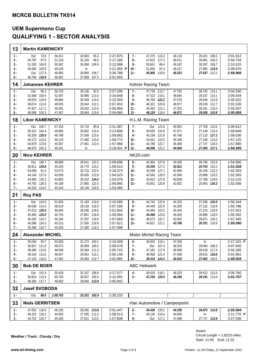## **13 Martin KAMENICKY**

| $1 -$<br>95.3<br>47.275 115.3<br>108.3<br>Out<br>73.9<br>56.411<br>32.803<br>2:27.875<br>$7 -$<br>46.116<br>28.421<br>2:01.812<br>54.797<br>97.0<br>$2 -$<br>51.218<br>31.150<br>96.5<br>2:17.165<br>$8 -$<br>47.822 117.3<br>46.011<br>30.901<br>102.0<br>2:04.734<br>3 -<br>51.193<br>104.9<br>50.587<br>30.308<br>106.0<br>2:12.088<br>9 -<br>50.841<br>89.4<br>49.187<br>30.287<br>109.7<br>2:10.315<br>49.128<br>50.005 103.9<br>51.883<br>87.4<br>49.227<br>27.960 114.4<br>2:09.070<br>4 -<br>In<br>2:21.355 P<br>10 -<br>5 -<br>117.5<br>46.950<br>28.900<br>109.7<br>3:36.788<br>45.806 116.9<br>45.523<br>27.637 112.1<br>1:58.966<br>Out<br>$11 -$<br>46.902<br>27.959<br>107.3<br>2:01.655<br>46.794<br>118.6<br>6 -<br>14<br><b>Johannes KEHRER</b><br>Kehrer Racing Team<br>95.3<br>92.5<br>$7 -$<br>47.736 115.7<br>28.742 114.1<br>$1 -$<br>Out<br>56.720<br>35.136<br>2:27.295<br>47.762<br>2:04.240<br>$2 -$<br>53.366 105.4<br>52.497<br>30.985<br>113.3<br>2:16.848<br>8 -<br>47.513 118.1<br>48.694<br>29.337 114.1<br>2:05.544<br>3 -<br>49.970 110.6<br>49.894<br>30.439 114.4<br>9 -<br>46.700 122.2<br>47.076<br>28.646 115.9<br>2:02.422<br>2:10.303<br>49.074 111.8<br>49.035<br>29.344 112.1<br>2:07.453<br>$10 -$<br>46.321<br>120.9<br>46.977<br>28.228 112.7<br>2:01.526<br>4 -<br>5 -<br>47.927 117.1<br>48.491<br>29.532 113.5<br>2:05.950<br>$11 -$<br>46.354<br>121.1<br>47.352<br>28.341 116.5<br>2:02.047<br>48.589 120.3<br>47.407<br>2:04.660<br>$12 -$<br>46.129 118.4<br>46.671<br>28.056 116.8<br>2:00.856<br>28.664 115.6<br>6 -<br>18<br><b>Libor KAMENICKY</b><br>H.L.M. Racing Team<br>$1 -$<br>105.7<br>57.153<br>33.718<br>85.8<br>2:31.387<br>Out<br>121.8<br>45.952<br>27.708 115.0<br>Out<br>$7 -$<br>3:09.912<br>49.983<br>28.502 115.0<br>$8 -$<br>45.630 124.0<br>47.071<br>55.321 104.4<br>2:13.806<br>27.148 115.3<br>1:59.849<br>2 -<br>$3 -$<br>46.788<br>27.558 115.6<br>9 -<br>1:58.036<br>45.336 125.0<br>1:59.682<br>45.158 121.8<br>45.768<br>27.110 117.1<br>4 -<br>45.172 123.4<br>46.120<br>27.480<br>115.6<br>1:58.772<br>$10 -$<br>122.5<br>45.346<br>27.148 115.0<br>1:57.125<br>44.631<br>5 -<br>44.878 123.8<br>45.507<br>27.581 112.4<br>1:57.966<br>$11 -$<br>44.789<br>122.7<br>45.469<br>27.727 116.5<br>1:57.985<br>46.875 102.3<br>49.201<br>$12 -$<br>44.598 122.2<br>44.904<br>1:56.595<br>2:18.001 P<br>27.093 117.1<br>6 -<br>In<br>20<br><b>Nico KEHRER</b><br>NK20.com<br>$1 -$<br>49.899<br>122.5<br>44.364 127.8<br>26.766 122.8<br>Out<br>109.7<br>28.541<br>2:09.698<br>$8 -$<br>43.430<br>1:54.560<br>$2 -$<br>129.8<br>45.433<br>26.770 123.2<br>9 -<br>43.254 127.3<br>1:51.528<br>45.811<br>1:58.014<br>42.521<br>25.753 123.2<br>52.573<br>122.5<br>3 -<br>53.089<br>61.3<br>32.710<br>2:18.372<br>$10 -$<br>43.298<br>127.1<br>42.909<br>26.156 122.2<br>1:52.363<br>44.149 127.6<br>43.939<br>26.435 123.9<br>43.545 128.3<br>1:54.523<br>$11 -$<br>42.940<br>25.908 123.5<br>1:52.393<br>4.<br>5 -<br>43.906 125.2<br>43.850<br>124.2<br>$12 -$<br>2:12.215<br>26.322<br>1:54.078<br>43.613 127.8<br>50.836<br>37.766<br>119.6<br>44.108<br>122.5<br>6 -<br>44.792<br>128.3<br>27.985<br>1:56.885<br>$13 -$<br>43.831 125.9<br>42.832<br>25.903<br>1:52.566<br>124.2<br>44.233 124.5<br>43.104<br>26.148 120.5<br>1:53.485<br>7 -<br>21<br><b>Roy PAS</b><br>31.183 116.8<br>44.742 122.9<br>124.0<br>51.635<br>2:10.580<br>44.333<br>27.269<br>120.5<br>1:56.344<br>$1 -$<br>$8 -$<br>Out<br>49.538 114.3<br>48.519<br>44.449 122.9<br>44.205<br>27.132 118.9<br>29.128 118.3<br>2:07.185<br>9 -<br>1:55.786<br>2 -<br>3 -<br>47.012<br>125.0<br>46.640<br>1:57.051<br>28.190 118.6<br>2:01.842<br>10 -<br>44.484 122.5<br>45.443<br>27.124 119.9<br>$11 -$<br>4.<br>45.460<br>125.0<br>45.753<br>27.851<br>118.9<br>1:59.064<br>44.388 123.6<br>44.026<br>26.888<br>118.0<br>1:55.302<br>45.184<br>27.297 119.9<br>5 -<br>45.202 124.7<br>1:57.683<br>$12 -$<br>46.572<br>122.7<br>43.902<br>26.871 120.2<br>1:57.345<br>45.096 124.3<br>45.215<br>27.300 119.9<br>$13 -$<br>1:55.090<br>6 -<br>1:57.611<br>44.621 121.1<br>43.768<br>26.701 119.9<br>45.396 120.7<br>45.303<br>27.300 119.3<br>1:57.999<br>7 -<br>24<br><b>Alexander MICHEL</b><br>Motor Michel Racing Team<br>$1 -$<br>55.034<br>93.7<br>31.272 103.1<br>2:19.309<br>46.833 116.1<br>$2:17.331$ P<br>53.003<br>$6 -$<br>47.200<br>In.<br>$2 -$<br>50.837 111.8<br>48.572<br>30.069 106.5<br>2:09.478<br>$7 -$<br>Out 107.4<br>48.203<br>29.094 108.3<br>4:07.945<br>48.280 113.6<br>48.048<br>29.394 111.3<br>47.181 117.9<br>2:02.265<br>$3 -$<br>2:05.722<br>8 -<br>46.566<br>28.518 117.4<br>48.140 112.6<br>48.057<br>28.951 112.1<br>2:05.148<br>46.008 121.4<br>47.938<br>28.015 118.6<br>2:01.961<br>4 -<br>9 -<br>47.120 116.5<br>47.362<br>28.483 112.7<br>2:02.965<br>45.414 124.3<br>27.902 116.5<br>1:58.926<br>5 -<br>10 -<br>45.610<br><b>Bob DE BOER</b><br>30<br><b>ABC Hekwerk</b><br>31.337 108.9<br>49.025 118.1<br>28.412 113.3<br>Out 101.4<br>55.419<br>2:17.577<br>48.323<br>2:05.760<br>$1 -$<br>4 -<br>50.814 113.4<br>50.720<br>30.557 105.5<br>28.191 113.0<br>2:01.707<br>2:12.091<br>5 -<br>47.230 120.5<br>46.286<br>2 -<br>48.393 117.7<br>48.603<br>28.846 113.8<br>2:05.842<br>3 -<br>32<br><b>Josef SVOBODA</b><br>Out<br>86.O<br>1:00.702<br>33.331 102.9<br>2:30.225<br>$1 -$<br>33<br><b>Niels GERRITSEN</b><br>Han Automotive / Camperpoint<br>47.052 116.5<br>28.265 113.8<br>44.436 120.1<br>1:55.564<br>$1 -$<br>46.130<br>2:01.447<br>$6 -$<br>44.256<br>26.872 113.8<br>27.295 111.3<br>2:11.770 P<br>$2 -$<br>46.315 118.1<br>44.903<br>1:58.513<br>$7 -$<br>45.126 119.4<br>44.836<br>In<br>27.717<br>44.752 120.7<br>45.335<br>27.521 113.5<br>1:57.608<br>Out 117.1<br>47.088<br>113.8<br>3:27.036<br>3 -<br>8 - | טו | <b>MAILIII NAMENIVAI</b> |  |  |  |  |
|------------------------------------------------------------------------------------------------------------------------------------------------------------------------------------------------------------------------------------------------------------------------------------------------------------------------------------------------------------------------------------------------------------------------------------------------------------------------------------------------------------------------------------------------------------------------------------------------------------------------------------------------------------------------------------------------------------------------------------------------------------------------------------------------------------------------------------------------------------------------------------------------------------------------------------------------------------------------------------------------------------------------------------------------------------------------------------------------------------------------------------------------------------------------------------------------------------------------------------------------------------------------------------------------------------------------------------------------------------------------------------------------------------------------------------------------------------------------------------------------------------------------------------------------------------------------------------------------------------------------------------------------------------------------------------------------------------------------------------------------------------------------------------------------------------------------------------------------------------------------------------------------------------------------------------------------------------------------------------------------------------------------------------------------------------------------------------------------------------------------------------------------------------------------------------------------------------------------------------------------------------------------------------------------------------------------------------------------------------------------------------------------------------------------------------------------------------------------------------------------------------------------------------------------------------------------------------------------------------------------------------------------------------------------------------------------------------------------------------------------------------------------------------------------------------------------------------------------------------------------------------------------------------------------------------------------------------------------------------------------------------------------------------------------------------------------------------------------------------------------------------------------------------------------------------------------------------------------------------------------------------------------------------------------------------------------------------------------------------------------------------------------------------------------------------------------------------------------------------------------------------------------------------------------------------------------------------------------------------------------------------------------------------------------------------------------------------------------------------------------------------------------------------------------------------------------------------------------------------------------------------------------------------------------------------------------------------------------------------------------------------------------------------------------------------------------------------------------------------------------------------------------------------------------------------------------------------------------------------------------------------------------------------------------------------------------------------------------------------------------------------------------------------------------------------------------------------------------------------------------------------------------------------------------------------------------------------------------------------------------------------------------------------------------------------------------------------------------------------------------------------------------------------------------------------------------------------------------------------------------------------------------------------------------------------------------------------------------------------------------------------------------------------------------------------------------------------------------------------------------------------------------------------------------------------------------------------------------------------------------------------------------------------------------------------------------------------------------------------------------------------------------------------------------------------------------------------------------------------------------------------------------------------------------------------------------------------------------------------------------------------------------------------------------------------------------------------------------------------------------------------------------------------------------------------------------------------|----|--------------------------|--|--|--|--|
|                                                                                                                                                                                                                                                                                                                                                                                                                                                                                                                                                                                                                                                                                                                                                                                                                                                                                                                                                                                                                                                                                                                                                                                                                                                                                                                                                                                                                                                                                                                                                                                                                                                                                                                                                                                                                                                                                                                                                                                                                                                                                                                                                                                                                                                                                                                                                                                                                                                                                                                                                                                                                                                                                                                                                                                                                                                                                                                                                                                                                                                                                                                                                                                                                                                                                                                                                                                                                                                                                                                                                                                                                                                                                                                                                                                                                                                                                                                                                                                                                                                                                                                                                                                                                                                                                                                                                                                                                                                                                                                                                                                                                                                                                                                                                                                                                                                                                                                                                                                                                                                                                                                                                                                                                                                                                                                                                                                                                                                                                                                                                                                                                                                                                                                                                                                                                                    |    |                          |  |  |  |  |
|                                                                                                                                                                                                                                                                                                                                                                                                                                                                                                                                                                                                                                                                                                                                                                                                                                                                                                                                                                                                                                                                                                                                                                                                                                                                                                                                                                                                                                                                                                                                                                                                                                                                                                                                                                                                                                                                                                                                                                                                                                                                                                                                                                                                                                                                                                                                                                                                                                                                                                                                                                                                                                                                                                                                                                                                                                                                                                                                                                                                                                                                                                                                                                                                                                                                                                                                                                                                                                                                                                                                                                                                                                                                                                                                                                                                                                                                                                                                                                                                                                                                                                                                                                                                                                                                                                                                                                                                                                                                                                                                                                                                                                                                                                                                                                                                                                                                                                                                                                                                                                                                                                                                                                                                                                                                                                                                                                                                                                                                                                                                                                                                                                                                                                                                                                                                                                    |    |                          |  |  |  |  |
|                                                                                                                                                                                                                                                                                                                                                                                                                                                                                                                                                                                                                                                                                                                                                                                                                                                                                                                                                                                                                                                                                                                                                                                                                                                                                                                                                                                                                                                                                                                                                                                                                                                                                                                                                                                                                                                                                                                                                                                                                                                                                                                                                                                                                                                                                                                                                                                                                                                                                                                                                                                                                                                                                                                                                                                                                                                                                                                                                                                                                                                                                                                                                                                                                                                                                                                                                                                                                                                                                                                                                                                                                                                                                                                                                                                                                                                                                                                                                                                                                                                                                                                                                                                                                                                                                                                                                                                                                                                                                                                                                                                                                                                                                                                                                                                                                                                                                                                                                                                                                                                                                                                                                                                                                                                                                                                                                                                                                                                                                                                                                                                                                                                                                                                                                                                                                                    |    |                          |  |  |  |  |
|                                                                                                                                                                                                                                                                                                                                                                                                                                                                                                                                                                                                                                                                                                                                                                                                                                                                                                                                                                                                                                                                                                                                                                                                                                                                                                                                                                                                                                                                                                                                                                                                                                                                                                                                                                                                                                                                                                                                                                                                                                                                                                                                                                                                                                                                                                                                                                                                                                                                                                                                                                                                                                                                                                                                                                                                                                                                                                                                                                                                                                                                                                                                                                                                                                                                                                                                                                                                                                                                                                                                                                                                                                                                                                                                                                                                                                                                                                                                                                                                                                                                                                                                                                                                                                                                                                                                                                                                                                                                                                                                                                                                                                                                                                                                                                                                                                                                                                                                                                                                                                                                                                                                                                                                                                                                                                                                                                                                                                                                                                                                                                                                                                                                                                                                                                                                                                    |    |                          |  |  |  |  |
|                                                                                                                                                                                                                                                                                                                                                                                                                                                                                                                                                                                                                                                                                                                                                                                                                                                                                                                                                                                                                                                                                                                                                                                                                                                                                                                                                                                                                                                                                                                                                                                                                                                                                                                                                                                                                                                                                                                                                                                                                                                                                                                                                                                                                                                                                                                                                                                                                                                                                                                                                                                                                                                                                                                                                                                                                                                                                                                                                                                                                                                                                                                                                                                                                                                                                                                                                                                                                                                                                                                                                                                                                                                                                                                                                                                                                                                                                                                                                                                                                                                                                                                                                                                                                                                                                                                                                                                                                                                                                                                                                                                                                                                                                                                                                                                                                                                                                                                                                                                                                                                                                                                                                                                                                                                                                                                                                                                                                                                                                                                                                                                                                                                                                                                                                                                                                                    |    |                          |  |  |  |  |
|                                                                                                                                                                                                                                                                                                                                                                                                                                                                                                                                                                                                                                                                                                                                                                                                                                                                                                                                                                                                                                                                                                                                                                                                                                                                                                                                                                                                                                                                                                                                                                                                                                                                                                                                                                                                                                                                                                                                                                                                                                                                                                                                                                                                                                                                                                                                                                                                                                                                                                                                                                                                                                                                                                                                                                                                                                                                                                                                                                                                                                                                                                                                                                                                                                                                                                                                                                                                                                                                                                                                                                                                                                                                                                                                                                                                                                                                                                                                                                                                                                                                                                                                                                                                                                                                                                                                                                                                                                                                                                                                                                                                                                                                                                                                                                                                                                                                                                                                                                                                                                                                                                                                                                                                                                                                                                                                                                                                                                                                                                                                                                                                                                                                                                                                                                                                                                    |    |                          |  |  |  |  |
|                                                                                                                                                                                                                                                                                                                                                                                                                                                                                                                                                                                                                                                                                                                                                                                                                                                                                                                                                                                                                                                                                                                                                                                                                                                                                                                                                                                                                                                                                                                                                                                                                                                                                                                                                                                                                                                                                                                                                                                                                                                                                                                                                                                                                                                                                                                                                                                                                                                                                                                                                                                                                                                                                                                                                                                                                                                                                                                                                                                                                                                                                                                                                                                                                                                                                                                                                                                                                                                                                                                                                                                                                                                                                                                                                                                                                                                                                                                                                                                                                                                                                                                                                                                                                                                                                                                                                                                                                                                                                                                                                                                                                                                                                                                                                                                                                                                                                                                                                                                                                                                                                                                                                                                                                                                                                                                                                                                                                                                                                                                                                                                                                                                                                                                                                                                                                                    |    |                          |  |  |  |  |
|                                                                                                                                                                                                                                                                                                                                                                                                                                                                                                                                                                                                                                                                                                                                                                                                                                                                                                                                                                                                                                                                                                                                                                                                                                                                                                                                                                                                                                                                                                                                                                                                                                                                                                                                                                                                                                                                                                                                                                                                                                                                                                                                                                                                                                                                                                                                                                                                                                                                                                                                                                                                                                                                                                                                                                                                                                                                                                                                                                                                                                                                                                                                                                                                                                                                                                                                                                                                                                                                                                                                                                                                                                                                                                                                                                                                                                                                                                                                                                                                                                                                                                                                                                                                                                                                                                                                                                                                                                                                                                                                                                                                                                                                                                                                                                                                                                                                                                                                                                                                                                                                                                                                                                                                                                                                                                                                                                                                                                                                                                                                                                                                                                                                                                                                                                                                                                    |    |                          |  |  |  |  |
|                                                                                                                                                                                                                                                                                                                                                                                                                                                                                                                                                                                                                                                                                                                                                                                                                                                                                                                                                                                                                                                                                                                                                                                                                                                                                                                                                                                                                                                                                                                                                                                                                                                                                                                                                                                                                                                                                                                                                                                                                                                                                                                                                                                                                                                                                                                                                                                                                                                                                                                                                                                                                                                                                                                                                                                                                                                                                                                                                                                                                                                                                                                                                                                                                                                                                                                                                                                                                                                                                                                                                                                                                                                                                                                                                                                                                                                                                                                                                                                                                                                                                                                                                                                                                                                                                                                                                                                                                                                                                                                                                                                                                                                                                                                                                                                                                                                                                                                                                                                                                                                                                                                                                                                                                                                                                                                                                                                                                                                                                                                                                                                                                                                                                                                                                                                                                                    |    |                          |  |  |  |  |
|                                                                                                                                                                                                                                                                                                                                                                                                                                                                                                                                                                                                                                                                                                                                                                                                                                                                                                                                                                                                                                                                                                                                                                                                                                                                                                                                                                                                                                                                                                                                                                                                                                                                                                                                                                                                                                                                                                                                                                                                                                                                                                                                                                                                                                                                                                                                                                                                                                                                                                                                                                                                                                                                                                                                                                                                                                                                                                                                                                                                                                                                                                                                                                                                                                                                                                                                                                                                                                                                                                                                                                                                                                                                                                                                                                                                                                                                                                                                                                                                                                                                                                                                                                                                                                                                                                                                                                                                                                                                                                                                                                                                                                                                                                                                                                                                                                                                                                                                                                                                                                                                                                                                                                                                                                                                                                                                                                                                                                                                                                                                                                                                                                                                                                                                                                                                                                    |    |                          |  |  |  |  |
|                                                                                                                                                                                                                                                                                                                                                                                                                                                                                                                                                                                                                                                                                                                                                                                                                                                                                                                                                                                                                                                                                                                                                                                                                                                                                                                                                                                                                                                                                                                                                                                                                                                                                                                                                                                                                                                                                                                                                                                                                                                                                                                                                                                                                                                                                                                                                                                                                                                                                                                                                                                                                                                                                                                                                                                                                                                                                                                                                                                                                                                                                                                                                                                                                                                                                                                                                                                                                                                                                                                                                                                                                                                                                                                                                                                                                                                                                                                                                                                                                                                                                                                                                                                                                                                                                                                                                                                                                                                                                                                                                                                                                                                                                                                                                                                                                                                                                                                                                                                                                                                                                                                                                                                                                                                                                                                                                                                                                                                                                                                                                                                                                                                                                                                                                                                                                                    |    |                          |  |  |  |  |
|                                                                                                                                                                                                                                                                                                                                                                                                                                                                                                                                                                                                                                                                                                                                                                                                                                                                                                                                                                                                                                                                                                                                                                                                                                                                                                                                                                                                                                                                                                                                                                                                                                                                                                                                                                                                                                                                                                                                                                                                                                                                                                                                                                                                                                                                                                                                                                                                                                                                                                                                                                                                                                                                                                                                                                                                                                                                                                                                                                                                                                                                                                                                                                                                                                                                                                                                                                                                                                                                                                                                                                                                                                                                                                                                                                                                                                                                                                                                                                                                                                                                                                                                                                                                                                                                                                                                                                                                                                                                                                                                                                                                                                                                                                                                                                                                                                                                                                                                                                                                                                                                                                                                                                                                                                                                                                                                                                                                                                                                                                                                                                                                                                                                                                                                                                                                                                    |    |                          |  |  |  |  |
|                                                                                                                                                                                                                                                                                                                                                                                                                                                                                                                                                                                                                                                                                                                                                                                                                                                                                                                                                                                                                                                                                                                                                                                                                                                                                                                                                                                                                                                                                                                                                                                                                                                                                                                                                                                                                                                                                                                                                                                                                                                                                                                                                                                                                                                                                                                                                                                                                                                                                                                                                                                                                                                                                                                                                                                                                                                                                                                                                                                                                                                                                                                                                                                                                                                                                                                                                                                                                                                                                                                                                                                                                                                                                                                                                                                                                                                                                                                                                                                                                                                                                                                                                                                                                                                                                                                                                                                                                                                                                                                                                                                                                                                                                                                                                                                                                                                                                                                                                                                                                                                                                                                                                                                                                                                                                                                                                                                                                                                                                                                                                                                                                                                                                                                                                                                                                                    |    |                          |  |  |  |  |
|                                                                                                                                                                                                                                                                                                                                                                                                                                                                                                                                                                                                                                                                                                                                                                                                                                                                                                                                                                                                                                                                                                                                                                                                                                                                                                                                                                                                                                                                                                                                                                                                                                                                                                                                                                                                                                                                                                                                                                                                                                                                                                                                                                                                                                                                                                                                                                                                                                                                                                                                                                                                                                                                                                                                                                                                                                                                                                                                                                                                                                                                                                                                                                                                                                                                                                                                                                                                                                                                                                                                                                                                                                                                                                                                                                                                                                                                                                                                                                                                                                                                                                                                                                                                                                                                                                                                                                                                                                                                                                                                                                                                                                                                                                                                                                                                                                                                                                                                                                                                                                                                                                                                                                                                                                                                                                                                                                                                                                                                                                                                                                                                                                                                                                                                                                                                                                    |    |                          |  |  |  |  |
|                                                                                                                                                                                                                                                                                                                                                                                                                                                                                                                                                                                                                                                                                                                                                                                                                                                                                                                                                                                                                                                                                                                                                                                                                                                                                                                                                                                                                                                                                                                                                                                                                                                                                                                                                                                                                                                                                                                                                                                                                                                                                                                                                                                                                                                                                                                                                                                                                                                                                                                                                                                                                                                                                                                                                                                                                                                                                                                                                                                                                                                                                                                                                                                                                                                                                                                                                                                                                                                                                                                                                                                                                                                                                                                                                                                                                                                                                                                                                                                                                                                                                                                                                                                                                                                                                                                                                                                                                                                                                                                                                                                                                                                                                                                                                                                                                                                                                                                                                                                                                                                                                                                                                                                                                                                                                                                                                                                                                                                                                                                                                                                                                                                                                                                                                                                                                                    |    |                          |  |  |  |  |
|                                                                                                                                                                                                                                                                                                                                                                                                                                                                                                                                                                                                                                                                                                                                                                                                                                                                                                                                                                                                                                                                                                                                                                                                                                                                                                                                                                                                                                                                                                                                                                                                                                                                                                                                                                                                                                                                                                                                                                                                                                                                                                                                                                                                                                                                                                                                                                                                                                                                                                                                                                                                                                                                                                                                                                                                                                                                                                                                                                                                                                                                                                                                                                                                                                                                                                                                                                                                                                                                                                                                                                                                                                                                                                                                                                                                                                                                                                                                                                                                                                                                                                                                                                                                                                                                                                                                                                                                                                                                                                                                                                                                                                                                                                                                                                                                                                                                                                                                                                                                                                                                                                                                                                                                                                                                                                                                                                                                                                                                                                                                                                                                                                                                                                                                                                                                                                    |    |                          |  |  |  |  |
|                                                                                                                                                                                                                                                                                                                                                                                                                                                                                                                                                                                                                                                                                                                                                                                                                                                                                                                                                                                                                                                                                                                                                                                                                                                                                                                                                                                                                                                                                                                                                                                                                                                                                                                                                                                                                                                                                                                                                                                                                                                                                                                                                                                                                                                                                                                                                                                                                                                                                                                                                                                                                                                                                                                                                                                                                                                                                                                                                                                                                                                                                                                                                                                                                                                                                                                                                                                                                                                                                                                                                                                                                                                                                                                                                                                                                                                                                                                                                                                                                                                                                                                                                                                                                                                                                                                                                                                                                                                                                                                                                                                                                                                                                                                                                                                                                                                                                                                                                                                                                                                                                                                                                                                                                                                                                                                                                                                                                                                                                                                                                                                                                                                                                                                                                                                                                                    |    |                          |  |  |  |  |
|                                                                                                                                                                                                                                                                                                                                                                                                                                                                                                                                                                                                                                                                                                                                                                                                                                                                                                                                                                                                                                                                                                                                                                                                                                                                                                                                                                                                                                                                                                                                                                                                                                                                                                                                                                                                                                                                                                                                                                                                                                                                                                                                                                                                                                                                                                                                                                                                                                                                                                                                                                                                                                                                                                                                                                                                                                                                                                                                                                                                                                                                                                                                                                                                                                                                                                                                                                                                                                                                                                                                                                                                                                                                                                                                                                                                                                                                                                                                                                                                                                                                                                                                                                                                                                                                                                                                                                                                                                                                                                                                                                                                                                                                                                                                                                                                                                                                                                                                                                                                                                                                                                                                                                                                                                                                                                                                                                                                                                                                                                                                                                                                                                                                                                                                                                                                                                    |    |                          |  |  |  |  |
|                                                                                                                                                                                                                                                                                                                                                                                                                                                                                                                                                                                                                                                                                                                                                                                                                                                                                                                                                                                                                                                                                                                                                                                                                                                                                                                                                                                                                                                                                                                                                                                                                                                                                                                                                                                                                                                                                                                                                                                                                                                                                                                                                                                                                                                                                                                                                                                                                                                                                                                                                                                                                                                                                                                                                                                                                                                                                                                                                                                                                                                                                                                                                                                                                                                                                                                                                                                                                                                                                                                                                                                                                                                                                                                                                                                                                                                                                                                                                                                                                                                                                                                                                                                                                                                                                                                                                                                                                                                                                                                                                                                                                                                                                                                                                                                                                                                                                                                                                                                                                                                                                                                                                                                                                                                                                                                                                                                                                                                                                                                                                                                                                                                                                                                                                                                                                                    |    |                          |  |  |  |  |
|                                                                                                                                                                                                                                                                                                                                                                                                                                                                                                                                                                                                                                                                                                                                                                                                                                                                                                                                                                                                                                                                                                                                                                                                                                                                                                                                                                                                                                                                                                                                                                                                                                                                                                                                                                                                                                                                                                                                                                                                                                                                                                                                                                                                                                                                                                                                                                                                                                                                                                                                                                                                                                                                                                                                                                                                                                                                                                                                                                                                                                                                                                                                                                                                                                                                                                                                                                                                                                                                                                                                                                                                                                                                                                                                                                                                                                                                                                                                                                                                                                                                                                                                                                                                                                                                                                                                                                                                                                                                                                                                                                                                                                                                                                                                                                                                                                                                                                                                                                                                                                                                                                                                                                                                                                                                                                                                                                                                                                                                                                                                                                                                                                                                                                                                                                                                                                    |    |                          |  |  |  |  |
|                                                                                                                                                                                                                                                                                                                                                                                                                                                                                                                                                                                                                                                                                                                                                                                                                                                                                                                                                                                                                                                                                                                                                                                                                                                                                                                                                                                                                                                                                                                                                                                                                                                                                                                                                                                                                                                                                                                                                                                                                                                                                                                                                                                                                                                                                                                                                                                                                                                                                                                                                                                                                                                                                                                                                                                                                                                                                                                                                                                                                                                                                                                                                                                                                                                                                                                                                                                                                                                                                                                                                                                                                                                                                                                                                                                                                                                                                                                                                                                                                                                                                                                                                                                                                                                                                                                                                                                                                                                                                                                                                                                                                                                                                                                                                                                                                                                                                                                                                                                                                                                                                                                                                                                                                                                                                                                                                                                                                                                                                                                                                                                                                                                                                                                                                                                                                                    |    |                          |  |  |  |  |
|                                                                                                                                                                                                                                                                                                                                                                                                                                                                                                                                                                                                                                                                                                                                                                                                                                                                                                                                                                                                                                                                                                                                                                                                                                                                                                                                                                                                                                                                                                                                                                                                                                                                                                                                                                                                                                                                                                                                                                                                                                                                                                                                                                                                                                                                                                                                                                                                                                                                                                                                                                                                                                                                                                                                                                                                                                                                                                                                                                                                                                                                                                                                                                                                                                                                                                                                                                                                                                                                                                                                                                                                                                                                                                                                                                                                                                                                                                                                                                                                                                                                                                                                                                                                                                                                                                                                                                                                                                                                                                                                                                                                                                                                                                                                                                                                                                                                                                                                                                                                                                                                                                                                                                                                                                                                                                                                                                                                                                                                                                                                                                                                                                                                                                                                                                                                                                    |    |                          |  |  |  |  |
|                                                                                                                                                                                                                                                                                                                                                                                                                                                                                                                                                                                                                                                                                                                                                                                                                                                                                                                                                                                                                                                                                                                                                                                                                                                                                                                                                                                                                                                                                                                                                                                                                                                                                                                                                                                                                                                                                                                                                                                                                                                                                                                                                                                                                                                                                                                                                                                                                                                                                                                                                                                                                                                                                                                                                                                                                                                                                                                                                                                                                                                                                                                                                                                                                                                                                                                                                                                                                                                                                                                                                                                                                                                                                                                                                                                                                                                                                                                                                                                                                                                                                                                                                                                                                                                                                                                                                                                                                                                                                                                                                                                                                                                                                                                                                                                                                                                                                                                                                                                                                                                                                                                                                                                                                                                                                                                                                                                                                                                                                                                                                                                                                                                                                                                                                                                                                                    |    |                          |  |  |  |  |
|                                                                                                                                                                                                                                                                                                                                                                                                                                                                                                                                                                                                                                                                                                                                                                                                                                                                                                                                                                                                                                                                                                                                                                                                                                                                                                                                                                                                                                                                                                                                                                                                                                                                                                                                                                                                                                                                                                                                                                                                                                                                                                                                                                                                                                                                                                                                                                                                                                                                                                                                                                                                                                                                                                                                                                                                                                                                                                                                                                                                                                                                                                                                                                                                                                                                                                                                                                                                                                                                                                                                                                                                                                                                                                                                                                                                                                                                                                                                                                                                                                                                                                                                                                                                                                                                                                                                                                                                                                                                                                                                                                                                                                                                                                                                                                                                                                                                                                                                                                                                                                                                                                                                                                                                                                                                                                                                                                                                                                                                                                                                                                                                                                                                                                                                                                                                                                    |    |                          |  |  |  |  |
|                                                                                                                                                                                                                                                                                                                                                                                                                                                                                                                                                                                                                                                                                                                                                                                                                                                                                                                                                                                                                                                                                                                                                                                                                                                                                                                                                                                                                                                                                                                                                                                                                                                                                                                                                                                                                                                                                                                                                                                                                                                                                                                                                                                                                                                                                                                                                                                                                                                                                                                                                                                                                                                                                                                                                                                                                                                                                                                                                                                                                                                                                                                                                                                                                                                                                                                                                                                                                                                                                                                                                                                                                                                                                                                                                                                                                                                                                                                                                                                                                                                                                                                                                                                                                                                                                                                                                                                                                                                                                                                                                                                                                                                                                                                                                                                                                                                                                                                                                                                                                                                                                                                                                                                                                                                                                                                                                                                                                                                                                                                                                                                                                                                                                                                                                                                                                                    |    |                          |  |  |  |  |
|                                                                                                                                                                                                                                                                                                                                                                                                                                                                                                                                                                                                                                                                                                                                                                                                                                                                                                                                                                                                                                                                                                                                                                                                                                                                                                                                                                                                                                                                                                                                                                                                                                                                                                                                                                                                                                                                                                                                                                                                                                                                                                                                                                                                                                                                                                                                                                                                                                                                                                                                                                                                                                                                                                                                                                                                                                                                                                                                                                                                                                                                                                                                                                                                                                                                                                                                                                                                                                                                                                                                                                                                                                                                                                                                                                                                                                                                                                                                                                                                                                                                                                                                                                                                                                                                                                                                                                                                                                                                                                                                                                                                                                                                                                                                                                                                                                                                                                                                                                                                                                                                                                                                                                                                                                                                                                                                                                                                                                                                                                                                                                                                                                                                                                                                                                                                                                    |    |                          |  |  |  |  |
|                                                                                                                                                                                                                                                                                                                                                                                                                                                                                                                                                                                                                                                                                                                                                                                                                                                                                                                                                                                                                                                                                                                                                                                                                                                                                                                                                                                                                                                                                                                                                                                                                                                                                                                                                                                                                                                                                                                                                                                                                                                                                                                                                                                                                                                                                                                                                                                                                                                                                                                                                                                                                                                                                                                                                                                                                                                                                                                                                                                                                                                                                                                                                                                                                                                                                                                                                                                                                                                                                                                                                                                                                                                                                                                                                                                                                                                                                                                                                                                                                                                                                                                                                                                                                                                                                                                                                                                                                                                                                                                                                                                                                                                                                                                                                                                                                                                                                                                                                                                                                                                                                                                                                                                                                                                                                                                                                                                                                                                                                                                                                                                                                                                                                                                                                                                                                                    |    |                          |  |  |  |  |
|                                                                                                                                                                                                                                                                                                                                                                                                                                                                                                                                                                                                                                                                                                                                                                                                                                                                                                                                                                                                                                                                                                                                                                                                                                                                                                                                                                                                                                                                                                                                                                                                                                                                                                                                                                                                                                                                                                                                                                                                                                                                                                                                                                                                                                                                                                                                                                                                                                                                                                                                                                                                                                                                                                                                                                                                                                                                                                                                                                                                                                                                                                                                                                                                                                                                                                                                                                                                                                                                                                                                                                                                                                                                                                                                                                                                                                                                                                                                                                                                                                                                                                                                                                                                                                                                                                                                                                                                                                                                                                                                                                                                                                                                                                                                                                                                                                                                                                                                                                                                                                                                                                                                                                                                                                                                                                                                                                                                                                                                                                                                                                                                                                                                                                                                                                                                                                    |    |                          |  |  |  |  |
|                                                                                                                                                                                                                                                                                                                                                                                                                                                                                                                                                                                                                                                                                                                                                                                                                                                                                                                                                                                                                                                                                                                                                                                                                                                                                                                                                                                                                                                                                                                                                                                                                                                                                                                                                                                                                                                                                                                                                                                                                                                                                                                                                                                                                                                                                                                                                                                                                                                                                                                                                                                                                                                                                                                                                                                                                                                                                                                                                                                                                                                                                                                                                                                                                                                                                                                                                                                                                                                                                                                                                                                                                                                                                                                                                                                                                                                                                                                                                                                                                                                                                                                                                                                                                                                                                                                                                                                                                                                                                                                                                                                                                                                                                                                                                                                                                                                                                                                                                                                                                                                                                                                                                                                                                                                                                                                                                                                                                                                                                                                                                                                                                                                                                                                                                                                                                                    |    |                          |  |  |  |  |
|                                                                                                                                                                                                                                                                                                                                                                                                                                                                                                                                                                                                                                                                                                                                                                                                                                                                                                                                                                                                                                                                                                                                                                                                                                                                                                                                                                                                                                                                                                                                                                                                                                                                                                                                                                                                                                                                                                                                                                                                                                                                                                                                                                                                                                                                                                                                                                                                                                                                                                                                                                                                                                                                                                                                                                                                                                                                                                                                                                                                                                                                                                                                                                                                                                                                                                                                                                                                                                                                                                                                                                                                                                                                                                                                                                                                                                                                                                                                                                                                                                                                                                                                                                                                                                                                                                                                                                                                                                                                                                                                                                                                                                                                                                                                                                                                                                                                                                                                                                                                                                                                                                                                                                                                                                                                                                                                                                                                                                                                                                                                                                                                                                                                                                                                                                                                                                    |    |                          |  |  |  |  |
|                                                                                                                                                                                                                                                                                                                                                                                                                                                                                                                                                                                                                                                                                                                                                                                                                                                                                                                                                                                                                                                                                                                                                                                                                                                                                                                                                                                                                                                                                                                                                                                                                                                                                                                                                                                                                                                                                                                                                                                                                                                                                                                                                                                                                                                                                                                                                                                                                                                                                                                                                                                                                                                                                                                                                                                                                                                                                                                                                                                                                                                                                                                                                                                                                                                                                                                                                                                                                                                                                                                                                                                                                                                                                                                                                                                                                                                                                                                                                                                                                                                                                                                                                                                                                                                                                                                                                                                                                                                                                                                                                                                                                                                                                                                                                                                                                                                                                                                                                                                                                                                                                                                                                                                                                                                                                                                                                                                                                                                                                                                                                                                                                                                                                                                                                                                                                                    |    |                          |  |  |  |  |
|                                                                                                                                                                                                                                                                                                                                                                                                                                                                                                                                                                                                                                                                                                                                                                                                                                                                                                                                                                                                                                                                                                                                                                                                                                                                                                                                                                                                                                                                                                                                                                                                                                                                                                                                                                                                                                                                                                                                                                                                                                                                                                                                                                                                                                                                                                                                                                                                                                                                                                                                                                                                                                                                                                                                                                                                                                                                                                                                                                                                                                                                                                                                                                                                                                                                                                                                                                                                                                                                                                                                                                                                                                                                                                                                                                                                                                                                                                                                                                                                                                                                                                                                                                                                                                                                                                                                                                                                                                                                                                                                                                                                                                                                                                                                                                                                                                                                                                                                                                                                                                                                                                                                                                                                                                                                                                                                                                                                                                                                                                                                                                                                                                                                                                                                                                                                                                    |    |                          |  |  |  |  |
|                                                                                                                                                                                                                                                                                                                                                                                                                                                                                                                                                                                                                                                                                                                                                                                                                                                                                                                                                                                                                                                                                                                                                                                                                                                                                                                                                                                                                                                                                                                                                                                                                                                                                                                                                                                                                                                                                                                                                                                                                                                                                                                                                                                                                                                                                                                                                                                                                                                                                                                                                                                                                                                                                                                                                                                                                                                                                                                                                                                                                                                                                                                                                                                                                                                                                                                                                                                                                                                                                                                                                                                                                                                                                                                                                                                                                                                                                                                                                                                                                                                                                                                                                                                                                                                                                                                                                                                                                                                                                                                                                                                                                                                                                                                                                                                                                                                                                                                                                                                                                                                                                                                                                                                                                                                                                                                                                                                                                                                                                                                                                                                                                                                                                                                                                                                                                                    |    |                          |  |  |  |  |
|                                                                                                                                                                                                                                                                                                                                                                                                                                                                                                                                                                                                                                                                                                                                                                                                                                                                                                                                                                                                                                                                                                                                                                                                                                                                                                                                                                                                                                                                                                                                                                                                                                                                                                                                                                                                                                                                                                                                                                                                                                                                                                                                                                                                                                                                                                                                                                                                                                                                                                                                                                                                                                                                                                                                                                                                                                                                                                                                                                                                                                                                                                                                                                                                                                                                                                                                                                                                                                                                                                                                                                                                                                                                                                                                                                                                                                                                                                                                                                                                                                                                                                                                                                                                                                                                                                                                                                                                                                                                                                                                                                                                                                                                                                                                                                                                                                                                                                                                                                                                                                                                                                                                                                                                                                                                                                                                                                                                                                                                                                                                                                                                                                                                                                                                                                                                                                    |    |                          |  |  |  |  |
|                                                                                                                                                                                                                                                                                                                                                                                                                                                                                                                                                                                                                                                                                                                                                                                                                                                                                                                                                                                                                                                                                                                                                                                                                                                                                                                                                                                                                                                                                                                                                                                                                                                                                                                                                                                                                                                                                                                                                                                                                                                                                                                                                                                                                                                                                                                                                                                                                                                                                                                                                                                                                                                                                                                                                                                                                                                                                                                                                                                                                                                                                                                                                                                                                                                                                                                                                                                                                                                                                                                                                                                                                                                                                                                                                                                                                                                                                                                                                                                                                                                                                                                                                                                                                                                                                                                                                                                                                                                                                                                                                                                                                                                                                                                                                                                                                                                                                                                                                                                                                                                                                                                                                                                                                                                                                                                                                                                                                                                                                                                                                                                                                                                                                                                                                                                                                                    |    |                          |  |  |  |  |
|                                                                                                                                                                                                                                                                                                                                                                                                                                                                                                                                                                                                                                                                                                                                                                                                                                                                                                                                                                                                                                                                                                                                                                                                                                                                                                                                                                                                                                                                                                                                                                                                                                                                                                                                                                                                                                                                                                                                                                                                                                                                                                                                                                                                                                                                                                                                                                                                                                                                                                                                                                                                                                                                                                                                                                                                                                                                                                                                                                                                                                                                                                                                                                                                                                                                                                                                                                                                                                                                                                                                                                                                                                                                                                                                                                                                                                                                                                                                                                                                                                                                                                                                                                                                                                                                                                                                                                                                                                                                                                                                                                                                                                                                                                                                                                                                                                                                                                                                                                                                                                                                                                                                                                                                                                                                                                                                                                                                                                                                                                                                                                                                                                                                                                                                                                                                                                    |    |                          |  |  |  |  |
|                                                                                                                                                                                                                                                                                                                                                                                                                                                                                                                                                                                                                                                                                                                                                                                                                                                                                                                                                                                                                                                                                                                                                                                                                                                                                                                                                                                                                                                                                                                                                                                                                                                                                                                                                                                                                                                                                                                                                                                                                                                                                                                                                                                                                                                                                                                                                                                                                                                                                                                                                                                                                                                                                                                                                                                                                                                                                                                                                                                                                                                                                                                                                                                                                                                                                                                                                                                                                                                                                                                                                                                                                                                                                                                                                                                                                                                                                                                                                                                                                                                                                                                                                                                                                                                                                                                                                                                                                                                                                                                                                                                                                                                                                                                                                                                                                                                                                                                                                                                                                                                                                                                                                                                                                                                                                                                                                                                                                                                                                                                                                                                                                                                                                                                                                                                                                                    |    |                          |  |  |  |  |
|                                                                                                                                                                                                                                                                                                                                                                                                                                                                                                                                                                                                                                                                                                                                                                                                                                                                                                                                                                                                                                                                                                                                                                                                                                                                                                                                                                                                                                                                                                                                                                                                                                                                                                                                                                                                                                                                                                                                                                                                                                                                                                                                                                                                                                                                                                                                                                                                                                                                                                                                                                                                                                                                                                                                                                                                                                                                                                                                                                                                                                                                                                                                                                                                                                                                                                                                                                                                                                                                                                                                                                                                                                                                                                                                                                                                                                                                                                                                                                                                                                                                                                                                                                                                                                                                                                                                                                                                                                                                                                                                                                                                                                                                                                                                                                                                                                                                                                                                                                                                                                                                                                                                                                                                                                                                                                                                                                                                                                                                                                                                                                                                                                                                                                                                                                                                                                    |    |                          |  |  |  |  |
|                                                                                                                                                                                                                                                                                                                                                                                                                                                                                                                                                                                                                                                                                                                                                                                                                                                                                                                                                                                                                                                                                                                                                                                                                                                                                                                                                                                                                                                                                                                                                                                                                                                                                                                                                                                                                                                                                                                                                                                                                                                                                                                                                                                                                                                                                                                                                                                                                                                                                                                                                                                                                                                                                                                                                                                                                                                                                                                                                                                                                                                                                                                                                                                                                                                                                                                                                                                                                                                                                                                                                                                                                                                                                                                                                                                                                                                                                                                                                                                                                                                                                                                                                                                                                                                                                                                                                                                                                                                                                                                                                                                                                                                                                                                                                                                                                                                                                                                                                                                                                                                                                                                                                                                                                                                                                                                                                                                                                                                                                                                                                                                                                                                                                                                                                                                                                                    |    |                          |  |  |  |  |
|                                                                                                                                                                                                                                                                                                                                                                                                                                                                                                                                                                                                                                                                                                                                                                                                                                                                                                                                                                                                                                                                                                                                                                                                                                                                                                                                                                                                                                                                                                                                                                                                                                                                                                                                                                                                                                                                                                                                                                                                                                                                                                                                                                                                                                                                                                                                                                                                                                                                                                                                                                                                                                                                                                                                                                                                                                                                                                                                                                                                                                                                                                                                                                                                                                                                                                                                                                                                                                                                                                                                                                                                                                                                                                                                                                                                                                                                                                                                                                                                                                                                                                                                                                                                                                                                                                                                                                                                                                                                                                                                                                                                                                                                                                                                                                                                                                                                                                                                                                                                                                                                                                                                                                                                                                                                                                                                                                                                                                                                                                                                                                                                                                                                                                                                                                                                                                    |    |                          |  |  |  |  |
|                                                                                                                                                                                                                                                                                                                                                                                                                                                                                                                                                                                                                                                                                                                                                                                                                                                                                                                                                                                                                                                                                                                                                                                                                                                                                                                                                                                                                                                                                                                                                                                                                                                                                                                                                                                                                                                                                                                                                                                                                                                                                                                                                                                                                                                                                                                                                                                                                                                                                                                                                                                                                                                                                                                                                                                                                                                                                                                                                                                                                                                                                                                                                                                                                                                                                                                                                                                                                                                                                                                                                                                                                                                                                                                                                                                                                                                                                                                                                                                                                                                                                                                                                                                                                                                                                                                                                                                                                                                                                                                                                                                                                                                                                                                                                                                                                                                                                                                                                                                                                                                                                                                                                                                                                                                                                                                                                                                                                                                                                                                                                                                                                                                                                                                                                                                                                                    |    |                          |  |  |  |  |
|                                                                                                                                                                                                                                                                                                                                                                                                                                                                                                                                                                                                                                                                                                                                                                                                                                                                                                                                                                                                                                                                                                                                                                                                                                                                                                                                                                                                                                                                                                                                                                                                                                                                                                                                                                                                                                                                                                                                                                                                                                                                                                                                                                                                                                                                                                                                                                                                                                                                                                                                                                                                                                                                                                                                                                                                                                                                                                                                                                                                                                                                                                                                                                                                                                                                                                                                                                                                                                                                                                                                                                                                                                                                                                                                                                                                                                                                                                                                                                                                                                                                                                                                                                                                                                                                                                                                                                                                                                                                                                                                                                                                                                                                                                                                                                                                                                                                                                                                                                                                                                                                                                                                                                                                                                                                                                                                                                                                                                                                                                                                                                                                                                                                                                                                                                                                                                    |    |                          |  |  |  |  |
|                                                                                                                                                                                                                                                                                                                                                                                                                                                                                                                                                                                                                                                                                                                                                                                                                                                                                                                                                                                                                                                                                                                                                                                                                                                                                                                                                                                                                                                                                                                                                                                                                                                                                                                                                                                                                                                                                                                                                                                                                                                                                                                                                                                                                                                                                                                                                                                                                                                                                                                                                                                                                                                                                                                                                                                                                                                                                                                                                                                                                                                                                                                                                                                                                                                                                                                                                                                                                                                                                                                                                                                                                                                                                                                                                                                                                                                                                                                                                                                                                                                                                                                                                                                                                                                                                                                                                                                                                                                                                                                                                                                                                                                                                                                                                                                                                                                                                                                                                                                                                                                                                                                                                                                                                                                                                                                                                                                                                                                                                                                                                                                                                                                                                                                                                                                                                                    |    |                          |  |  |  |  |
|                                                                                                                                                                                                                                                                                                                                                                                                                                                                                                                                                                                                                                                                                                                                                                                                                                                                                                                                                                                                                                                                                                                                                                                                                                                                                                                                                                                                                                                                                                                                                                                                                                                                                                                                                                                                                                                                                                                                                                                                                                                                                                                                                                                                                                                                                                                                                                                                                                                                                                                                                                                                                                                                                                                                                                                                                                                                                                                                                                                                                                                                                                                                                                                                                                                                                                                                                                                                                                                                                                                                                                                                                                                                                                                                                                                                                                                                                                                                                                                                                                                                                                                                                                                                                                                                                                                                                                                                                                                                                                                                                                                                                                                                                                                                                                                                                                                                                                                                                                                                                                                                                                                                                                                                                                                                                                                                                                                                                                                                                                                                                                                                                                                                                                                                                                                                                                    |    |                          |  |  |  |  |
|                                                                                                                                                                                                                                                                                                                                                                                                                                                                                                                                                                                                                                                                                                                                                                                                                                                                                                                                                                                                                                                                                                                                                                                                                                                                                                                                                                                                                                                                                                                                                                                                                                                                                                                                                                                                                                                                                                                                                                                                                                                                                                                                                                                                                                                                                                                                                                                                                                                                                                                                                                                                                                                                                                                                                                                                                                                                                                                                                                                                                                                                                                                                                                                                                                                                                                                                                                                                                                                                                                                                                                                                                                                                                                                                                                                                                                                                                                                                                                                                                                                                                                                                                                                                                                                                                                                                                                                                                                                                                                                                                                                                                                                                                                                                                                                                                                                                                                                                                                                                                                                                                                                                                                                                                                                                                                                                                                                                                                                                                                                                                                                                                                                                                                                                                                                                                                    |    |                          |  |  |  |  |
|                                                                                                                                                                                                                                                                                                                                                                                                                                                                                                                                                                                                                                                                                                                                                                                                                                                                                                                                                                                                                                                                                                                                                                                                                                                                                                                                                                                                                                                                                                                                                                                                                                                                                                                                                                                                                                                                                                                                                                                                                                                                                                                                                                                                                                                                                                                                                                                                                                                                                                                                                                                                                                                                                                                                                                                                                                                                                                                                                                                                                                                                                                                                                                                                                                                                                                                                                                                                                                                                                                                                                                                                                                                                                                                                                                                                                                                                                                                                                                                                                                                                                                                                                                                                                                                                                                                                                                                                                                                                                                                                                                                                                                                                                                                                                                                                                                                                                                                                                                                                                                                                                                                                                                                                                                                                                                                                                                                                                                                                                                                                                                                                                                                                                                                                                                                                                                    |    |                          |  |  |  |  |
|                                                                                                                                                                                                                                                                                                                                                                                                                                                                                                                                                                                                                                                                                                                                                                                                                                                                                                                                                                                                                                                                                                                                                                                                                                                                                                                                                                                                                                                                                                                                                                                                                                                                                                                                                                                                                                                                                                                                                                                                                                                                                                                                                                                                                                                                                                                                                                                                                                                                                                                                                                                                                                                                                                                                                                                                                                                                                                                                                                                                                                                                                                                                                                                                                                                                                                                                                                                                                                                                                                                                                                                                                                                                                                                                                                                                                                                                                                                                                                                                                                                                                                                                                                                                                                                                                                                                                                                                                                                                                                                                                                                                                                                                                                                                                                                                                                                                                                                                                                                                                                                                                                                                                                                                                                                                                                                                                                                                                                                                                                                                                                                                                                                                                                                                                                                                                                    |    |                          |  |  |  |  |
|                                                                                                                                                                                                                                                                                                                                                                                                                                                                                                                                                                                                                                                                                                                                                                                                                                                                                                                                                                                                                                                                                                                                                                                                                                                                                                                                                                                                                                                                                                                                                                                                                                                                                                                                                                                                                                                                                                                                                                                                                                                                                                                                                                                                                                                                                                                                                                                                                                                                                                                                                                                                                                                                                                                                                                                                                                                                                                                                                                                                                                                                                                                                                                                                                                                                                                                                                                                                                                                                                                                                                                                                                                                                                                                                                                                                                                                                                                                                                                                                                                                                                                                                                                                                                                                                                                                                                                                                                                                                                                                                                                                                                                                                                                                                                                                                                                                                                                                                                                                                                                                                                                                                                                                                                                                                                                                                                                                                                                                                                                                                                                                                                                                                                                                                                                                                                                    |    |                          |  |  |  |  |
|                                                                                                                                                                                                                                                                                                                                                                                                                                                                                                                                                                                                                                                                                                                                                                                                                                                                                                                                                                                                                                                                                                                                                                                                                                                                                                                                                                                                                                                                                                                                                                                                                                                                                                                                                                                                                                                                                                                                                                                                                                                                                                                                                                                                                                                                                                                                                                                                                                                                                                                                                                                                                                                                                                                                                                                                                                                                                                                                                                                                                                                                                                                                                                                                                                                                                                                                                                                                                                                                                                                                                                                                                                                                                                                                                                                                                                                                                                                                                                                                                                                                                                                                                                                                                                                                                                                                                                                                                                                                                                                                                                                                                                                                                                                                                                                                                                                                                                                                                                                                                                                                                                                                                                                                                                                                                                                                                                                                                                                                                                                                                                                                                                                                                                                                                                                                                                    |    |                          |  |  |  |  |
|                                                                                                                                                                                                                                                                                                                                                                                                                                                                                                                                                                                                                                                                                                                                                                                                                                                                                                                                                                                                                                                                                                                                                                                                                                                                                                                                                                                                                                                                                                                                                                                                                                                                                                                                                                                                                                                                                                                                                                                                                                                                                                                                                                                                                                                                                                                                                                                                                                                                                                                                                                                                                                                                                                                                                                                                                                                                                                                                                                                                                                                                                                                                                                                                                                                                                                                                                                                                                                                                                                                                                                                                                                                                                                                                                                                                                                                                                                                                                                                                                                                                                                                                                                                                                                                                                                                                                                                                                                                                                                                                                                                                                                                                                                                                                                                                                                                                                                                                                                                                                                                                                                                                                                                                                                                                                                                                                                                                                                                                                                                                                                                                                                                                                                                                                                                                                                    |    |                          |  |  |  |  |
|                                                                                                                                                                                                                                                                                                                                                                                                                                                                                                                                                                                                                                                                                                                                                                                                                                                                                                                                                                                                                                                                                                                                                                                                                                                                                                                                                                                                                                                                                                                                                                                                                                                                                                                                                                                                                                                                                                                                                                                                                                                                                                                                                                                                                                                                                                                                                                                                                                                                                                                                                                                                                                                                                                                                                                                                                                                                                                                                                                                                                                                                                                                                                                                                                                                                                                                                                                                                                                                                                                                                                                                                                                                                                                                                                                                                                                                                                                                                                                                                                                                                                                                                                                                                                                                                                                                                                                                                                                                                                                                                                                                                                                                                                                                                                                                                                                                                                                                                                                                                                                                                                                                                                                                                                                                                                                                                                                                                                                                                                                                                                                                                                                                                                                                                                                                                                                    |    |                          |  |  |  |  |
|                                                                                                                                                                                                                                                                                                                                                                                                                                                                                                                                                                                                                                                                                                                                                                                                                                                                                                                                                                                                                                                                                                                                                                                                                                                                                                                                                                                                                                                                                                                                                                                                                                                                                                                                                                                                                                                                                                                                                                                                                                                                                                                                                                                                                                                                                                                                                                                                                                                                                                                                                                                                                                                                                                                                                                                                                                                                                                                                                                                                                                                                                                                                                                                                                                                                                                                                                                                                                                                                                                                                                                                                                                                                                                                                                                                                                                                                                                                                                                                                                                                                                                                                                                                                                                                                                                                                                                                                                                                                                                                                                                                                                                                                                                                                                                                                                                                                                                                                                                                                                                                                                                                                                                                                                                                                                                                                                                                                                                                                                                                                                                                                                                                                                                                                                                                                                                    |    |                          |  |  |  |  |
|                                                                                                                                                                                                                                                                                                                                                                                                                                                                                                                                                                                                                                                                                                                                                                                                                                                                                                                                                                                                                                                                                                                                                                                                                                                                                                                                                                                                                                                                                                                                                                                                                                                                                                                                                                                                                                                                                                                                                                                                                                                                                                                                                                                                                                                                                                                                                                                                                                                                                                                                                                                                                                                                                                                                                                                                                                                                                                                                                                                                                                                                                                                                                                                                                                                                                                                                                                                                                                                                                                                                                                                                                                                                                                                                                                                                                                                                                                                                                                                                                                                                                                                                                                                                                                                                                                                                                                                                                                                                                                                                                                                                                                                                                                                                                                                                                                                                                                                                                                                                                                                                                                                                                                                                                                                                                                                                                                                                                                                                                                                                                                                                                                                                                                                                                                                                                                    |    |                          |  |  |  |  |

Circuit Length = 2.8223 miles Start: 11:05 End: 11:32 Assen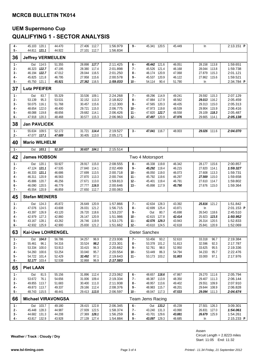| $4 -$     | 45.103 120.1                     | 44.470 | 27.406 112.7    | 1:56.979 | 9.          | 45.341 120.5          | 45.449 | In              | 2:13.151 P   |  |  |
|-----------|----------------------------------|--------|-----------------|----------|-------------|-----------------------|--------|-----------------|--------------|--|--|
| 5 -       | 44.811<br>121.1                  | 44.922 | 27.101 112.7    | 1:56.834 |             |                       |        |                 |              |  |  |
| 36        | <b>Jeffrey VERMEULEN</b>         |        |                 |          |             |                       |        |                 |              |  |  |
| $1 -$     | Out 114.5                        | 51.355 | 28.898 117.7    | 2:11.425 | $6 -$       | 45.442 121.6          | 46.051 | 28.158 113.8    | 1:59.651     |  |  |
| 2 -       | 46.323<br>122.7                  | 47.195 | 28.380 117.4    | 2:01.898 | $7 -$       | 45.526<br>121.4       | 46.168 | 28.044 113.8    | 1:59.738     |  |  |
| 3 -       | 46.194<br>122.7                  | 47.012 | 28.044 116.5    | 2:01.250 | $8 -$       | 46.174 120.9          | 47.068 | 27.879 115.3    | 2:01.121     |  |  |
| 4 -       | 45.825 121.8                     | 46.795 | 27.958 115.6    | 2:00.578 | 9 -         | 120.9<br>45.537       | 46.122 | 27.862 115.6    | 1:59.521     |  |  |
| 5 -       | 45.750 121.1                     | 45.921 | 27.362 116.5    | 1:59.033 | 10 -        | 90.4<br>54.114        | 51.790 | In              | 2:34.784 P   |  |  |
| 37        | <b>Lutz PFEIFER</b>              |        |                 |          |             |                       |        |                 |              |  |  |
| $1 -$     | 83.7<br>Out                      | 55.329 | 33.536 109.1    | 2:24.268 | $7 -$       | 48.296 114.9          | 49.241 | 29.592 115.3    | 2:07.129     |  |  |
| $2 -$     | 53.139<br>95.3                   | 53.531 | 32.152 113.3    | 2:18.822 | $8 -$       | 47.884<br>117.9       | 48.562 | 29.013 116.2    | 2:05.459     |  |  |
| 3 -       | 50.075 116.1                     | 51.768 | 30.457 115.6    | 2:12.300 | 9 -         | 47.565<br>120.3       | 48.435 | 29.313 115.0    | 2:05.313     |  |  |
| 4 -       | 48.654 122.0                     | 48.400 | 29.721 115.0    | 2:06.775 | $10 -$      | 47.973 119.8          | 48.539 | 29.904 115.9    | 2:06.416     |  |  |
| $5 -$     | 48.088 119.8<br>48.656           |        | 29.682 114.1    | 2:06.426 | $11 -$      | 47.820<br>122.7       | 48.558 | 29.109<br>118.3 | 2:05.487     |  |  |
| 6 -       | 47.918 120.3                     | 48.468 | 30.577 115.3    | 2:06.963 | $12 -$      | 47.497 120.9          | 47.976 | 29.665 114.1    | 2:05.138     |  |  |
| 38        | <b>Jan PAVLICEK</b>              |        |                 |          |             |                       |        |                 |              |  |  |
| $1 -$     | 55.634 109.5                     | 52.172 | 31.721<br>114.4 | 2:19.527 | $3 -$       | 47.041 116.7          | 48.003 | 29.026 111.6    | 2:04.070     |  |  |
| $2 -$     | 47.077 117.1                     | 47.689 | 30.405 113.0    | 2:05.171 |             |                       |        |                 |              |  |  |
| 40        | <b>Mario WILHELM</b>             |        |                 |          |             |                       |        |                 |              |  |  |
| $1 -$     | Out<br>103.1                     | 52.187 | 30.637 104.1    | 2:15.514 |             |                       |        |                 |              |  |  |
| 42        | <b>James HOBSON</b>              |        |                 |          |             | Two 4 Motorsport      |        |                 |              |  |  |
| $1 -$     | 120.1<br>Out                     | 50.927 | 28.917 115.0    | 2:08.555 | $\pmb{8}$ . | 46.338<br>119.8       | 46.342 | 28.177 115.6    | 2:00.857     |  |  |
| $2 -$     | 47.124<br>121.1                  | 47.535 | 27.840 114.1    | 2:02.499 | 9 -         | 45.292 119.4          | 46.215 | 27.820 114.1    | 1:59.327     |  |  |
| 3 -       | 46.333<br>121.1                  | 46.686 | 27.699 113.5    | 2:00.718 | $10 -$      | 46.050 119.0          | 46.073 | 27.608 113.3    | 1:59.731     |  |  |
| 4 -       | 46.311 120.9                     | 46.563 | 27.870 113.3    | 2:00.744 | $11 -$      | 45.792 119.6          | 46.297 | 27.569 115.0    | 1:59.658     |  |  |
| 5 -       | 45.886 120.7                     | 46.256 | 27.671 113.0    | 1:59.813 | $12 -$      | 45.401 119.4          | 46.791 | 27.610 114.7    | 1:59.802     |  |  |
| 6 -       | 46.090<br>120.5                  | 46.779 | 27.777<br>116.5 | 2:00.646 | $13 -$      | 45.898 117.9          | 45.790 | 27.676 115.0    | 1:59.364     |  |  |
| 7 -       | 45.554 120.9                     | 46.859 | 27.650 112.7    | 2:00.063 |             |                       |        |                 |              |  |  |
| 45        | <b>Stefan MEINERS</b>            |        |                 |          |             |                       |        |                 |              |  |  |
| $1 -$     | 124.3<br>Out                     | 45.872 | 26.649 120.9    | 1:57.866 | $7 -$       | 42.634 128.3          | 43.392 | 25.816 121.2    | 1:51.842     |  |  |
| $2 -$     | 47.076 124.5                     | 43.608 | 121.2<br>26.031 | 1:56.715 | $\pmb{8}$ . | 42.699<br>125.4       | 43.871 | In              | 2:01.153 P   |  |  |
| 3 -       | 43.397 126.9                     | 43.120 | 26.720 118.6    | 1:53.237 | 9 -         | Out<br>80.7           | 45.698 | 26.543 118.6    | 2:45.510     |  |  |
| 4 -       | 42.979 127.3                     | 42.860 | 120.9<br>26.147 | 1:51.986 | $10 -$      | 127.8<br>42.615       | 42.414 | 25.923<br>123.5 | 1:50.952     |  |  |
| 5 -       | 43.167 128.1                     | 43.262 | 26.746 119.9    | 1:53.175 | $11 -$      | 42.576 129.3          | 43.943 | 120.5<br>26.314 | 1:52.833     |  |  |
| 6 -       | 42.932 125.9                     | 42.900 | 25.830 121.2    | 1:51.662 | $12 -$      | 43.610 124.5          | 42.618 | 25.841 120.9    | 1:52.069     |  |  |
| 63        | Kai-Uwe LOHRENGEL                |        |                 |          |             | <b>Dieter Sanchex</b> |        |                 |              |  |  |
| $1 -$     | Out 104.0                        | 56.786 | 34.257<br>96.9  | 2:23.936 | $7 -$       | 53.456<br>93.2        | 52.610 | 33.318<br>96.7  | 2:19.384     |  |  |
| $2 -$     | 55.461<br>96.1                   | 54.316 | 33.524<br>98.2  | 2:23.301 | $8 -$       | 53.378<br>101.2       | 51.813 | 32.596<br>92.3  | 2:17.787     |  |  |
| 3 -       | 53.334 100.0                     | 53.913 | 33.415<br>96.3  | 2:20.662 | 9.          | 52.761<br>98.0        | 52.950 | 33.625<br>95.5  | 2:19.336     |  |  |
| 4 -       | 54.260 100.6                     | 53.254 | 33.040<br>95.7  | 2:20.554 | $10 -$      | 53.449<br>86.3        | 54.794 | 34.233<br>95.7  | 2:22.476     |  |  |
| 5 -       | 54.722 101.4                     | 52.429 | 32.492<br>97.1  | 2:19.643 | $11 -$      | 53.173 103.2          | 51.803 | 33.000<br>97.1  | 2:17.976     |  |  |
| 6 -<br>65 | 52.177 103.4<br><b>Piet LAAN</b> | 52.538 | 32.868<br>96.9  | 2:17.583 |             |                       |        |                 |              |  |  |
| $1 -$     | Out<br>81.5                      | 55.156 | 31.896 112.4    | 2:23.062 | $6 -$       | 48.657 118.6          | 47.867 | 29.270 111.6    | 2:05.794     |  |  |
| 2 -       | 76.1<br>53.672                   | 54.656 | 31.006 109.4    | 2:19.334 | 7 -         | 48.387 113.9          | 48.350 | 29.407 111.3    | 2:06.144     |  |  |
| 3 -       | 49.855 113.7                     | 51.683 | 30.400 111.0    | 2:11.938 | 8 -         | 48.957 113.6          | 49.402 | 29.551 109.9    | 2:07.910     |  |  |
| $4 -$     | 49.873 113.7                     | 49.337 | 29.166 112.4    | 2:08.376 | 9.          | 48.983 115.7          | 48.201 | 29.644 108.9    | 2:06.828     |  |  |
| 5 -       | 48.743 115.5                     | 48.441 | 29.413 113.5    | 2:06.597 | $10 -$      | 48.047 117.3          | 47.533 | 29.094 111.3    | 2:04.674     |  |  |
| 66        | <b>Michael VIRAVONGSA</b>        |        |                 |          |             | Team Jems Racing      |        |                 |              |  |  |
| $1 -$     | Out 103.7                        | 49.180 | 28.415 122.8    | 2:06.345 | $6 -$       | Out 133.2             | 45.239 | 27.501 126.3    | 3:09.301     |  |  |
| 2 -       | 45.448 128.3                     | 44.987 | 27.939 122.5    | 1:58.374 | 7 -         | 43.240 131.3          | 43.990 | 26.831 127.0    | 1:54.061     |  |  |
| $3 -$     | 44.682 131.3                     | 44.208 | 27.369 128.1    | 1:56.259 | 8 -         | 43.701 129.6          | 43.881 | 26.679 125.9    | 1:54.261     |  |  |
| 4 -       | 43.817 132.9                     | 43.928 | 27.139 127.4    | 1:54.884 | 9 -         | 43.097 129.3          | 46.685 | In              | $2:15.233$ P |  |  |

Assen

Circuit Length = 2.8223 miles Start: 11:05 End: 11:32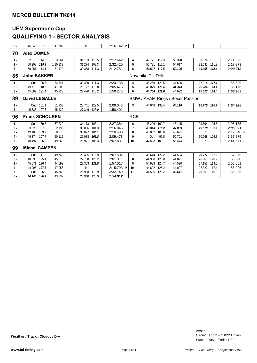| $5 -$ | 127.8<br>46.646                                          | 47.702   | In              | 2:16.142 P |            |                   |        |                 |            |  |
|-------|----------------------------------------------------------|----------|-----------------|------------|------------|-------------------|--------|-----------------|------------|--|
| 70    | <b>Alex OOMEN</b>                                        |          |                 |            |            |                   |        |                 |            |  |
| $1 -$ | 52.878 114.5                                             | 53.661   | 110.5<br>31.103 | 2:17.642   | $4 -$      | 49.771<br>117.3   | 50.378 | 101.0<br>30.874 | 2:11.023   |  |
| $2 -$ | 50.308<br>119.8                                          | 1:10.838 | 31.274<br>108.3 | 2:32.420   | $5 -$      | 50.721 117.1      | 54.617 | 32.635<br>111.3 | 2:17.973   |  |
| $3 -$ | 50.951<br>114.1                                          | 51.472   | 30.358<br>111.3 | 2:12.781   | 6 -        | 49.607 117.5      | 50.100 | 30.005 112.4    | 2:09.712   |  |
| 85    | <b>John BAKKER</b>                                       |          |                 |            |            | Novabike TU Delft |        |                 |            |  |
| $1 -$ | 106.7<br>Out                                             | 54.547   | 30.430<br>111.3 | 2:23.138   | 4 -        | 45.259<br>120.5   | 44.626 | 117.1<br>27.014 | 1:56.899   |  |
| $2 -$ | 49.713<br>118.6                                          | 47.585   | 113.8<br>28.177 | 2:05.475   | 5 -        | 45.079<br>121.4   | 44.313 | 26.784<br>114.4 | 1:56.176   |  |
| 3 -   | 45.882<br>121.4                                          | 45.923   | 27.470<br>116.2 | 1:59.275   | 6 -        | 44.754<br>122.0   | 44.622 | 26.613 114.4    | 1:55.989   |  |
| 89    | <b>David LEGALLE</b><br>BMW / AFAM Rings / Boxer Passion |          |                 |            |            |                   |        |                 |            |  |
| $1 -$ | 101.1<br>Out                                             | 51.233   | 28.741<br>122.5 | 2:09.043   | $3 -$      | 44.048 133.4      | 44.110 | 26.770 126.7    | 1:54.928   |  |
| $2 -$ | 127.8<br>45.633                                          | 45.422   | 123.9<br>27.346 | 1:58.401   |            |                   |        |                 |            |  |
| 96    | <b>Frank SCHOUREN</b>                                    |          |                 |            | <b>RCB</b> |                   |        |                 |            |  |
| $1 -$ | 89.7<br>Out                                              | 57.220   | 34.178<br>103.1 | 2:27.384   | $6 -$      | 48.296<br>109.7   | 48.145 | 29.694<br>105.5 | 2:06.135   |  |
| $2 -$ | 107.0<br>53.020                                          | 52.190   | 104.3<br>30.836 | 2:16.046   | $7 -$      | 48.044<br>110.2   | 47.809 | 29.518 103.1    | 2:05.371   |  |
| 3 -   | 49.183<br>109.7                                          | 50.378   | 30.877<br>104.1 | 2:10.438   | $8 -$      | 48.032<br>106.0   | 48.691 | In              | 2:17.646 P |  |
| 4 -   | 107.7<br>49.374                                          | 50.116   | 29.988<br>106.8 | 2:09.478   | 9.         | 97.8<br>Out       | 50.701 | 30.068<br>106.3 | 3:37.879   |  |
| 5 -   | 48.497<br>106.9                                          | 49.363   | 29.971<br>105.3 | 2:07.831   | $10 -$     | 109.1<br>47.522   | 55.474 | In              | 2:41.671 P |  |
| 99    | <b>Michel CAMPEN</b>                                     |          |                 |            |            |                   |        |                 |            |  |
| $1 -$ | 111.8<br>Out                                             | 49.746   | 29.495<br>115.9 | 2:07.502   | $7 -$      | 122.2<br>46.614   | 44.584 | 26.777 122.2    | 1:57.975   |  |
| $2 -$ | 125.4<br>48.090                                          | 45.513   | 120.2<br>27.708 | 2:01.311   | $8 -$      | 125.0<br>44.958   | 44.071 | 120.2<br>26.961 | 1:55.990   |  |
| $3 -$ | 126.4<br>45.071                                          | 44.593   | 122.8<br>27.353 | 1:57.017   | 9.         | 54.988<br>124.7   | 44.520 | 27.153<br>119.6 | 2:06.661   |  |
| 4 -   | 44.995<br>127.8                                          | 47.056   | In              | 2:15.793 P | $10 -$     | 44.602<br>125.2   | 44.097 | 27.327<br>117.4 | 1:56.026   |  |
| 5.    | 126.9<br>Out                                             | 45.669   | 26.938<br>119.9 | 3:32.149   | $11 -$     | 125.2<br>44.585   | 43.641 | 28.059<br>116.8 | 1:56.285   |  |
| 6 -   | 44.140 126.1                                             | 43.832   | 26.940<br>120.9 | 1:54.912   |            |                   |        |                 |            |  |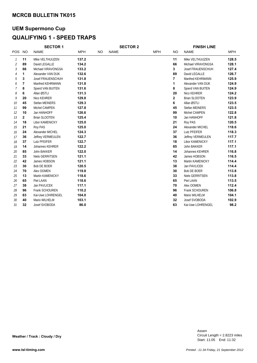## **QUALIFYING 1 - SPEED TRAPS**

|              | <b>SECTOR 1</b> |                          |            |           | <b>SECTOR 2</b> |            |              | <b>FINISH LINE</b>       |            |
|--------------|-----------------|--------------------------|------------|-----------|-----------------|------------|--------------|--------------------------|------------|
| <b>POS</b>   | <b>NO</b>       | <b>NAME</b>              | <b>MPH</b> | <b>NO</b> | <b>NAME</b>     | <b>MPH</b> | <b>NO</b>    | <b>NAME</b>              | <b>MPH</b> |
| $\mathcal I$ | 11              | Mike VELTHUIJZEN         | 137.2      |           |                 |            | 11           | Mike VELTHUIJZEN         | 128.5      |
| 2            | 89              | David LEGALLE            | 134.2      |           |                 |            | 66           | Michael VIRAVONGSA       | 128.1      |
| 3            | 66              | Michael VIRAVONGSA       | 133.2      |           |                 |            | 3            | <b>Josef FRAUENSCHUH</b> | 127.4      |
| 4            | 1               | Alexander VAN DIJK       | 132.6      |           |                 |            | 89           | David LEGALLE            | 126.7      |
| 5            | 3               | <b>Josef FRAUENSCHUH</b> | 131.8      |           |                 |            | 7            | <b>Manfred KEHRMANN</b>  | 125.9      |
| 6            | 7               | Manfred KEHRMANN         | 131.8      |           |                 |            | 1            | Alexander VAN DIJK       | 124.9      |
| 7            | 8               | Sjoerd VAN BUITEN        | 131.6      |           |                 |            | 8            | Sjoerd VAN BUITEN        | 124.9      |
| 8            | 6               | Allan ØSTLI              | 131.3      |           |                 |            | 20           | Nico KEHRER              | 124.2      |
| 9            | 20              | Nico KEHRER              | 129.8      |           |                 |            | $\mathbf{2}$ | <b>Brian SLOOTEN</b>     | 123.9      |
| 10           | 45              | Stefan MEINERS           | 129.3      |           |                 |            | 6            | Allan ØSTLI              | 123.5      |
| 11           | 99              | Michel CAMPEN            | 127.8      |           |                 |            | 45           | Stefan MEINERS           | 123.5      |
| 12           | 10              | Jan HANHOFF              | 126.6      |           |                 |            | 99           | Michel CAMPEN            | 122.8      |
| 13           | $\mathbf{2}$    | <b>Brian SLOOTEN</b>     | 125.4      |           |                 |            | 10           | Jan HANHOFF              | 121.8      |
| 14           | 18              | <b>Libor KAMENICKY</b>   | 125.0      |           |                 |            | 21           | <b>Roy PAS</b>           | 120.5      |
| 15           | 21              | <b>Roy PAS</b>           | 125.0      |           |                 |            | 24           | Alexander MICHEL         | 118.6      |
| 16           | 24              | Alexander MICHEL         | 124.3      |           |                 |            | 37           | <b>Lutz PFEIFER</b>      | 118.3      |
| 17           | 36              | <b>Jeffrey VERMEULEN</b> | 122.7      |           |                 |            | 36           | <b>Jeffrey VERMEULEN</b> | 117.7      |
| 18           | 37              | <b>Lutz PFEIFER</b>      | 122.7      |           |                 |            | 18           | <b>Libor KAMENICKY</b>   | 117.1      |
| 19           | 14              | Johannes KEHRER          | 122.2      |           |                 |            | 85           | <b>John BAKKER</b>       | 117.1      |
| 20           | 85              | John BAKKER              | 122.0      |           |                 |            | 14           | Johannes KEHRER          | 116.8      |
| 21           | 33              | Niels GERRITSEN          | 121.1      |           |                 |            | 42           | James HOBSON             | 116.5      |
| 22           | 42              | James HOBSON             | 121.1      |           |                 |            | 13           | Martin KAMENICKY         | 114.4      |
| 23           | 30              | <b>Bob DE BOER</b>       | 120.5      |           |                 |            | 38           | Jan PAVLICEK             | 114.4      |
| 24           | 70              | Alex OOMEN               | 119.8      |           |                 |            | 30           | <b>Bob DE BOER</b>       | 113.8      |
| 25           | 13              | Martin KAMENICKY         | 118.6      |           |                 |            | 33           | Niels GERRITSEN          | 113.8      |
| 26           | 65              | Piet LAAN                | 118.6      |           |                 |            | 65           | Piet LAAN                | 113.5      |
| 27           | 38              | Jan PAVLICEK             | 117.1      |           |                 |            | 70           | Alex OOMEN               | 112.4      |
| 28           | 96              | Frank SCHOUREN           | 110.2      |           |                 |            | 96           | Frank SCHOUREN           | 106.8      |
| 29           | 63              | Kai-Uwe LOHRENGEL        | 104.0      |           |                 |            | 40           | Mario WILHELM            | 104.1      |
| 30           | 40              | Mario WILHELM            | 103.1      |           |                 |            | 32           | Josef SVOBODA            | 102.9      |
| 31           | 32              | Josef SVOBODA            | 86.0       |           |                 |            | 63           | Kai-Uwe LOHRENGEL        | 98.2       |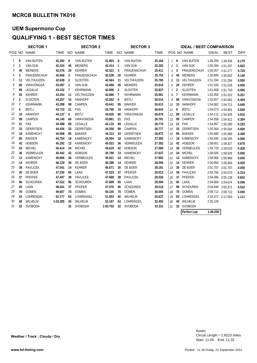## **QUALIFYING 1 - BEST SECTOR TIMES**

| <b>SECTOR 1</b> |                         |                    |          |                         | <b>SECTOR 2</b>    |             |                | <b>SECTOR 3</b>            |             |         |                | <b>IDEAL / BEST COMPARISON</b> |                                        |             |             |
|-----------------|-------------------------|--------------------|----------|-------------------------|--------------------|-------------|----------------|----------------------------|-------------|---------|----------------|--------------------------------|----------------------------------------|-------------|-------------|
|                 |                         | POS NO NAME        |          |                         | TIME NO NAME       | <b>TIME</b> |                | NO NAME                    | <b>TIME</b> |         |                | POS NO NAME                    | <b>IDEAL</b>                           | <b>BEST</b> | <b>DIFF</b> |
| $\mathcal{I}$   | - 8                     | <b>VAN BUITEN</b>  | 42.292 8 |                         | <b>VAN BUITEN</b>  | 41.803      | - 8            | <b>VAN BUITEN</b>          | 25.164      |         | 78             | <b>VAN BUITEN</b>              | 1:49.259 1:49.438                      |             | 0.179       |
| 2               | $\mathbf{1}$            | <b>VAN DIJK</b>    | 42.334   | 45                      | <b>MEINERS</b>     | 42.414      | $\overline{1}$ | <b>VAN DIJK</b>            | 25.282      | $2^{1}$ |                | <b>VAN DIJK</b>                | 1:50.284 1:51.207                      |             |             |
| 3               | 45                      | <b>MEINERS</b>     | 42.576   | - 20                    | <b>KEHRER</b>      | 42.521      | 3              | <b>FRAUENSCHUH</b>         | 25.411      |         | 3 <sup>3</sup> | FRAUENSCHUH                    | 1:50.557 1:51.277                      |             | 0.923       |
| 4               | 3                       | <b>FRAUENSCHUH</b> | 42.608   | $\overline{\mathbf{3}}$ | <b>FRAUENSCHUH</b> | 42.538      | 20             | <b>KEHRER</b>              | 25.753      |         |                | 4 45 MEINERS                   |                                        |             | 0.720       |
| 5               | 11                      | VELTHUIJZEN        | 42.638   | $\overline{\mathbf{2}}$ | <b>SLOOTEN</b>     | 42.564      | 11             | VELTHUIJZEN                | 25.780      |         |                | 5 11 VELTHUIJZEN               | 1:50.806 1:50.952<br>1:51.284 1:51.284 |             | 0.146       |
| 6               | 66                      | VIRAVONGSA         | 43.097   | - 1                     | <b>VAN DIJK</b>    | 42.668      | 45             | <b>MEINERS</b>             | 25.816      |         | $6\quad20$     | KEHRER                         |                                        |             | 0.000       |
| Ζ               | 89                      | LEGALLE            | 43.232   | $\overline{7}$          | <b>KEHRMANN</b>    | 42.806      | $\overline{2}$ | <b>SLOOTEN</b>             | 25.837      |         | 72             | <b>SLOOTEN</b>                 | 1:51.528 1:51.528<br>1:51.658 1:51.753 |             | 0.000       |
| 8               | 20                      | <b>KEHRER</b>      | 43.254   | 11                      | VELTHUIJZEN        | 42.866      | $\overline{1}$ | <b>KEHRMANN</b>            | 25.961      |         | 8 <sup>7</sup> | <b>KEHRMANN</b>                |                                        |             | 0.095       |
| 9               | $\overline{\mathbf{2}}$ | <b>SLOOTEN</b>     | 43.257   | 10                      | <b>HANHOFF</b>     | 43.282      | 6              | ØSTLI                      | 26.514      |         |                | <b>66 VIRAVONGSA</b>           | 1:52.055 1:52.312                      |             | 0.257       |
| 10              | 7                       | <b>KEHRMANN</b>    | 43.288   | 99                      | <b>CAMPEN</b>      | 43.641      | 85             | <b>BAKKER</b>              | 26.613      | 9       | $10^{10}$      | HANHOFF                        | 1:53.657 1:54.061                      |             | 0.404       |
| 11              | 6                       | ØSTLI              | 43.733   | -21                     | <b>PAS</b>         | 43.768      | 10             | <b>HANHOFF</b>             | 26.643      |         |                | ØSTLI                          | 1:54.062 1:54.711                      |             | 0.649       |
| 12              | 10                      | <b>HANHOFF</b>     | 44.137   | 6                       | ØSTLI              | 43.826      |                | VIRAVONGSA                 | 26.679      | 116     |                | 12 89 LEGALLE                  | 1:54.073 1:54.901<br>1:54.112 1:54.928 |             | 0.828       |
| 13              | 99                      | <b>CAMPEN</b>      | 44.140   | 66                      | <b>VIRAVONGSA</b>  | 43.881      | 66<br>21       | PAS                        | 26.701      |         | 739            | CAMPEN                         | 1:54.558 1:54.912                      |             | 0.816       |
| 14              | 21                      | PAS                | 44.388   | 89                      | LEGALLE            | 44.110      | 89             | LEGALLE                    | 26.770      |         | $14^{21}$      | PAS                            | 1:54.857 1:55.090                      |             | 0.354       |
| 15              | 33                      | <b>GERRITSEN</b>   | 44.436   | 33                      | <b>GERRITSEN</b>   | 44.256      | 99             | CAMPEN                     | 26.777      |         |                | 75 33 GERRITSEN                | 1:55.564 1:55.564                      |             | 0.233       |
| 16              | 18                      | <b>KAMENICKY</b>   | 44.598   | 85                      | <b>BAKKER</b>      | 44.313      | 33             | <b>GERRITSEN</b>           | 26.872      |         |                | 16 85 BAKKER                   |                                        |             | 0.000       |
| 17              | 85                      | <b>BAKKER</b>      | 44.754   | 18                      | <b>KAMENICKY</b>   | 44.904      | 18             |                            |             |         |                |                                | 1:55.680 1:55.989                      |             | 0.309       |
| 18              | 42                      | <b>HOBSON</b>      |          | - 13                    | <b>KAMENICKY</b>   |             |                | <b>KAMENICKY</b>           | 27.093      |         |                | 17 18 KAMENICKY                | 1:56.595 1:56.595                      |             | 0.000       |
| 19              | 24                      |                    | 45.292   |                         |                    | 45.523      | 36             | VERMEULEN<br><b>HOBSON</b> | 27.362      |         |                | 18 42 HOBSON                   | 1:58.651 1:59.327                      |             | 0.676       |
| 20              |                         | <b>MICHEL</b>      | 45.414   | 24                      | <b>MICHEL</b>      | 45.610      | 42             |                            | 27.569      | 19      |                | 36 VERMEULEN                   | 1:58.725 1:59.033                      |             | 0.308       |
| 21              | 36                      | <b>VERMEULEN</b>   | 45.442   | 42                      | <b>HOBSON</b>      | 45.790      | 13             | <b>KAMENICKY</b>           | 27.637      | 20      |                | 24 MICHEL                      | 1:58.926 1:58.926                      |             | 0.000       |
| 22              | 13                      | <b>KAMENICKY</b>   | 45.806   | 36                      | <b>VERMEULEN</b>   | 45.921      | 24             | <b>MICHEL</b>              | 27.902      | 21      |                | 13 KAMENICKY                   | 1:58.966 1:58.966                      |             | 0.000       |
| 23              | 14                      | <b>KEHRER</b>      | 46.129   | 30                      | DE BOER            | 46.286      | 14             | <b>KEHRER</b>              | 28.056      | 22      |                | 14 KEHRER                      | 2:00.856 2:00.856                      |             | 0.000       |
|                 | 38                      | <b>PAVLICEK</b>    | 47.041   | 14                      | <b>KEHRER</b>      | 46.671      | 30             | DE BOER                    | 28.191      | 23      |                | 30 DE BOER                     | 2:01.707 2:01.707                      |             | 0.000       |
| 24              | 30                      | DE BOER            | 47.230   | 65                      | LAAN               | 47.533      | 37             | PFEIFER                    | 29.013      | 24      |                | 38 PAVLICEK                    | 2:03.756 2:04.070                      |             | 0.314       |
| 25              | 37                      | PFEIFER            | 47.497   | 38                      | <b>PAVLICEK</b>    | 47.689      | 38             | <b>PAVLICEK</b>            | 29.026      | 25      |                | 37 PFEIFER                     | 2:04.486 2:05.138                      |             | 0.652       |
| 26              | 96                      | <b>SCHOUREN</b>    | 47.522   | 96                      | <b>SCHOUREN</b>    | 47.809      | 65             | LAAN                       | 29.094      |         |                | 26 65 LAAN                     | 2:04.668 2:04.674                      |             | 0.006       |
| 27              | 65                      | LAAN               | 48.041   | 37                      | PFEIFER            | 47.976      | 96             | <b>SCHOUREN</b>            | 29.518      |         |                | 27 96 SCHOUREN                 | 2:04.849 2:05.371                      |             | 0.522       |
| 28              | 70                      | <b>OOMEN</b>       | 49.607   | 70                      | <b>OOMEN</b>       | 50.100      | 70             | <b>OOMEN</b>               | 30.005      | 28      |                | 70 OOMEN                       | 2:09.712 2:09.712                      |             | 0.000       |
| 29              | 63                      | <b>LOHRENGEL</b>   | 52.177   | 63                      | LOHRENGEL          | 51.803      | 40             | WILHELM                    | 30.637      | 29      |                | 63 LOHRENGEL                   | 2:16.472 2:17.583                      |             | 1.111       |
| 30              | 40                      | WILHELM            | 1:03.285 | 40                      | WILHELM            | 52.187      | 63             | LOHRENGEL                  | 32.492      | 30      |                | 40 WILHELM                     | 2:26.109                               |             |             |
| 31              | 32                      | SVOBODA            |          | 32                      | <b>SVOBODA</b>     | 1:00.702    | 32             | SVOBODA                    | 33.331      |         |                | .37 32 SVOBODA                 |                                        |             |             |
|                 |                         |                    |          |                         |                    |             |                |                            |             |         |                | <b>Perfect Lap</b>             | 1:49.259                               |             |             |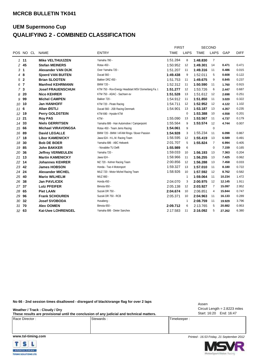## **UEM Supermono Cup QUALIFYING 2 - COMBINED CLASSIFICATION**

|                |                |                           |                                                    |             | <b>FIRST</b><br><b>SECOND</b> |             |                |        |             |  |
|----------------|----------------|---------------------------|----------------------------------------------------|-------------|-------------------------------|-------------|----------------|--------|-------------|--|
|                |                | POS NO CL NAME            | <b>ENTRY</b>                                       | <b>TIME</b> | <b>LAPS</b>                   | <b>TIME</b> | <b>LAPS</b>    | GAP    | <b>DIFF</b> |  |
|                | 111            | <b>Mike VELTHUIJZEN</b>   | Yamaha 780 -                                       | 1:51.284    | 8                             | 1:48.830    | 7              |        |             |  |
| 2              | 45             | <b>Stefan MEINERS</b>     | Rotax 450 -                                        | 1:50.952    | 12                            | 1:49.301    | 14             | 0.471  | 0.471       |  |
| 3              | $\mathbf 1$    | <b>Alexander VAN DIJK</b> | Over Yamaha 720 -                                  | 1:51.207    | 11                            | 1:49.316    | 11             | 0.486  | 0.015       |  |
| 4              | 8              | <b>Sjoerd VAN BUITEN</b>  | Ducati 560 -                                       | 1:49.438    | 9                             | 1:52.011    | 5              | 0.608  | 0.122       |  |
| 5              | $\mathbf{2}$   | <b>Brian SLOOTEN</b>      | Bakker DRZ 450 -                                   | 1:51.753    | 11                            | 1:49.675    | 9              | 0.845  | 0.237       |  |
| 6              | $\overline{7}$ | <b>Manfred KEHRMANN</b>   | BMW 720 -                                          | 1:52.312    | 11                            | 1:50.590    | 11             | 1.760  | 0.915       |  |
| $\overline{7}$ | 3              | <b>Josef FRAUENSCHUH</b>  | KTM 750 - Rox-Energy Headstart MSV Domerberg Fa. L | 1:51.277    | 12                            | 1:53.726    | 6              | 2.447  | 0.687       |  |
| 8              | 20             | <b>Nico KEHRER</b>        | KTM 750 - ADAC - Sachsen ev                        | 1:51.528    | 13                            | 1:51.612    | 12             | 2.698  | 0.251       |  |
| 9              | 99             | <b>Michel CAMPEN</b>      | <b>Bakker 720 -</b>                                | 1:54.912    | 11                            | 1:51.850    | 11             | 3.020  | 0.322       |  |
| 10             | 10             | <b>Jan HANHOFF</b>        | KTM 720 - Pirate Racing                            | 1:54.711    | 12                            | 1:52.952    | 12             | 4.122  | 1.102       |  |
| 11             | 6              | Allan ØSTLI               | Ducati 560 - JSB Racing Denmark                    | 1:54.901    | 13                            | 1:53.187    | 13             | 4.357  | 0.235       |  |
| 12             | 19             | <b>Perry GOLDSTEIN</b>    | KTM 690 - Hyside KTM                               |             | 0                             | 1:53.388    | 10             | 4.558  | 0.201       |  |
| 13             | 21             | <b>Roy PAS</b>            | KTM-                                               | 1:55.090    | 13                            | 1:53.567    | 11             | 4.737  | 0.179       |  |
| 14             | 33             | <b>Niels GERRITSEN</b>    | Yamaha 686 - Han Automotive / Camperpoint          | 1:55.564    | 9                             | 1:53.574    | 12             | 4.744  | 0.007       |  |
| 15             | 66             | <b>Michael VIRAVONGSA</b> | Rotax 450 - Team Jems Racing                       | 1:54.061    | 9                             |             | $\mathbf 0$    |        |             |  |
| 16             | 89             | <b>David LEGALLE</b>      | BMW 720 - BMW / AFAM Rings / Boxer Passion         | 1:54.928    | 3                             | 1:55.234    | 11             | 6.098  | 0.867       |  |
| 17             | 18             | <b>Libor KAMENICKY</b>    | Jawa 624 - H.L.M. Racing Team                      | 1:56.595    | 12                            | 1:55.419    | 13             | 6.589  | 0.491       |  |
| 18             | 30             | <b>Bob DE BOER</b>        | Yamaha 686 - ABC Hekwerk                           | 2:01.707    | 5                             | 1:55.824    | $\overline{7}$ | 6.994  | 0.405       |  |
| 19             | 85             | <b>John BAKKER</b>        | - Novabike TU Delft                                | 1:55.989    | 6                             |             | $\mathbf 0$    | 7.159  | 0.165       |  |
| 20             | 36             | <b>Jeffrey VERMEULEN</b>  | Yamaha 720 -                                       | 1:59.033    | 10                            | 1:56.193    | 13             | 7.363  | 0.204       |  |
| 21             | 13             | <b>Martin KAMENICKY</b>   | Jawa 624 -                                         | 1:58.966    | 11                            | 1:56.255    | 13             | 7.425  | 0.062       |  |
| 22             | 14             | <b>Johannes KEHRER</b>    | MZ 720 - Kehrer Racing Team                        | 2:00.856    | 12                            | 1:56.288    | 13             | 7.458  | 0.033       |  |
| 23             | 42             | <b>James HOBSON</b>       | Honda - Two 4 Motorsport                           | 1:59.327    | 13                            | 1:57.010    | 11             | 8.180  | 0.722       |  |
| 24             | 24             | <b>Alexander MICHEL</b>   | MUZ 720 - Motor Michel Racing Team                 | 1:58.926    | 10                            | 1:57.592    | 12             | 8.762  | 0.582       |  |
| 25             | 40             | <b>Mario WILHELM</b>      | MUZ 660 -                                          |             | $\mathbf{1}$                  | 1:59.064    | 11             | 10.234 | 1.472       |  |
| 26             | 38             | <b>Jan PAVLICEK</b>       | Honda 450 -                                        | 2:04.070    | 3                             | 2:00.975    | 12             | 12.145 | 1.911       |  |
| 27             | 37             | <b>Lutz PFEIFER</b>       | Bimota 650 -                                       | 2:05.138    | 12                            | 2:03.927    | $\overline{7}$ | 15.097 | 2.952       |  |
| 28             | 65             | <b>Piet LAAN</b>          | Suzuki DR 750 -                                    | 2:04.674    | 10                            | 2:06.851    | $\overline{4}$ | 15.844 | 0.747       |  |
| 29             | 96             | <b>Frank SCHOUREN</b>     | Suzuki DR 750 - RCB                                | 2:05.371    | 10                            | 2:04.963    | 11             | 16.133 | 0.289       |  |
| 30             | 32             | <b>Josef SVOBODA</b>      | Husaberg -                                         |             | $\mathbf{1}$                  | 2:08.759    | 11             | 19.929 | 3.796       |  |
| 31             | 70             | <b>Alex OOMEN</b>         | Bimota 650 -                                       | 2:09.712    | 6                             | 2:13.765    | 5              | 20.882 | 0.953       |  |
| 32 63          |                | Kai-Uwe LOHRENGEL         | Yamaha 686 - Dieter Sanchex                        | 2:17.583    | 11                            | 2:16.092    | 5              | 27.262 | 6.380       |  |
|                |                |                           |                                                    |             |                               |             |                |        |             |  |

**No 66 - 2nd session times disallowed - disregard of black/orange flag for over 2 laps**

#### **Weather / Track : Cloudy / Dry**

| These results are provisional until the conclusion of any judicial and technical matters. | Start: 16:20 |
|-------------------------------------------------------------------------------------------|--------------|
|                                                                                           |              |

| Race Director: | Stewards: | Timekeeper: |
|----------------|-----------|-------------|
|                |           |             |
|                |           |             |
|                |           |             |



**www.tsl-timing.com** *Printed - 16.53 Friday, 21 September 2012*

Circuit Length = 2.8223 miles End: 16:47

Assen

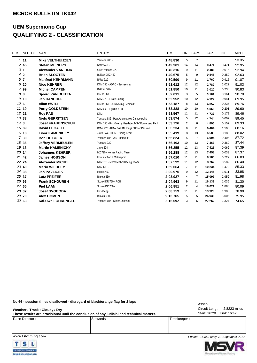## **UEM Supermono Cup QUALIFYING 2 - CLASSIFICATION**

| POS<br>NO.<br>CL. | <b>NAME</b>               | <b>ENTRY</b>                                       | <b>TIME</b> | ON             | LAPS           | GAP    | <b>DIFF</b> | <b>MPH</b> |
|-------------------|---------------------------|----------------------------------------------------|-------------|----------------|----------------|--------|-------------|------------|
| 111               | <b>Mike VELTHUIJZEN</b>   | Yamaha 780 -                                       | 1:48.830    | 5              | $\overline{7}$ |        |             | 93.35      |
| 245               | <b>Stefan MEINERS</b>     | Rotax 450 -                                        | 1:49.301    | 14             | 14             | 0.471  | 0.471       | 92.95      |
| 3 <sub>1</sub>    | <b>Alexander VAN DIJK</b> | Over Yamaha 720 -                                  | 1:49.316    | 9              | 11             | 0.486  | 0.015       | 92.94      |
| 42                | <b>Brian SLOOTEN</b>      | Bakker DRZ 450 -                                   | 1:49.675    | 5              | 9              | 0.845  | 0.359       | 92.63      |
| 57                | <b>Manfred KEHRMANN</b>   | BMW 720 -                                          | 1:50.590    | 9              | 11             | 1.760  | 0.915       | 91.87      |
| 6 20              | <b>Nico KEHRER</b>        | KTM 750 - ADAC - Sachsen ev                        | 1:51.612    | 12             | 12             | 2.782  | 1.022       | 91.03      |
| 7 99              | <b>Michel CAMPEN</b>      | <b>Bakker 720 -</b>                                | 1:51.850    | 10             | 11             | 3.020  | 0.238       | 90.83      |
| 88                | <b>Sjoerd VAN BUITEN</b>  | Ducati 560 -                                       | 1:52.011    | 3              | 5              | 3.181  | 0.161       | 90.70      |
| 9 <sub>10</sub>   | <b>Jan HANHOFF</b>        | KTM 720 - Pirate Racing                            | 1:52.952    | 10             | 12             | 4.122  | 0.941       | 89.95      |
| 106               | Allan ØSTLI               | Ducati 560 - JSB Racing Denmark                    | 1:53.187    | 8              | 13             | 4.357  | 0.235       | 89.76      |
| 11 19             | <b>Perry GOLDSTEIN</b>    | KTM 690 - Hyside KTM                               | 1:53.388    | 10             | 10             | 4.558  | 0.201       | 89.60      |
| 12 21             | <b>Roy PAS</b>            | KTM-                                               | 1:53.567    | 11             | 11             | 4.737  | 0.179       | 89.46      |
| 13 33             | <b>Niels GERRITSEN</b>    | Yamaha 686 - Han Automotive / Camperpoint          | 1:53.574    | 5              | 12             | 4.744  | 0.007       | 89.45      |
| 143               | <b>Josef FRAUENSCHUH</b>  | KTM 750 - Rox-Energy Headstart MSV Domerberg Fa. L | 1:53.726    | $\overline{2}$ | 6              | 4.896  | 0.152       | 89.33      |
| 15 89             | <b>David LEGALLE</b>      | BMW 720 - BMW / AFAM Rings / Boxer Passion         | 1:55.234    | 9              | 11             | 6.404  | 1.508       | 88.16      |
| 16 18             | <b>Libor KAMENICKY</b>    | Jawa 624 - H.L.M. Racing Team                      | 1:55.419    | 8              | 13             | 6.589  | 0.185       | 88.02      |
| 17 30             | <b>Bob DE BOER</b>        | Yamaha 686 - ABC Hekwerk                           | 1:55.824    | 5              | $\overline{7}$ | 6.994  | 0.405       | 87.72      |
| 18 36             | <b>Jeffrey VERMEULEN</b>  | Yamaha 720 -                                       | 1:56.193    | 10             | 13             | 7.363  | 0.369       | 87.44      |
| 19 13             | <b>Martin KAMENICKY</b>   | Jawa 624 -                                         | 1:56.255    | 12             | 13             | 7.425  | 0.062       | 87.39      |
| 20 14             | <b>Johannes KEHRER</b>    | MZ 720 - Kehrer Racing Team                        | 1:56.288    | 12             | 13             | 7.458  | 0.033       | 87.37      |
| 2142              | <b>James HOBSON</b>       | Honda - Two 4 Motorsport                           | 1:57.010    | 11             | 11             | 8.180  | 0.722       | 86.83      |
| 22 24             | <b>Alexander MICHEL</b>   | MUZ 720 - Motor Michel Racing Team                 | 1:57.592    | 11             | 12             | 8.762  | 0.582       | 86.40      |
| 23 40             | <b>Mario WILHELM</b>      | MUZ 660 -                                          | 1:59.064    | $\overline{7}$ | 11             | 10.234 | 1.472       | 85.33      |
| 24 38             | <b>Jan PAVLICEK</b>       | Honda 450 -                                        | 2:00.975    | 9              | 12             | 12.145 | 1.911       | 83.98      |
| 25 37             | <b>Lutz PFEIFER</b>       | Bimota 650 -                                       | 2:03.927    | 4              | $\overline{7}$ | 15.097 | 2.952       | 81.98      |
| 26 96             | <b>Frank SCHOUREN</b>     | Suzuki DR 750 - RCB                                | 2:04.963    | 9              | 11             | 16.133 | 1.036       | 81.30      |
| 27 65             | <b>Piet LAAN</b>          | Suzuki DR 750 -                                    | 2:06.851    | $\overline{2}$ | $\overline{4}$ | 18.021 | 1.888       | 80.09      |
| 28 32             | <b>Josef SVOBODA</b>      | Husaberg -                                         | 2:08.759    | 11             | 11             | 19.929 | 1.908       | 78.90      |
| 29 70             | <b>Alex OOMEN</b>         | Bimota 650 -                                       | 2:13.765    | 5              | 5              | 24.935 | 5.006       | 75.95      |
| 3063              | Kai-Uwe LOHRENGEL         | Yamaha 686 - Dieter Sanchex                        | 2:16.092    | 3              | 5              | 27.262 | 2.327       | 74.65      |
|                   |                           |                                                    |             |                |                |        |             |            |

**No 66 - session times disallowed - disregard of black/orange flag for 2 laps**

#### **Weather / Track : Cloudy / Dry**

| These results are provisional until the conclusion of any judicial and technical matters. |  | Start: 16:20    End: 16:47 |  |
|-------------------------------------------------------------------------------------------|--|----------------------------|--|

Race Director : Stewards : Stewards : Stewards : Timekeeper :



**www.tsl-timing.com** *Printed - 16.55 Friday, 21 September 2012*

Circuit Length = 2.8223 miles

Assen

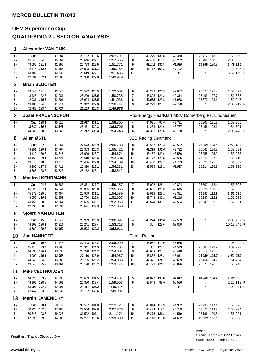| 1              | <b>Alexander VAN DIJK</b>       |                  |                              |                      |                |                                 |                  |                                                   |                      |
|----------------|---------------------------------|------------------|------------------------------|----------------------|----------------|---------------------------------|------------------|---------------------------------------------------|----------------------|
| 1 -            | Out 107.2                       | 47.884           | 28.122 119.6                 | 2:07.791             | $7 -$          | 42.279 131.8                    | 42.368           | 25.412 118.9                                      | 1:50.059             |
| 2 -            | 45.848 124.5                    | 45.061           | 26.646 127.7                 | 1:57.555             | $8 -$          | 47.400 115.1                    | 46.202           | 26.784 130.3                                      | 2:00.386             |
| 3 -            | 43.082 131.1                    | 42.896           | 25.793 129.9                 | 1:51.771             | 9 -            | 42.142 131.8                    | 41.925           | 25.249 130.3                                      | 1:49.316             |
| 4.             | 42.478 132.6                    | 42.158           | 25.548<br>131.1              | 1:50.184             | 10 -           | 47.712 100.3                    | 47.192           | In                                                | 2:11.893 P           |
| 5.             | 43.182<br>131.3                 | 42.635           | 25.619 127.7                 | 1:51.436             | $11 -$         |                                 | In               | In                                                | 5:51.150 P           |
| 6 -            | 42.291 132.1                    | 42.308           | 25.380 127.0                 | 1:49.979             |                |                                 |                  |                                                   |                      |
| $\mathbf{2}$   | <b>Brian SLOOTEN</b>            |                  |                              |                      |                |                                 |                  |                                                   |                      |
| $1 -$          | 43.844 121.8                    | 42.646           | 25.592 126.3                 | 1:52.082             | $6 -$          | 43.243 120.9                    | 42.057           | 25.377 127.4                                      | 1:50.677             |
| $2 -$          | 43.425 122.5                    | 42.084           | 25.229<br>128.5              | 1:50.738             | 7 -            | 43.828 121.8                    | 42.314           | 25.493 127.7                                      | 1:51.635             |
| 3 -            | 42.931<br>126.6                 | 42.201           | 25.904<br>128.5              | 1:51.036             | $8 -$          | 42.682 123.8                    | 41.988           | 25.377 128.1                                      | 1:50.047             |
| 4 -            | 43.488<br>124.0                 | 41.914           | 25.342 127.0                 | 1:50.744             | 9.             | 44.279 120.7                    | 42.790           | In                                                | 2:03.219 P           |
| 5 -            | 42.789 123.4                    | 41.727           | 25.159 126.3                 | 1:49.675             |                |                                 |                  |                                                   |                      |
| 3              | <b>Josef FRAUENSCHUH</b>        |                  |                              |                      |                |                                 |                  | Rox-Energy Headstart MSV Domerberg Fa. Lindhbauer |                      |
| $1 -$          | Out 128.1                       | 45.510           | 26.037 131.1                 | 1:58.805             | 4.             | 44.031<br>92.6                  | 43.731           | 26.203 131.9                                      | 1:53.965             |
| $2 -$          | 43.710 130.6                    | 43.545           | 26.471 130.3                 | 1:53.726             | $5 -$          | 44.288<br>121.6                 | 43.757           | 26.456 128.1                                      | 1:54.501             |
| $3 -$          | 44.066<br>130.6                 | 43.965           | 26.212 133.4                 | 1:54.243             | $6 -$          | 44.322 123.6                    | 43.768           | In                                                | 2:09.443 P           |
| 6              | Allan ØSTLI                     |                  |                              |                      |                | <b>JSB Racing Denmark</b>       |                  |                                                   |                      |
| $1 -$          | 122.9<br>Out                    | 47.961           | 27.543<br>125.9              | 2:00.733             | $8 -$          | 43.567 129.3                    | 43.552           | 26.068 128.8                                      | 1:53.187             |
| $2 -$          | 44.351 129.1                    | 43.767           | 27.303 126.3                 | 1:55.421             | 9.             | 43.296 130.6                    | 43.732           | 26.563 126.7                                      | 1:53.591             |
| 3 -            | 44.119 130.3                    | 43.646           | 26.909 126.7                 | 1:54.674             | $10 -$         | 43.457 129.6                    | 43.556           | 26.255 125.9                                      | 1:53.268             |
| 4.             | 43.453<br>129.1                 | 43.721           | 125.6<br>26.510              | 1:53.684             | $11 -$         | 46.777<br>128.8                 | 43.556           | 26.377 127.0                                      | 1:56.710             |
| 5.             | 43.873 128.8                    | 43.770           | 26.466 127.0                 | 1:54.109             | $12 -$         | 129.1<br>43.460                 | 44.723           | 26.326 125.6                                      | 1:54.509             |
| 6 -<br>7 -     | 44.200<br>127.8<br>43.668 128.8 | 43.711<br>43.722 | 26.320 128.1<br>26.152 128.1 | 1:54.231<br>1:53.542 | $13 -$         | 43.585 129.1                    | 43.527           | 26.214 126.3                                      | 1:53.326             |
| $\overline{7}$ | <b>Manfred KEHRMANN</b>         |                  |                              |                      |                |                                 |                  |                                                   |                      |
|                |                                 |                  |                              |                      |                |                                 |                  |                                                   |                      |
| $1 -$<br>$2 -$ | Out 104.7<br>45.020 127.1       | 46.682<br>44.541 | 26.871 127.7<br>26.305 128.8 | 1:59.157<br>1:55.866 | $7 -$<br>$8 -$ | 43.022 126.1<br>43.665<br>129.3 | 42.804<br>42.615 | 27.802 112.4<br>25.926 130.3                      | 1:53.628<br>1:52.206 |
| 3 -            | 45.173 129.6                    | 43.457           | 25.959 131.1                 | 1:54.589             | 9 -            | 42.618 129.1                    | 42.391           | 25.581 131.9                                      | 1:50.590             |
| 4.             | 43.055<br>130.8                 | 42.852           | 26.700 128.8                 | 1:52.607             | 10 -           | 42.743 130.1                    | 42.148           | 26.147<br>131.9                                   | 1:51.038             |
| 5.             | 43.456<br>130.3                 | 42.964           | 25.635<br>130.7              | 1:52.055             | $11 -$         | 42.578 130.1                    | 42.504           | 26.849 122.8                                      | 1:51.931             |
| 6 -            | 42.790 130.6                    | 42.597           | 25.671 129.9                 | 1:51.058             |                |                                 |                  |                                                   |                      |
| 8              | <b>Sjoerd VAN BUITEN</b>        |                  |                              |                      |                |                                 |                  |                                                   |                      |
| $1 -$          | 115.3<br>Out                    | 47.249           | 26.959<br>125.9              | 2:00.897             | 4.             | 43.274 130.6                    | 47.509           | ln                                                | 2:05.762 P           |
| $2 -$          | 44.163<br>130.1                 | 43.314           | 26.241 127.4                 | 1:53.718             | 5 -            | Out 128.6                       | 53.850           | In                                                | 10:18.645 P          |
| 3 -            | 43.560 129.8                    | 42.450           | 26.001 130.3                 | 1:52.011             |                |                                 |                  |                                                   |                      |
| 10             | <b>Jan HANHOFF</b>              |                  |                              |                      |                | <b>Pirate Racing</b>            |                  |                                                   |                      |
| $1 -$          | Out 119.8                       | 47.147           | 27.423 123.2                 | 2:06.090             | 7 -            | 45.957 119.0                    | 45.935           | In                                                | 2:08.292 P           |
| 2 -            | 45.413 123.4                    | 43.983           | 26.341 124.9                 | 1:55.737             | 8 -            | Out 121.1                       | 44.549           | 26.688 123.2                                      | 3:39.272             |
| 3 -            | 44.090 126.1                    | 43.636           | 26.278 124.2                 | 1:54.004             | 9.             | 43.633 125.7                    | 43.410           | 26.312 125.6                                      | 1:53.355             |
| 4 -            | 44.000 726.7                    | 42.957           | 27.110 123.9                 | 1:54.067             | $10 -$         | 43.882 125.2                    | 43.011           | 26.059 126.7                                      | 1:52.952             |
| 5 -            | 44.240 124.0                    | 43.088           | 26.705 125.2                 | 1:54.033             | $11 -$         | 44.371 124.7                    | 43.669           | 26.454 124.2                                      | 1:54.494             |
| 6 -            | 43.840 125.9                    | 43.164           | 26.170 125.2                 | 1:53.174             | $12 -$         | 43.793<br>126.1                 | 43.876           | 26.077 126.3                                      | 1:53.746             |
| 11             | <b>Mike VELTHUIJZEN</b>         |                  |                              |                      |                |                                 |                  |                                                   |                      |
| $1 -$          | 44.728 133.2                    | 44.090           | 25.669 131.5                 | 1:54.487             | 5 -            | 41.827 135.0                    | 42.017           | 24.986 134.2                                      | 1:48.830             |
| 2 -            | 48.962 128.8                    | 44.661           | 25.380 133.4                 | 1:59.003             | $6 -$          | 49.548<br>89.0                  | 50.596           | In                                                | 2:20.119 P           |
| $3 -$          | 41.806 137.2                    | 42.091           | 25.417 134.2                 | 1:49.314             | 7 -            |                                 | In               | In                                                | 11:09.061 P          |
| 4 -            | 42.447 133.9                    | 42.338           | 25.122 132.6                 | 1:49.907             |                |                                 |                  |                                                   |                      |
| 13             | <b>Martin KAMENICKY</b>         |                  |                              |                      |                |                                 |                  |                                                   |                      |
| $1 -$          | Out<br>88.1                     | 50.579           | 30.537 101.0                 | 2:12.121             | $8 -$          | 45.814 117.9                    | 44.952           | 27.930 117.4                                      | 1:58.696             |
| 2 -            | 50.334 102.5                    | 47.986           | 29.556 107.6                 | 2:07.876             | 9 -            | 45.494 119.2                    | 44.768           | 27.072 119.3                                      | 1:57.334             |
| 3 -            | 50.646<br>93.5                  | 49.026           | 31.502 107.1                 | 2:11.174             | 10 -           | 45.276 120.1                    | 44.519           | 27.196 120.5                                      | 1:56.991             |
| 4 -            | 47.693 109.8                    | 44.886           | 27.251 119.6                 | 1:59.830             | $11 -$         | 45.118 119.0                    | 44.622           | 26.628 122.5                                      | 1:56.368             |

**Weather / Track : Cloudy / Dry**

Circuit Length = 2.8223 miles Start: 16:20 End: 16:47 Assen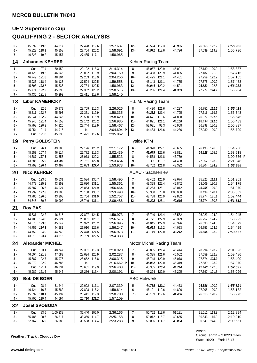| 5.    | 45.392 119.8            | 44.817   | 27.428 119.6    | 1:57.637   | $12 -$      | 45.594 117.3             | 43.995   | 26.666 122.2    | 1:56.255   |
|-------|-------------------------|----------|-----------------|------------|-------------|--------------------------|----------|-----------------|------------|
| 6 -   | 45.829 118.1            | 45.158   | 27.704 120.2    | 1:58.691   | $13 -$      | 44.971 118.6             | 44.726   | 27.039 119.9    | 1:56.736   |
| $7 -$ | 46.323 119.2            | 45.157   | 27.485<br>117.1 | 1:58.965   |             |                          |          |                 |            |
|       |                         |          |                 |            |             |                          |          |                 |            |
| 14    | <b>Johannes KEHRER</b>  |          |                 |            |             | Kehrer Racing Team       |          |                 |            |
| $1 -$ | 97.4<br>Out             | 50.450   | 29.102 118.3    | 2:14.314   | 8 -         | 46.057 120.9             | 45.091   | 27.189 120.9    | 1:58.337   |
| $2 -$ | 48.123 119.2            | 46.945   | 29.082 119.9    | 2:04.150   | 9.          | 45.338 120.9             | 44.895   | 27.182 121.8    | 1:57.415   |
| 3 -   | 46.749 121.8            | 48.304   | 29.203 118.9    | 2:04.256   | $10 -$      | 45.425<br>121.1          | 44.481   | 27.259 122.2    | 1:57.165   |
| 4.    | 45.926 118.4            | 46.128   | 27.504 120.5    | 1:59.558   | $11 -$      | 45.143 121.1             | 44.735   | 27.575 120.9    | 1:57.453   |
|       |                         |          |                 |            |             |                          |          |                 |            |
| 5 -   | 45.593<br>122.7         | 45.636   | 122.5<br>27.734 | 1:58.963   | $12 -$      | 44.944 122.2             | 44.521   | 26.823 122.8    | 1:56.288   |
| 6 -   | 122.2<br>45.771         | 45.393   | 27.352 120.2    | 1:58.516   | $13 -$      | 45.266 121.4             | 44.359   | 27.279<br>124.2 | 1:56.904   |
| 7 -   | 45.436 121.8            | 45.293   | 27.411 118.6    | 1:58.140   |             |                          |          |                 |            |
| 18    | <b>Libor KAMENICKY</b>  |          |                 |            |             | H.L.M. Racing Team       |          |                 |            |
| $1 -$ | 92.6<br>Out             | 50.979   | 28.709<br>115.3 | 2:26.026   | $\pmb{8}$ . | 44.430<br>121.6          | 44.237   | 26.752<br>121.5 | 1:55.419   |
| $2 -$ | 45.511 122.7            | 45.493   | 27.331 119.9    | 1:58.335   | 9.          | 44.232 121.4             | 44.795   | 27.316 119.6    | 1:56.343   |
| 3 -   | 122.9<br>45.044         | 44.846   | 28.530 115.9    | 1:58.420   | $10 -$      | 44.671<br>118.6          | 44.898   | 121.5<br>26.977 | 1:56.546   |
|       |                         |          |                 |            |             |                          |          |                 |            |
| 4.    | 45.240 121.4            | 44.553   | 27.142 120.2    | 1:56.935   | $11 -$      | 44.821<br>121.1          | 44.168   | 26.494 121.5    | 1:55.483   |
| 5 -   | 45.798 120.3            | 44.925   | 27.744 119.9    | 1:58.467   | $12 -$      | 52.091<br>92.3           | 46.908   | 26.898 120.2    | 2:05.897   |
| 6.    | 45.054<br>121.4         | 44.916   | In              | 2:04.604 P | $13 -$      | 44.483<br>121.6          | 44.236   | 27.080 120.2    | 1:55.799   |
| 7 -   | Out<br>121.8            | 45.830   | 28.421 119.6    | 2:35.062   |             |                          |          |                 |            |
| 19    | <b>Perry GOLDSTEIN</b>  |          |                 |            |             | Hyside KTM               |          |                 |            |
| $1 -$ | Out<br>96.1             | 49.883   | 29.196 120.2    | 2:11.172   | $6 -$       | 44.378 127.1             | 43.685   | 26.193 126.3    | 1:54.256   |
|       |                         |          |                 |            | $7 -$       |                          |          |                 |            |
| $2 -$ | 48.553<br>107.4         | 46.114   | 27.772 119.3    | 2:02.439   |             | 43.679 127.6             | 43.811   | 26.128 125.6    | 1:53.618   |
| 3 -   | 44.687<br>127.8         | 43.858   | 26.978 122.2    | 1:55.523   | $8 -$       | 44.568 121.8             | 43.739   | In              | 3:00.336 P |
| 4.    | 43.686 125.9            | 43.007   | 122.8<br>26.761 | 1:53.454   | 9 -         | Out<br>115.7             | 44.488   | 27.052 123.9    | 2:21.848   |
| 5 -   | 43.793 126.4            | 43.497   | 127.4<br>26.683 | 1:53.973   | $10 -$      | 43.762 121.8             | 43.322   | 26.304<br>124.9 | 1:53.388   |
| 20    | <b>Nico KEHRER</b>      |          |                 |            |             | ADAC - Sachsen ev        |          |                 |            |
| $1 -$ | Out 123.6               | 45.531   | 26.534 130.7    | 1:58.495   | $7 -$       | 43.462 126.9             | 42.674   | 25.825<br>132.2 | 1:51.961   |
| $2 -$ | 44.478 125.2            | 43.853   | 27.030 131.1    | 1:55.361   | $8 -$       | 43.328<br>125.4          | 42.842   | 28.009 130.7    | 1:54.179   |
| 3 -   | 45.587 126.6            | 44.024   | 26.853 124.9    | 1:56.464   | 9 -         | 43.253<br>126.1          | 43.012   | 25.705 129.9    | 1:51.970   |
| 4.    | 43.999<br>127.6         | 43.306   | 130.7<br>26.188 | 1:53.493   | $10 -$      | 53.380<br>70.0           | 1:05.038 | 38.434 128.1    | 2:36.852   |
| 5 -   | 43.785<br>126.6         | 43.208   | 131.9<br>25.764 | 1:52.757   | $11 -$      | 43.788<br>126.9          | 42.882   | 25.774<br>131.1 | 1:52.444   |
| 6 -   | 54.645<br>70.7          | 49.092   | 25.749 131.1    | 2:09.486   | $12 -$      | 43.222 126.1             | 42.616   | 25.774 130.3    | 1:51.612   |
|       |                         |          |                 |            |             |                          |          |                 |            |
| 21    | <b>Roy PAS</b>          |          |                 |            |             |                          |          |                 |            |
| $1 -$ | 45.831<br>122.2         | 46.315   | 27.827<br>124.5 | 1:59.973   | 7 -         | 43.740<br>121.4          | 43.582   | 26.923 124.2    | 1:54.245   |
| $2 -$ | 44.700 124.0            | 45.024   | 26.851 126.7    | 1:56.575   | $\pmb{8}$ . | 43.771 122.9             | 43.399   | 26.752 124.2    | 1:53.922   |
| 3 -   | 44.876 123.8            | 45.047   | 26.972 123.2    | 1:56.895   | 9 -         | 44.045<br>122.9          | 43.396   | 26.638 124.5    | 1:54.079   |
| 4.    | 44.756<br>124.3         | 44.581   | 125.6<br>26.910 | 1:56.247   | $10 -$      | 43.653 119.2             | 44.023   | 26.753 124.2    | 1:54.429   |
| 5 -   | 44.752 124.0            | 44.743   | 27.478 124.5    | 1:56.973   | $11 -$      | 43.749 122.0             | 43.212   | 26.606 123.2    | 1:53.567   |
| 6 -   | 43.813 123.4            | 43.816   | 26.709 122.5    | 1:54.338   |             |                          |          |                 |            |
| 24    | <b>Alexander MICHEL</b> |          |                 |            |             | Motor Michel Racing Team |          |                 |            |
|       |                         |          |                 |            |             |                          |          |                 |            |
| $1 -$ | Out 103.1               | 48.747   | 29.381 119.3    | 2:10.920   | $7 -$       | 45.885 121.4             | 46.444   | 28.994 123.2    | 2:01.323   |
| $2 -$ | 46.504 121.8            | 47.089   | 28.694 120.9    | 2:02.287   | $8 -$       | 46.325 121.6             | 45.502   | 27.659 122.8    | 1:59.486   |
| 3 -   | 45.687 122.7            | 45.976   | 28.652 116.8    | 2:00.315   | 9 -         | 45.748 122.9             | 45.078   | 27.574 123.9    | 1:58.400   |
| 4.    | 46.972 122.0            | 46.785   | $\ln$           | 2:16.662 P | 10 -        | 45.062 122.0             | 45.319   | 27.589 123.2    | 1:57.970   |
| 5 -   | Out 121.1               | 46.831   | 28.651 119.9    | 3:56.408   | $11 -$      | 45.365 123.4             | 44.744   | 27.483 122.5    | 1:57.592   |
| $6 -$ | 45.989 121.6            | 45.946   | 28.256 117.4    | 2:00.191   | $12 -$      | 45.294 122.0             | 45.205   | 27.597 121.8    | 1:58.096   |
| 30    | <b>Bob DE BOER</b>      |          |                 |            |             | <b>ABC Hekwerk</b>       |          |                 |            |
| $1 -$ | Out<br>98.4             | 51.444   | 29.002 117.1    | 2:07.339   | $5 -$       | 44.755 120.1             | 44.473   | 26.596 120.9    | 1:55.824   |
| $2 -$ | 46.124 116.7            | 45.682   | 27.808 116.2    | 1:59.614   | $6 -$       | 46.121 119.6             | 44.806   | 27.205 120.2    | 1:58.132   |
| $3 -$ | 45.092 118.1            | 45.197   | 28.411 119.3    | 1:58.700   | 7 -         | 45.189 119.6             | 44.466   | 26.618 120.9    | 1:56.273   |
| 4.    | 45.705 119.4            | 44.694   | 26.710 122.2    | 1:57.109   |             |                          |          |                 |            |
|       |                         |          |                 |            |             |                          |          |                 |            |
| 32    | <b>Josef SVOBODA</b>    |          |                 |            |             |                          |          |                 |            |
| $1 -$ | Out<br>83.6             | 1:00.338 | 35.440 106.0    | 2:36.166   | $7 -$       | 50.762 113.6             | 51.121   | 31.011 113.3    | 2:12.894   |
| $2 -$ | 55.485 100.6            | 56.317   | 33.356 114.7    | 2:25.158   | $8 -$       | 50.012 115.7             | 49.655   | 30.543 115.9    | 2:10.210   |
| $3 -$ | 52.767 106.9            | 56.983   | 33.538 114.4    | 2:23.288   | 9 -         | 50.006 114.7             | 49.004   | 30.641<br>118.3 | 2:09.651   |

**Weather / Track : Cloudy / Dry**

Assen

Circuit Length = 2.8223 miles Start: 16:20 End: 16:47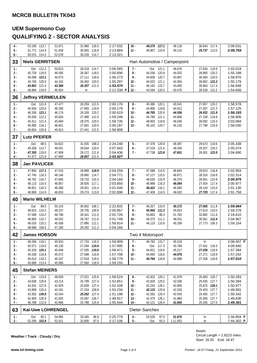| 4.             | 53.195 113.7                | 51.871           | 31.966 116.5                     | 2:17.032             | $10 -$       | 49.270 117.1                  | 49.118             | 30.643 117.4        | 2:09.031                 |
|----------------|-----------------------------|------------------|----------------------------------|----------------------|--------------|-------------------------------|--------------------|---------------------|--------------------------|
| 5.             | 51.771 114.9                | 51.458           | 30.655 116.8                     | 2:13.884             | $11 -$       | 49.907 115.9                  | 49.115             | <i>29.737</i> 113.0 | 2:08.759                 |
| 6 -            | 50.515 114.3                | 52.578           | 30.228 114.7                     | 2:13.321             |              |                               |                    |                     |                          |
|                |                             |                  |                                  |                      |              |                               |                    |                     |                          |
| 33             | <b>Niels GERRITSEN</b>      |                  |                                  |                      |              | Han Automotive / Camperpoint  |                    |                     |                          |
| $1 -$          | Out 112.2                   | 50.813           | 28.318 114.7                     | 2:06.565             | $7 -$        | Out 121.1                     | 46.676             | 27.834 118.9        | 2:43.019                 |
| $2 -$          | 45.728 119.0                | 46.595           | 28.367 118.0                     | 2:00.690             | $\pmb{8}$ .  | 44.256 120.9                  | 44.032             | 26.900 120.2        | 1:55.188                 |
| 3 -            | 45.089<br>123.1             | 44.073           | 27.111 118.6                     | 1:56.273             | 9 -          | 44.609<br>120.7               | 43.967             | 30.394<br>120.5     | 1:58.970                 |
| 4.             | 44.745 120.5                | 44.102           | 26.450 120.5                     | 1:55.297             | $10 -$       | 44.023<br>121.1               | 44.304             | 26.852 122.2        | 1:55.179                 |
| $5 -$          | 43.901 121.4                | 43.366           | 26.307 121.5                     | 1:53.574             | $11 -$       | 46.192<br>122.7               | 43.493             | 26.963<br>117.4     | 1:56.648                 |
| $6 -$          | 46.984 119.0                | 45.924           |                                  | 2:11.338 P           | $12 -$       |                               | 43.475             |                     | 1:54.608                 |
|                |                             |                  | In.                              |                      |              | 44.594 120.5                  |                    | 26.539 121.2        |                          |
| 36             | <b>Jeffrey VERMEULEN</b>    |                  |                                  |                      |              |                               |                    |                     |                          |
|                |                             |                  |                                  |                      |              |                               |                    |                     |                          |
| $1 -$          | 121.8<br>Out                | 47.477           | 28.259<br>121.5                  | 2:00.176             | $8 -$        | 45.380<br>120.1               | 45.541             | 27.657 120.2        | 1:58.578                 |
| $2 -$          | 45.934 120.9                | 46.290           | 27.955 119.9                     | 2:00.179             | 9.           | 44.906 119.8                  | 44.912             | 27.307 121.2        | 1:57.125                 |
| $3 -$          | 46.336<br>123.1             | 46.174           | 28.109 120.2                     | 2:00.619             | $10 -$       | 44.705 120.9                  | 44.556             | 26.932 121.8        | 1:56.193                 |
| 4.             | 45.926 122.2                | 45.834           | 27.488<br>121.5                  | 1:59.248             | $11 -$       | 44.780<br>121.1               | 44.868             | 27.158 119.9        | 1:56.806                 |
| 5 -            | 45.411<br>121.4             | 45.949           | 120.5<br>28.375                  | 1:59.735             | $12 -$       | 48.953 119.8                  | 46.049             | 28.082 119.3        | 2:03.084                 |
| 6 -            | 45.895 118.1                | 46.601           | 27.691 120.5                     | 2:00.187             | $13 -$       | 45.102 120.7                  | 45.130             | 27.798 119.9        | 1:58.030                 |
| 7 -            | 45.654<br>120.9             | 45.813           | 27.441<br>121.5                  | 1:58.908             |              |                               |                    |                     |                          |
|                |                             |                  |                                  |                      |              |                               |                    |                     |                          |
| 37             | <b>Lutz PFEIFER</b>         |                  |                                  |                      |              |                               |                    |                     |                          |
| $1 -$          | Out<br>88.5                 | 54.622           | 31.555<br>108.3                  | 2:24.248             | $5 -$        | 47.378 120.9                  | 48.387             | 29.673 119.6        | 2:05.438                 |
| $2 -$          | 49.338 113.7                | 49.041           | 120.5<br>29.564                  | 2:07.943             | $6 -$        | 121.6<br>47.518               | 48.349             | 29.207<br>120.2     | 2:05.074                 |
| $3 -$          | 47.355 119.0                | 47.909           | 29.172 121.8                     | 2:04.436             | 7 -          | 47.738<br>123.8               | 47.651             | 29.301<br>123.5     | 2:04.690                 |
| 4 -            | 47.377 121.8                | 47.693           | <i>28.857</i> 121.5              | 2:03.927             |              |                               |                    |                     |                          |
|                |                             |                  |                                  |                      |              |                               |                    |                     |                          |
| 38             | <b>Jan PAVLICEK</b>         |                  |                                  |                      |              |                               |                    |                     |                          |
| $1 -$          | 47.850 117.1                | 47.510           | 28.899<br>118.9                  | 2:04.259             | $7 -$        | 47.098<br>114.5               | 46.843             | 29.013 116.8        | 2:02.954                 |
| $2 -$          | 47.745 116.3                | 48.146           | 28.880 114.7                     | 2:04.771             | $\pmb{8}$ .  | 47.127 115.5                  | 46.871             | 28.316 116.8        | 2:02.314                 |
| 3 -            | 46.762 116.7                | 47.665           | 29.733 115.3                     | 2:04.160             | 9 -          | 46.535<br>115.9               | 46.379             | 28.061 115.9        | 2:00.975                 |
| 4.             | 48.110 116.5                | 46.857           | 28.926 117.1                     | 2:03.893             | $10 -$       | 46.989<br>116.3               | 46.064             | 27.924 117.4        | 2:00.977                 |
| 5.             | 46.821 116.3                | 46.368           | 28.451 115.3                     | 2:01.640             | $11 -$       | 46.422 116.1                  | 46.565             | 28.143 115.0        | 2:01.130                 |
|                |                             | 46.653           | 29.274 113.8                     | 2:02.896             | $12 -$       | 47.409 114.5                  | 46.620             | 27.729 117.4        |                          |
| $6 -$          | 46.969 114.9                |                  |                                  |                      |              |                               |                    |                     | 2:01.758                 |
| 40             | <b>Mario WILHELM</b>        |                  |                                  |                      |              |                               |                    |                     |                          |
| $1 -$          | 89.5<br>Out                 | 55.153           | 30.662 108.1                     | 2:22.832             | $7 -$        | 46.327 110.9                  | 45.172             | 27.565 111.8        | 1:59.064                 |
|                |                             |                  |                                  |                      |              |                               |                    |                     |                          |
| $2 -$          | 48.915 110.2                | 48.237           | 109.9<br>28.705                  | 2:05.857             | $8 -$        | 45.940 111.3                  | 45.824             | 27.614 110.5        | 1:59.378                 |
| $3 -$          | 47.589 110.2                | 46.796           | 28.341 111.0                     | 2:02.726             | 9.           | 53.863<br>86.3                | 51.765             | 33.982 111.6        | 2:19.610                 |
| 4.             | 46.950 110.7                | 46.032           | 28.767 111.6                     | 2:01.749             | $10 -$       | 46.375<br>111.1               | 48.031             | 30.561<br>112.4     | 2:04.967                 |
| 5 -            | 46.516 110.2                | 45.508           | 27.890 112.1                     | 1:59.914             | $11 -$       | 46.123 110.9                  | 45.258             | 27.773 106.3        | 1:59.154                 |
| 6 -            | 48.688 109.5                | 47.180           | 28.292 111.3                     | 2:04.160             |              |                               |                    |                     |                          |
| 42             | <b>James HOBSON</b>         |                  |                                  |                      |              |                               |                    |                     |                          |
|                |                             |                  |                                  |                      |              |                               |                    |                     |                          |
|                |                             |                  |                                  |                      |              | Two 4 Motorsport              |                    |                     |                          |
| $1 -$          | 46.266 118.1                | 45.910           | 27.733 118.3                     | 1:59.909             | 7 -          | 46.782 115.7                  | 45.518             | In                  | 2:08.407 P               |
| $2 -$          | 45.571 119.0                | 45.130           | 27.294 119.9                     | 1:57.995             | 8 -          | Out 117.3                     | 45.768             | 27.541 118.3        | 4:09.840                 |
| 3 -            | 45.318 120.1                | 45.648           | 27.505 119.9                     | 1:58.471             | 9.           | 44.921 119.6                  | 45.217             | 27.256 118.9        | 1:57.394                 |
| 4 -            | 45.038 119.8                | 45.072           | 27.598 116.8                     | 1:57.708             | 10 -         | 44.993 118.6                  | 44.978             | 27.271 118.9        | 1:57.242                 |
| $5 -$          | 45.614 119.2                | 45.247           | 27.918 118.0                     | 1:58.779             | $11 -$       | 44.764 118.8                  | 44.988             | 27.258 118.6        | 1:57.010                 |
| $6 -$          | 45.689 113.4                | 45.906           | 27.560 118.9                     | 1:59.155             |              |                               |                    |                     |                          |
|                |                             |                  |                                  |                      |              |                               |                    |                     |                          |
| 45             | <b>Stefan MEINERS</b>       |                  |                                  |                      |              |                               |                    |                     |                          |
| $1 -$          | Out 123.8                   | 46.829           | 27.021 125.6                     | 1:58.524             | $8 -$        | 42.822 126.1                  | 41.978             | 25.483 126.7        | 1:50.283                 |
| $2 -$          | 43.638 126.6                | 43.214           | 25.799 127.4                     | 1:52.651             | 9 -          | 42.928 125.0                  | 42.036             | 25.430 127.7        | 1:50.394                 |
| 3 -            | 43.341 127.6                | 42.929           | 25.839 127.4                     | 1:52.109             | 10 -         | 42.243 128.1                  | 42.859             | 25.875 128.1        | 1:50.977                 |
| 4 -            | 42.809 125.0                | 43.191           | 27.234 109.9                     | 1:53.234             | $11 -$       | 42.115 125.9                  | 42.333             | 25.453 127.7        | 1:49.901                 |
| 5 -            | 43.392 130.8                | 42.544           | 25.262 127.4                     | 1:51.198             | $12 -$       | 42.392 125.4                  | 42.545             | 25.405 127.7        | 1:50.342                 |
| 6 -            | 42.405 126.9                | 41.925           | 25.587 126.7                     | 1:49.917             | $13 -$       | 42.470 126.1                  | 41.860             | 25.300 127.7        | 1:49.630                 |
| $7 -$          | 46.788 112.6                | 42.968           | 25.788 125.9                     | 1:55.544             | $14 -$       | 42.121 126.4                  | 41.845             | 25.335 127.0        | 1:49.301                 |
| 63             | Kai-Uwe LOHRENGEL           |                  |                                  |                      |              | Dieter Sanchex                |                    |                     |                          |
|                |                             |                  |                                  |                      |              |                               |                    |                     |                          |
| $1 -$<br>$2 -$ | 90.1<br>Out<br>52.295 102.8 | 54.965<br>52.011 | 33.345<br>96.9<br>97.5<br>32.800 | 2:25.774<br>2:17.106 | $4 -$<br>5 - | 53.528<br>97.0<br>93.3<br>Out | 51.670<br>1:11.053 | In<br>In            | 2:34.854 P<br>7:44.302 P |

**Weather / Track : Cloudy / Dry**

Assen

Circuit Length = 2.8223 miles Start: 16:20 End: 16:47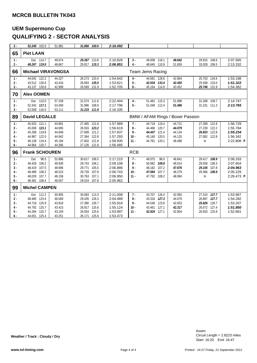| $3 -$ | 52.245 102.0              | 51.981 | 31.866 100.6    | 2:16.092 |            |                                  |        |                 |            |
|-------|---------------------------|--------|-----------------|----------|------------|----------------------------------|--------|-----------------|------------|
|       | <b>Piet LAAN</b>          |        |                 |          |            |                                  |        |                 |            |
| 65    |                           |        |                 |          |            |                                  |        |                 |            |
| $1 -$ | Out 114.7                 | 49.674 | 29.367 113.8    | 2:10.826 | $3 -$      | 49.008<br>118.1                  | 48.642 | 29.915 108.6    | 2:07.565   |
| $2 -$ | 48.267 119.0              | 48.667 | 29.917 115.3    | 2:06.851 | 4 -        | 48.645 110.9                     | 51.659 | 33.028 106.5    | 2:13.332   |
| 66    | <b>Michael VIRAVONGSA</b> |        |                 |          |            | Team Jems Racing                 |        |                 |            |
| $1 -$ | 44.042 122.2              | 44.327 | 26.273 133.4    | 1:54.642 | 4.         | 44.581 128.6                     | 42.864 | 25.753 134.6    | 1:53.198   |
| $2 -$ | 43.512 130.6              | 43.416 | 26.693<br>135.0 | 1:53.621 | $5 -$      | 42.934 133.4                     | 42.450 | 25.938 133.0    | 1:51.322   |
| $3 -$ | 43.137 130.8              | 42.999 | 131.9<br>26.569 | 1:52.705 | 6 -        | 45.164<br>114.9                  | 43.452 | 25.746 131.9    | 1:54.362   |
| 70    | <b>Alex OOMEN</b>         |        |                 |          |            |                                  |        |                 |            |
| $1 -$ | Out 110.0                 | 57.109 | 31.574 111.6    | 2:22.404 | 4.         | 51.481 115.3                     | 51.998 | 31.268 109.7    | 2:14.747   |
| $2 -$ | 52.342 117.1              | 53.458 | 31.996 108.6    | 2:17.796 | $5 -$      | 51.048 112.4                     | 51.486 | 31.231 111.3    | 2:13.765   |
| $3 -$ | 52.009 116.5              | 53.111 | 31.215 111.8    | 2:16.335 |            |                                  |        |                 |            |
| 89    | <b>David LEGALLE</b>      |        |                 |          |            | BMW / AFAM Rings / Boxer Passion |        |                 |            |
| $1 -$ | 45.633 121.1              | 44.891 | 27.465<br>121.8 | 1:57.989 | $7 -$      | 119.4<br>44.719                  | 44.721 | 27.289 122.8    | 1:56.729   |
| $2 -$ | 45.008 123.1              | 44.695 | 26.916<br>123.2 | 1:56.619 | $8 -$      | 44.466 120.7                     | 44.079 | 27.239 122.2    | 1:55.784   |
| $3 -$ | 45.289 119.8              | 44.849 | 121.2<br>27.699 | 1:57.837 | 9.         | 44.447 121.4                     | 44.134 | 26.653 122.8    | 1:55.234   |
| 4.    | 122.0<br>44.987           | 44.942 | 27.364<br>122.8 | 1:57.293 | $10 -$     | 120.5<br>45.140                  | 44.120 | 27.082 122.8    | 1:56.342   |
| $5 -$ | 46.139<br>119.4           | 45.194 | 27.602<br>121.8 | 1:58.935 | $11 -$     | 44.761 120.1                     | 48.498 | ln              | 2:22.808 P |
| 6 -   | 44.964 120.7              | 44.395 | 27.126 121.8    | 1:56.485 |            |                                  |        |                 |            |
| 96    | <b>Frank SCHOUREN</b>     |        |                 |          | <b>RCB</b> |                                  |        |                 |            |
| $1 -$ | Out<br>98.5               | 52.886 | 30.617 106.5    | 2:17.215 | $7 -$      | 48.075<br>96.0                   | 48.841 | 29.417<br>108.9 | 2:06.333   |
| $2 -$ | 49.429<br>106.2           | 49.936 | 29.743<br>108.1 | 2:09.108 | $8 -$      | 50.082<br>108.8                  | 48.014 | 29.558 108.3    | 2:07.654   |
| $3 -$ | 48.419 107.5              | 48.696 | 29.771<br>105.5 | 2:06.886 | 9.         | 48.182<br>107.2                  | 47.676 | 29.105 107.8    | 2:04.963   |
| 4 -   | 48.489 108.2              | 48.515 | 29.739<br>107.8 | 2:06.743 | $10 -$     | 47.584 107.7                     | 48.279 | 29.366<br>108.9 | 2:05.229   |
| $5 -$ | 48.029<br>107.7           | 48.158 | 30.763<br>107.1 | 2:06.950 | $11 -$     | 47.792 108.2                     | 48.084 | In              | 2:26.473 P |
| 6 -   | 48.381 108.4              | 48.057 | 29.524 107.8    | 2:05.962 |            |                                  |        |                 |            |
| 99    | <b>Michel CAMPEN</b>      |        |                 |          |            |                                  |        |                 |            |
| $1 -$ | 112.2<br>Out              | 50.905 | 113.3<br>30.083 | 2:11.008 | $7 -$      | 126.4<br>43.707                  | 42.950 | 27.310<br>127.7 | 1:53.967   |
| $2 -$ | 48.485<br>123.4           | 46.569 | 126.3<br>29.435 | 2:04.489 | $8 -$      | 43.316<br>127.3                  | 44.079 | 26.887 127.7    | 1:54.282   |
| $3 -$ | 44.718<br>125.9           | 43.818 | 27.380<br>126.7 | 1:55.916 | 9.         | 44.548<br>123.8                  | 42.833 | 25.826 126.7    | 1:53.207   |
| $4 -$ | 125.7<br>44.792           | 43.415 | 26.917 125.6    | 1:55.124 | $10 -$     | 43.461 127.1                     | 42.317 | 26.072 127.4    | 1:51.850   |
| $5 -$ | 44.284<br>125.7           | 43.159 | 26.554<br>125.6 | 1:53.997 | $11 -$     | 42.924 127.1                     | 42.804 | 26.933 125.9    | 1:52.661   |
| 6 -   | 44.051<br>125.4           | 43.251 | 26.171<br>125.6 | 1:53.473 |            |                                  |        |                 |            |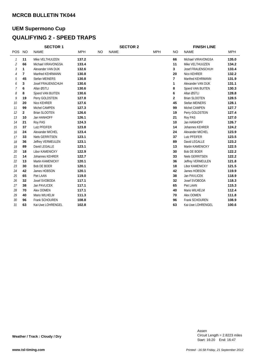## **QUALIFYING 2 - SPEED TRAPS UEM Supermono Cup**

|              |              | <b>SECTOR 1</b>          |            |     | <b>SECTOR 2</b> |            |                | <b>FINISH LINE</b>       |            |
|--------------|--------------|--------------------------|------------|-----|-----------------|------------|----------------|--------------------------|------------|
| POS NO       |              | <b>NAME</b>              | <b>MPH</b> | NO. | <b>NAME</b>     | <b>MPH</b> | NO             | <b>NAME</b>              | <b>MPH</b> |
| $\mathcal I$ | 11           | Mike VELTHUIJZEN         | 137.2      |     |                 |            | 66             | Michael VIRAVONGSA       | 135.0      |
| 2            | 66           | Michael VIRAVONGSA       | 133.4      |     |                 |            | 11             | Mike VELTHUIJZEN         | 134.2      |
| 3            | 1            | Alexander VAN DIJK       | 132.6      |     |                 |            | 3              | <b>Josef FRAUENSCHUH</b> | 133.4      |
| 4            | 7            | <b>Manfred KEHRMANN</b>  | 130.8      |     |                 |            | 20             | Nico KEHRER              | 132.2      |
| 5            | 45           | Stefan MEINERS           | 130.8      |     |                 |            | $\overline{7}$ | Manfred KEHRMANN         | 131.9      |
| 6            | 3            | <b>Josef FRAUENSCHUH</b> | 130.6      |     |                 |            | 1              | Alexander VAN DIJK       | 131.1      |
| 7            | 6            | Allan ØSTLI              | 130.6      |     |                 |            | 8              | Sjoerd VAN BUITEN        | 130.3      |
| 8            | 8            | Sjoerd VAN BUITEN        | 130.6      |     |                 |            | 6              | Allan ØSTLI              | 128.8      |
| 9            | 19           | Perry GOLDSTEIN          | 127.8      |     |                 |            | $\mathbf{2}$   | <b>Brian SLOOTEN</b>     | 128.5      |
| 10           | 20           | Nico KEHRER              | 127.6      |     |                 |            | 45             | Stefan MEINERS           | 128.1      |
| 11           | 99           | Michel CAMPEN            | 127.3      |     |                 |            | 99             | Michel CAMPEN            | 127.7      |
| 12           | $\mathbf{2}$ | <b>Brian SLOOTEN</b>     | 126.6      |     |                 |            | 19             | Perry GOLDSTEIN          | 127.4      |
| 13           | 10           | Jan HANHOFF              | 126.1      |     |                 |            | 21             | <b>Roy PAS</b>           | 127.0      |
| 14           | 21           | Roy PAS                  | 124.3      |     |                 |            | 10             | Jan HANHOFF              | 126.7      |
| 15           | 37           | <b>Lutz PFEIFER</b>      | 123.8      |     |                 |            | 14             | Johannes KEHRER          | 124.2      |
| 16           | 24           | Alexander MICHEL         | 123.4      |     |                 |            | 24             | Alexander MICHEL         | 123.9      |
| 17           | 33           | <b>Niels GERRITSEN</b>   | 123.1      |     |                 |            | 37             | Lutz PFEIFER             | 123.5      |
| 18           | 36           | <b>Jeffrey VERMEULEN</b> | 123.1      |     |                 |            | 89             | David LEGALLE            | 123.2      |
| 19           | 89           | David LEGALLE            | 123.1      |     |                 |            | 13             | Martin KAMENICKY         | 122.5      |
| 20           | 18           | <b>Libor KAMENICKY</b>   | 122.9      |     |                 |            | 30             | <b>Bob DE BOER</b>       | 122.2      |
| 21           | 14           | Johannes KEHRER          | 122.7      |     |                 |            | 33             | Niels GERRITSEN          | 122.2      |
| 22           | 13           | Martin KAMENICKY         | 120.1      |     |                 |            | 36             | Jeffrey VERMEULEN        | 121.8      |
| 23           | 30           | <b>Bob DE BOER</b>       | 120.1      |     |                 |            | 18             | <b>Libor KAMENICKY</b>   | 121.5      |
| 24           | 42           | James HOBSON             | 120.1      |     |                 |            | 42             | James HOBSON             | 119.9      |
| 25           | 65           | Piet LAAN                | 119.0      |     |                 |            | 38             | Jan PAVLICEK             | 118.9      |
| 26           | 32           | Josef SVOBODA            | 117.1      |     |                 |            | 32             | Josef SVOBODA            | 118.3      |
| 27           | 38           | Jan PAVLICEK             | 117.1      |     |                 |            | 65             | Piet LAAN                | 115.3      |
| 28           | 70           | Alex OOMEN               | 117.1      |     |                 |            | 40             | Mario WILHELM            | 112.4      |
| 29           | 40           | Mario WILHELM            | 111.3      |     |                 |            | 70             | Alex OOMEN               | 111.8      |
| 30           | 96           | Frank SCHOUREN           | 108.8      |     |                 |            | 96             | Frank SCHOUREN           | 108.9      |
| 31           | 63           | Kai-Uwe LOHRENGEL        | 102.8      |     |                 |            | 63             | Kai-Uwe LOHRENGEL        | 100.6      |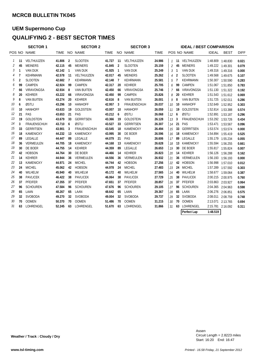## **QUALIFYING 2 - BEST SECTOR TIMES**

|               |                | <b>SECTOR 1</b>    |           |                         | <b>SECTOR 2</b>    |             |                | <b>SECTOR 3</b>    |             | <b>IDEAL / BEST COMPARISON</b> |                    |                   |             |             |  |
|---------------|----------------|--------------------|-----------|-------------------------|--------------------|-------------|----------------|--------------------|-------------|--------------------------------|--------------------|-------------------|-------------|-------------|--|
|               |                | POS NO NAME        |           |                         | TIME NO NAME       | <b>TIME</b> |                | NO NAME            | <b>TIME</b> |                                | POS NO NAME        | <b>IDEAL</b>      | <b>BEST</b> | <b>DIFF</b> |  |
| $\mathcal{I}$ | 11             | VELTHUIJZEN        | 41.806 2  |                         | <b>SLOOTEN</b>     | 41.727      | 11             | VELTHUIJZEN        | 24.986      |                                | / 11 VELTHUIJZEN   | 1:48.809 1:48.830 |             | 0.021       |  |
| 2             | 45             | <b>MEINERS</b>     | 42.115 45 |                         | <b>MEINERS</b>     | 41.845      | $\overline{2}$ | <b>SLOOTEN</b>     | 25.159      | 245                            | <b>MEINERS</b>     | 1:49.222 1:49.301 |             | 0.079       |  |
| 3             | $\mathbf{1}$   | <b>VAN DIJK</b>    | 42.142 1  |                         | <b>VAN DIJK</b>    | 41.925      | $\mathbf{1}$   | <b>VAN DIJK</b>    | 25.249      | $3^{1}$                        | <b>VAN DIJK</b>    | 1:49.316 1:49.316 |             | 0.000       |  |
| 4             | $\overline{7}$ | <b>KEHRMANN</b>    | 42.578 11 |                         | VELTHUIJZEN        | 42.017      | - 45           | <b>MEINERS</b>     | 25.262      | 42                             | <b>SLOOTEN</b>     | 1:49.568 1:49.675 |             | 0.107       |  |
| 5             | $\overline{2}$ | <b>SLOOTEN</b>     | 42.682 7  |                         | <b>KEHRMANN</b>    | 42.148      | -7             | <b>KEHRMANN</b>    | 25.581      | $5\,$ T                        | <b>KEHRMANN</b>    | 1:50.307 1:50.590 |             | 0.283       |  |
| 6             | 99             | <b>CAMPEN</b>      | 42.924 99 |                         | CAMPEN             | 42.317      | 20             | <b>KEHRER</b>      | 25.705      | 699                            | <b>CAMPEN</b>      | 1:51.067 1:51.850 |             | 0.783       |  |
| Ζ             | 66             | <b>VIRAVONGSA</b>  | 42.934    | 8                       | <b>VAN BUITEN</b>  | 42.450      | 66             | VIRAVONGSA         | 25.746      | 766                            | VIRAVONGSA         | 1:51.130 1:51.322 |             | 0.192       |  |
| 8             | 20             | <b>KEHRER</b>      | 43.222    | -66                     | <b>VIRAVONGSA</b>  | 42.450      | -99            | <b>CAMPEN</b>      | 25.826      | 20<br>8                        | <b>KEHRER</b>      | 1:51.543 1:51.612 |             | 0.069       |  |
| 9             | 8              | <b>VAN BUITEN</b>  | 43.274    | 20                      | <b>KEHRER</b>      | 42.616      | 8              | <b>VAN BUITEN</b>  | 26.001      | 8<br>9                         | <b>VAN BUITEN</b>  | 1:51.725 1:52.011 |             | 0.286       |  |
| 10            | 6              | ØSTLI              | 43.296    | 10                      | <b>HANHOFF</b>     | 42.957      | 3              | <b>FRAUENSCHUH</b> | 26.037      | $10^{10}$                      | <b>HANHOFF</b>     | 1:52.649 1:52.952 |             | 0.303       |  |
| $\mathcal{U}$ | 10             | <b>HANHOFF</b>     | 43.633    | 19                      | <b>GOLDSTEIN</b>   | 43.007      | 10             | <b>HANHOFF</b>     | 26.059      | $11^{19}$                      | GOLDSTEIN          | 1:52.814 1:53.388 |             | 0.574       |  |
| 12            | 21             | PAS                | 43.653    | 21                      | PAS                | 43.212      | -6             | ØSTLI              | 26.068      | 126                            | ØSTLI              | 1:52.891 1:53.187 |             | 0.296       |  |
| 13            | 19             | <b>GOLDSTEIN</b>   | 43.679    | 33                      | <b>GERRITSEN</b>   | 43.366      | 19             | <b>GOLDSTEIN</b>   | 26.128      | 733                            | <b>FRAUENSCHUH</b> | 1:53.292 1:53.726 |             | 0.434       |  |
| 14            | 3              | <b>FRAUENSCHUH</b> | 43.710    | 6                       | ØSTLI              | 43.527      | 33             | <b>GERRITSEN</b>   | 26.307      | $14$ 21                        | <b>PAS</b>         | 1:53.471 1:53.567 |             | 0.096       |  |
| 15            | 33             | <b>GERRITSEN</b>   | 43.901    | $\overline{\mathbf{3}}$ | <b>FRAUENSCHUH</b> | 43.545      | 18             | <b>KAMENICKY</b>   | 26.494      | 33<br>15                       | GERRITSEN          | 1:53.574 1:53.574 |             | 0.000       |  |
| 16            | 18             | <b>KAMENICKY</b>   | 44.232    | - 13                    | <b>KAMENICKY</b>   | 43.995      | 30             | DE BOER            | 26.596      | 18<br>16                       | <b>KAMENICKY</b>   | 1:54.894 1:55.419 |             | 0.525       |  |
| 17            | 89             | LEGALLE            | 44.447    | 89                      | <b>LEGALLE</b>     | 44.079      | 21             | PAS                | 26.606      | -89<br>17                      | LEGALLE            | 1:55.179 1:55.234 |             | 0.055       |  |
| 18            | 36             | VERMEULEN          | 44.705    | 18                      | <b>KAMENICKY</b>   | 44.168      | 13             | <b>KAMENICKY</b>   | 26.628      | 13<br>18                       | KAMENICKY          | 1:55.594 1:56.255 |             | 0.661       |  |
| 19            | 30             | DE BOER            | 44.755    | 14                      | <b>KEHRER</b>      | 44.359      | 89             | LEGALLE            | 26.653      | 1930                           | DE BOER            | 1:55.817 1:55.824 |             | 0.007       |  |
| 20            | 42             | <b>HOBSON</b>      | 44.764    | 30                      | DE BOER            | 44.466      | 14             | <b>KEHRER</b>      | 26.823      | 20                             | 14 KEHRER          | 1:56.126 1:56.288 |             | 0.162       |  |
| 21            | 14             | <b>KEHRER</b>      | 44.944    | 36                      | <b>VERMEULEN</b>   | 44.556      | 36             | VERMEULEN          | 26.932      | 21                             | 36 VERMEULEN       | 1:56.193 1:56.193 |             | 0.000       |  |
| 22            | 13             | <b>KAMENICKY</b>   | 44.971    | 24                      | <b>MICHEL</b>      | 44.744      | 42             | <b>HOBSON</b>      | 27.256      |                                | 22 42 HOBSON       | 1:56.998 1:57.010 |             | 0.012       |  |
| 23            | 24             | <b>MICHEL</b>      | 45.062    | 42                      | <b>HOBSON</b>      | 44.978      | 24             | <b>MICHEL</b>      | 27.483      | 23                             | 24 MICHEL          | 1:57.289 1:57.592 |             | 0.303       |  |
| 24            | 40             | WILHELM            | 45.940    | 40                      | WILHELM            | 45.172      | 40             | WILHELM            | 27.565      | 40<br>24                       | WILHELM            | 1:58.677 1:59.064 |             | 0.387       |  |
| 25            | 38             | <b>PAVLICEK</b>    | 46.422    | 38                      | <b>PAVLICEK</b>    | 46.064      | 38             | <b>PAVLICEK</b>    | 27.729      | 38<br>25                       | <b>PAVLICEK</b>    | 2:00.215 2:00.975 |             | 0.760       |  |
| 26            | 37             | PFEIFER            | 47.355    | 37                      | PFEIFER            | 47.651      | 37             | PFEIFER            | 28.857      | 26                             | 37 PFEIFER         | 2:03.863 2:03.927 |             | 0.064       |  |
| 27            | 96             | <b>SCHOUREN</b>    | 47.584    | 96                      | <b>SCHOUREN</b>    | 47.676      | 96             | <b>SCHOUREN</b>    | 29.105      | 96<br>27                       | <b>SCHOUREN</b>    | 2:04.365 2:04.963 |             | 0.598       |  |
| 28            | 65             | LAAN               | 48.267    | 65                      | LAAN               | 48.642      | 65             | LAAN               | 29.367      | 65<br>28                       | LAAN               | 2:06.276 2:06.851 |             | 0.575       |  |
| 29            | 32             | <b>SVOBODA</b>     | 49.270    | 32                      | <b>SVOBODA</b>     | 49.004      | 32             | <b>SVOBODA</b>     | 29.737      | 29                             | 32 SVOBODA         | 2:08.011 2:08.759 |             | 0.748       |  |
| 30            | 70             | <b>OOMEN</b>       | 50.370    | 70                      | <b>OOMEN</b>       | 51.486      | 70             | <b>OOMEN</b>       | 31.215      | 30                             | 70 OOMEN           | 2:13.071 2:13.765 |             | 0.694       |  |
| 31            | 63             | <b>LOHRENGEL</b>   | 52.245    | 63                      | <b>LOHRENGEL</b>   | 51.670      | 63             | <b>LOHRENGEL</b>   | 31.866      |                                | .77 63 LOHRENGEL   | 2:15.781 2:16.092 |             | 0.311       |  |
|               |                |                    |           |                         |                    |             |                |                    |             |                                | Perfect Lap        | 1:48.519          |             |             |  |
|               |                |                    |           |                         |                    |             |                |                    |             |                                |                    |                   |             |             |  |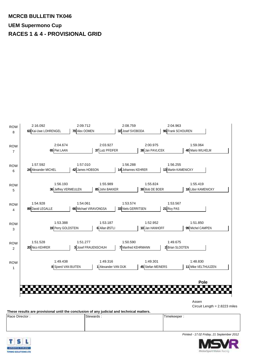**UEM Supermono Cup RACES 1 & 4 - PROVISIONAL GRID**



Circuit Length = 2.8223 miles Assen

**These results are provisional until the conclusion of any judicial and technical matters.**

| Race Director: | Stewards: | Timekeeper: |
|----------------|-----------|-------------|
|                |           |             |
|                |           |             |



*Printed - 17.02 Friday, 21 September 2012*

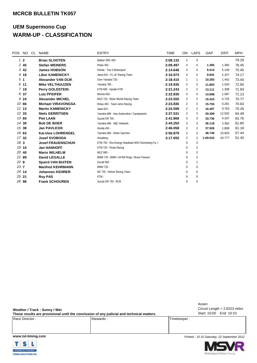## **UEM Supermono Cup WARM-UP - CLASSIFICATION**

| POS  | NO.            | CL NAME                   | <b>ENTRY</b>                                       | <b>TIME</b> | <b>ON</b>      | LAPS           | GAP      | <b>DIFF</b> | <b>MPH</b> |
|------|----------------|---------------------------|----------------------------------------------------|-------------|----------------|----------------|----------|-------------|------------|
|      | 12             | <b>Brian SLOOTEN</b>      | Bakker DRZ 450 -                                   | 2:08.132    | 2              | 3              |          |             | 79.29      |
|      | 245            | <b>Stefan MEINERS</b>     | Rotax 450 -                                        | 2:09.497    | 4              | 4              | 1.365    | 1.365       | 78.45      |
|      | 342            | <b>James HOBSON</b>       | Honda - Two 4 Motorsport                           | 2:14.646    | 4              | $\overline{4}$ | 6.514    | 5.149       | 75.45      |
|      | 4 18           | <b>Libor KAMENICKY</b>    | Jawa 624 - H.L.M. Racing Team                      | 2:16.973    | $\overline{4}$ | 4              | 8.841    | 2.327       | 74.17      |
|      | 5 <sub>1</sub> | Alexander VAN DIJK        | Over Yamaha 720 -                                  | 2:18.415    | $\mathbf{1}$   | 1              | 10.283   | 1.442       | 73.40      |
|      | 6 11           | <b>Mike VELTHUIJZEN</b>   | Yamaha 780 -                                       | 2:19.935    | 2              | 2              | 11.803   | 1.520       | 72.60      |
|      | 719            | <b>Perry GOLDSTEIN</b>    | KTM 690 - Hyside KTM                               | 2:21.243    | 2              | 2              | 13.111   | 1.308       | 71.93      |
|      | 8 37           | <b>Lutz PFEIFER</b>       | Bimota 650 -                                       | 2:22.830    | $\overline{4}$ | $\overline{4}$ | 14.698   | 1.587       | 71.13      |
|      | 924            | <b>Alexander MICHEL</b>   | MUZ 720 - Motor Michel Racing Team                 | 2:23.555    | 2              | 2              | 15.423   | 0.725       | 70.77      |
|      | 10 66          | <b>Michael VIRAVONGSA</b> | Rotax 450 - Team Jems Racing                       | 2:23.836    | 2              | 2              | 15.704   | 0.281       | 70.63      |
|      | 1113           | <b>Martin KAMENICKY</b>   | Jawa 624 -                                         | 2:24.599    | 2              | $\overline{2}$ | 16.467   | 0.763       | 70.26      |
|      | 12 33          | <b>Niels GERRITSEN</b>    | Yamaha 686 - Han Automotive / Camperpoint          | 2:37.531    | 2              | 3              | 29.399   | 12.932      | 64.49      |
|      | 13 65          | <b>Piet LAAN</b>          | Suzuki DR 750 -                                    | 2:41.868    | 3              | 3              | 33.736   | 4.337       | 62.76      |
|      | 14 30          | <b>Bob DE BOER</b>        | Yamaha 686 - ABC Hekwerk                           | 2:44.250    | 3              | 3              | 36.118   | 2.382       | 61.85      |
|      | 15 38          | <b>Jan PAVLICEK</b>       | Honda 450 -                                        | 2:46.058    | 2              | 2              | 37.926   | 1.808       | 61.18      |
|      | 16 63          | Kai-Uwe LOHRENGEL         | Yamaha 686 - Dieter Sanchex                        | 2:56.878    | 2              | 3              | 48.746   | 10.820      | 57.44      |
|      | 17 32          | <b>Josef SVOBODA</b>      | Husaberg -                                         | 3:17.655    | $\overline{2}$ | 2              | 1:09.523 | 20.777      | 51.40      |
| 18 3 |                | <b>Josef FRAUENSCHUH</b>  | KTM 750 - Rox-Energy Headstart MSV Domerberg Fa. L |             | 0              | 3              |          |             |            |
|      | 19 10          | <b>Jan HANHOFF</b>        | KTM 720 - Pirate Racing                            |             | 0              | $\overline{c}$ |          |             |            |
|      | 20 40          | <b>Mario WILHELM</b>      | MUZ 660 -                                          |             | 0              | 2              |          |             |            |
|      | 2189           | <b>David LEGALLE</b>      | BMW 720 - BMW / AFAM Rings / Boxer Passion         |             | 0              | $\overline{2}$ |          |             |            |
| 228  |                | <b>Sjoerd VAN BUITEN</b>  | Ducati 560 -                                       |             | 0              | 1              |          |             |            |
| 23 7 |                | <b>Manfred KEHRMANN</b>   | BMW 720 -                                          |             | 0              | $\Omega$       |          |             |            |
|      | 24 14          | <b>Johannes KEHRER</b>    | MZ 720 - Kehrer Racing Team                        |             | 0              | $\mathbf 0$    |          |             |            |
|      | 25 21          | <b>Roy PAS</b>            | KTM-                                               |             | 0              | $\mathbf 0$    |          |             |            |
|      | 26 96          | <b>Frank SCHOUREN</b>     | Suzuki DR 750 - RCB                                |             | 0              | 0              |          |             |            |
|      |                |                           |                                                    |             |                |                |          |             |            |

|                                                                                           |             |                     | Assen                   |                                 |
|-------------------------------------------------------------------------------------------|-------------|---------------------|-------------------------|---------------------------------|
| Weather / Track: Sunny / Wet                                                              |             |                     |                         | Circuit Length $= 2.8223$ miles |
| These results are provisional until the conclusion of any judicial and technical matters. |             |                     | Start: 10:00 End: 10:10 |                                 |
| Race Director:                                                                            | IStewards : | <b>ITimekeeper:</b> |                         |                                 |



**www.tsl-timing.com** *Printed - 10.10 Saturday, 22 September 2012*

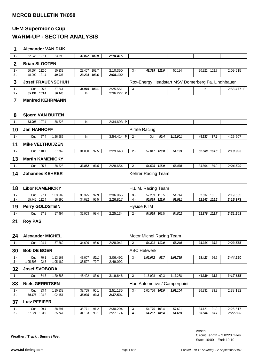## **WARM-UP - SECTOR ANALYSIS**

| 1              | <b>Alexander VAN DIJK</b>                        |                              |                      |                                       |                  |                                                   |            |
|----------------|--------------------------------------------------|------------------------------|----------------------|---------------------------------------|------------------|---------------------------------------------------|------------|
| $1 -$          | 52.945 127.1<br>53.398                           | 32.072 102.9                 | 2:18.415             |                                       |                  |                                                   |            |
| $\mathbf 2$    | <b>Brian SLOOTEN</b>                             |                              |                      |                                       |                  |                                                   |            |
| $1 -$<br>2 -   | 50.604 112.0<br>50.339<br>48.992 121.4<br>49.936 | 29.407 102.7<br>29.204 103.6 | 2:10.350<br>2:08.132 | $3 -$<br>48.399 122.0                 | 50.194           | 30.922 102.7                                      | 2:09.515   |
| 3              | <b>Josef FRAUENSCHUH</b>                         |                              |                      |                                       |                  | Rox-Energy Headstart MSV Domerberg Fa. Lindhbauer |            |
| $1 -$          | 95.5<br>57.241<br>Out                            | 34.919 100.1                 | 2:25.551             | $3 -$                                 | In.              | In                                                | 2:53.477 P |
| $2 -$          | 55.194 103.4<br>56.140                           | In.                          | 2:36.227 P           |                                       |                  |                                                   |            |
| 7              | <b>Manfred KEHRMANN</b>                          |                              |                      |                                       |                  |                                                   |            |
|                |                                                  |                              |                      |                                       |                  |                                                   |            |
| 8              | <b>Sjoerd VAN BUITEN</b>                         |                              |                      |                                       |                  |                                                   |            |
| $1 -$          | 53.098 107.4<br>58.628                           | In                           | 2:34.693 P           |                                       |                  |                                                   |            |
| 10             | <b>Jan HANHOFF</b>                               |                              |                      | <b>Pirate Racing</b>                  |                  |                                                   |            |
| $1 -$          | 57.4<br>1:26.986<br>Out                          | In                           | 3:54.414 $P$         | $2 -$<br>Out                          | 90.4<br>1:12.901 | 44.532<br>87.1                                    | 4:25.607   |
| 11             | <b>Mike VELTHUIJZEN</b>                          |                              |                      |                                       |                  |                                                   |            |
| $1 -$          | Out 110.7<br>57.762                              | 97.5<br>34.830               | 2:29.643             | $2 -$<br>52.847                       | 129.8<br>54.199  | 32.889 103.8                                      | 2:19.935   |
| 13             | <b>Martin KAMENICKY</b>                          |                              |                      |                                       |                  |                                                   |            |
| $1 -$          | 105.7<br>Out<br>58.328                           | 93.5<br>33.852               | 2:28.654             | $2 -$<br>54.525 115.9                 | 55.470           | 34.604<br>89.9                                    | 2:24.599   |
| 14             | <b>Johannes KEHRER</b>                           |                              |                      | Kehrer Racing Team                    |                  |                                                   |            |
|                |                                                  |                              |                      |                                       |                  |                                                   |            |
|                |                                                  |                              |                      |                                       |                  |                                                   |            |
| 18             | <b>Libor KAMENICKY</b>                           |                              |                      | H.L.M. Racing Team                    |                  |                                                   |            |
| $1 -$          | 97.1<br>Out<br>1:03.589                          | 36.325<br>92.9               | 2:36.965             | 52.289 115.5<br>$3 -$<br>4 -          | 54.714           | 32.632 101.0                                      | 2:19.635   |
| $2 -$<br>19    | 55.745 112.4<br>56.990<br><b>Perry GOLDSTEIN</b> | 34.082<br>96.5               | 2:26.817             | 50.889 123.6                          | 53.921           | 32.163 101.5                                      | 2:16.973   |
| $1 -$          | 97.8<br>Out<br>57.494                            | 98.4<br>32.903               | 2:25.134             | Hyside KTM<br>$2 -$<br>54.565 105.5   | 54.802           | 31.876 102.7                                      | 2:21.243   |
| 21             | <b>Roy PAS</b>                                   |                              |                      |                                       |                  |                                                   |            |
|                |                                                  |                              |                      |                                       |                  |                                                   |            |
| 24             | <b>Alexander MICHEL</b>                          |                              |                      | Motor Michel Racing Team              |                  |                                                   |            |
| $1 -$          | Out 104.4<br>57.369                              | 34.606<br>98.6               | 2:28.041             | $2 -$<br>54.301 112.0                 | 55.240           | 99.3<br>34.014                                    | 2:23.555   |
| 30             | <b>Bob DE BOER</b>                               |                              |                      | <b>ABC Hekwerk</b>                    |                  |                                                   |            |
| $1 -$          | Out<br>70.1<br>1:13.168                          | 43.007<br>80.1               | 3:06.492             | $3 -$<br>1:02.072 95.7                | 1:03.755         | 38.423 76.9                                       | 2:44.250   |
| $2 -$          | 92.3<br>1:05.306<br>1:05.189                     | 38.597<br>79.7               | 2:49.092             |                                       |                  |                                                   |            |
| 32             | <b>Josef SVOBODA</b>                             |                              |                      |                                       |                  |                                                   |            |
| $1 -$          | 64.3<br>Out<br>1:20.688                          | 46.422<br>83.6               | 3:19.646             | $2 -$<br>1:16.028                     | 69.3<br>1:17.288 | 44.339<br>93.3                                    | 3:17.655   |
| 33             | <b>Niels GERRITSEN</b><br>Out<br>1:10.838        | 38.755                       |                      | Han Automotive / Camperpoint<br>$3 -$ |                  |                                                   |            |
| $1 -$<br>$2 -$ | 83.4<br>59.475 104.2<br>1:02.151                 | 90.1<br>35.905<br>90.3       | 2:51.135<br>2:37.531 | 1:00.756 105.0                        | 1:01.104         | 36.332<br>88.9                                    | 2:38.192   |
| 37<br>$1 -$    | <b>Lutz PFEIFER</b><br>99.4<br>Out<br>58.591     | 35.771<br>91.2               | 2:30.294             | 54.775 103.4<br>$3 -$                 | 57.621           | 34.121<br>91.0                                    | 2:26.517   |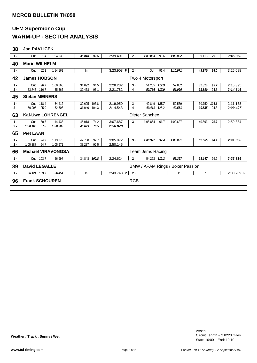### **UEM Supermono Cup WARM-UP - SECTOR ANALYSIS**

| 38             | <b>Jan PAVLICEK</b>                    |                      |                  |                |                      |              |                              |      |                                  |                                  |                      |
|----------------|----------------------------------------|----------------------|------------------|----------------|----------------------|--------------|------------------------------|------|----------------------------------|----------------------------------|----------------------|
| $1 -$          | 91.4<br>Out                            | 1:04.533             | 38.840           | 92.5           | 2:39.401             | $2 -$        | 1:03.063                     | 90.6 | 1:03.882                         | 39.113<br>79.3                   | 2:46.058             |
| 40             | <b>Mario WILHELM</b>                   |                      |                  |                |                      |              |                              |      |                                  |                                  |                      |
| $1 -$          | 62.1<br>Out                            | 1:14.161             | In.              |                | $3:23.908$ P         | $2 -$        | Out                          | 91.4 | 1:10.971                         | 43.970<br>84.O                   | 3:26.088             |
| 42             | <b>James HOBSON</b>                    |                      |                  |                |                      |              | Two 4 Motorsport             |      |                                  |                                  |                      |
| $1 -$<br>$2 -$ | 96.7<br>Out<br>53.748 116.7            | 1:00.666<br>55.566   | 34.092<br>32.468 | 94.5<br>95.1   | 2:28.232<br>2:21.782 | $3 -$<br>4 - | 51.265 117.9<br>50.766 117.9 |      | 52.802<br>51.990                 | 32.328<br>95.7<br>31.890<br>94.5 | 2:16.395<br>2:14.646 |
| 45             | <b>Stefan MEINERS</b>                  |                      |                  |                |                      |              |                              |      |                                  |                                  |                      |
| $1 -$<br>$2 -$ | Out 118.4<br>50.995 125.0              | 54.412<br>52.508     | 32.605<br>31.040 | 103.8<br>104.3 | 2:19.950<br>2:14.543 | $3 -$<br>4.  | 49.849 125.7<br>49.411 125.2 |      | 50.539<br>49.551                 | 30.750 104.6<br>30.535 104.3     | 2:11.138<br>2:09.497 |
| 63             | Kai-Uwe LOHRENGEL                      |                      |                  |                |                      |              | Dieter Sanchex               |      |                                  |                                  |                      |
| $1 -$<br>$2 -$ | 80.8<br>Out<br>1:08.160<br><i>87.0</i> | 1:14.438<br>1:08.089 | 45.018<br>40.629 | 74.2<br>78.5   | 3:07.687<br>2:56.878 | $3 -$        | 1:08.864                     | 61.7 | 1:09.627                         | 40.893<br>75.7                   | 2:59.384             |
| 65             | <b>Piet LAAN</b>                       |                      |                  |                |                      |              |                              |      |                                  |                                  |                      |
| $1 -$<br>$2 -$ | 74.2<br>Out<br>1:05.887<br>94.7        | 1:13.275<br>1:05.971 | 42.750<br>38.287 | 92.7<br>92.5   | 3:05.872<br>2:50.145 | $3 -$        | $1:00.972$ $97.4$            |      | 1:03.031                         | 37.865<br>94.1                   | 2:41.868             |
| 66             | <b>Michael VIRAVONGSA</b>              |                      |                  |                |                      |              | Team Jems Racing             |      |                                  |                                  |                      |
| $1 -$          | Out 103.7                              | 56.997               | 34.848 100.8     |                | 2:24.624             | $2 -$        | 54.292 112.2                 |      | 56.397                           | 33.147<br>99.9                   | 2:23.836             |
| 89             | <b>David LEGALLE</b>                   |                      |                  |                |                      |              |                              |      | BMW / AFAM Rings / Boxer Passion |                                  |                      |
| $1 -$          | 56.124 109.7                           | 56.454               | In               |                | 2:43.743 P           | $2 -$        |                              |      | $\ln$                            | $\ln$                            | 2:00.709 P           |
| 96             | <b>Frank SCHOUREN</b>                  |                      |                  |                |                      | <b>RCB</b>   |                              |      |                                  |                                  |                      |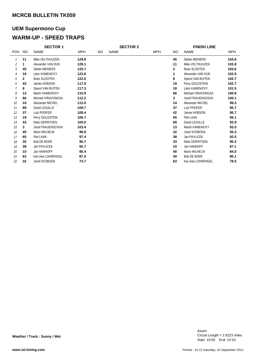## **WARM-UP - SPEED TRAPS UEM Supermono Cup**

|        |              | <b>SECTOR 1</b>          |            |     |             | <b>SECTOR 2</b> |            |              |                          |            |
|--------|--------------|--------------------------|------------|-----|-------------|-----------------|------------|--------------|--------------------------|------------|
| POS NO |              | <b>NAME</b>              | <b>MPH</b> | NO. | <b>NAME</b> |                 | <b>MPH</b> | NO.          | <b>NAME</b>              | <b>MPH</b> |
|        | 11           | Mike VELTHUIJZEN         | 129.8      |     |             |                 |            | 45           | <b>Stefan MEINERS</b>    | 104.6      |
| 2      | 1            | Alexander VAN DLJK       | 129.1      |     |             |                 |            | 11           | Mike VELTHULJZEN         | 103.8      |
| 3.     | 45           | <b>Stefan MEINERS</b>    | 125.7      |     |             |                 |            | $\mathbf{2}$ | <b>Brian SLOOTEN</b>     | 103.6      |
| 4      | 18           | <b>Libor KAMENICKY</b>   | 123.6      |     |             |                 |            | 1            | Alexander VAN DIJK       | 102.9      |
| 5      | $\mathbf{2}$ | <b>Brian SLOOTEN</b>     | 122.0      |     |             |                 |            | 8            | Sjoerd VAN BUITEN        | 102.7      |
| 6      | 42           | James HOBSON             | 117.9      |     |             |                 |            | 19           | Perry GOLDSTEIN          | 102.7      |
|        | 8            | Sjoerd VAN BUITEN        | 117.3      |     |             |                 |            | 18           | <b>Libor KAMENICKY</b>   | 101.5      |
| 8      | 13           | <b>Martin KAMENICKY</b>  | 115.9      |     |             |                 |            | 66           | Michael VIRAVONGSA       | 100.8      |
| 9      | 66           | Michael VIRAVONGSA       | 112.2      |     |             |                 |            | 3            | <b>Josef FRAUENSCHUH</b> | 100.1      |
| 10     | 24           | Alexander MICHEL         | 112.0      |     |             |                 |            | 24           | <b>Alexander MICHEL</b>  | 99.3       |
| 11     | 89           | David LEGALLE            | 109.7      |     |             |                 |            | 37           | <b>Lutz PFEIFER</b>      | 95.7       |
| 12     | 37           | <b>Lutz PFEIFER</b>      | 108.4      |     |             |                 |            | 42           | James HOBSON             | 95.7       |
| 13     | 19           | Perry GOLDSTEIN          | 106.7      |     |             |                 |            | 65           | Piet LAAN                | 94.1       |
| 14     | 33           | <b>Niels GERRITSEN</b>   | 105.0      |     |             |                 |            | 89           | David LEGALLE            | 93.9       |
| 15     | 3            | <b>Josef FRAUENSCHUH</b> | 103.4      |     |             |                 |            | 13           | <b>Martin KAMENICKY</b>  | 93.5       |
| 16     | 40           | Mario WILHELM            | 98.8       |     |             |                 |            | 32           | Josef SVOBODA            | 93.3       |
| 17     | 65           | Piet LAAN                | 97.4       |     |             |                 |            | 38           | <b>Jan PAVLICEK</b>      | 92.5       |
| 18     | 30           | <b>Bob DE BOER</b>       | 95.7       |     |             |                 |            | 33           | Niels GERRITSEN          | 90.3       |
| 19     | 38           | <b>Jan PAVLICEK</b>      | 92.7       |     |             |                 |            | 10           | <b>Jan HANHOFF</b>       | 87.1       |
| 20     | 10           | Jan HANHOFF              | 90.4       |     |             |                 |            | 40           | Mario WILHELM            | 84.0       |
| 21     | 63           | Kai-Uwe LOHRENGEL        | 87.0       |     |             |                 |            | 30           | <b>Bob DE BOER</b>       | 80.1       |
| 22     | 32           | <b>Josef SVOBODA</b>     | 73.7       |     |             |                 |            | 63           | Kai-Uwe LOHRENGEL        | 78.5       |

**Weather / Track : Sunny / Wet**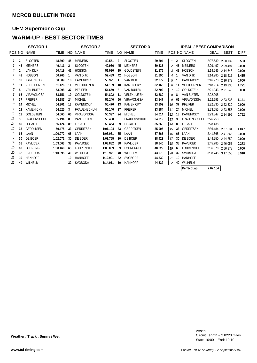## **WARM-UP - BEST SECTOR TIMES**

|               |                | <b>SECTOR 1</b>    |          |                | <b>SECTOR 2</b>    |          |              | <b>SECTOR 3</b>    |             | <b>IDEAL / BEST COMPARISON</b> |           |                    |                   |             |             |
|---------------|----------------|--------------------|----------|----------------|--------------------|----------|--------------|--------------------|-------------|--------------------------------|-----------|--------------------|-------------------|-------------|-------------|
|               |                | POS NO NAME        |          |                | TIME NO NAME       | TIME     |              | NO NAME            | <b>TIME</b> |                                |           | POS NO NAME        | <b>IDEAL</b>      | <b>BEST</b> | <b>DIFF</b> |
| $\mathcal{I}$ | $\overline{2}$ | <b>SLOOTEN</b>     | 48.399   | 45             | <b>MEINERS</b>     | 49.551   | $\mathbf{2}$ | <b>SLOOTEN</b>     | 29.204      |                                | $1\,2$    | <b>SLOOTEN</b>     | 2:07.539 2:08.132 |             | 0.593       |
| 2             | 45             | <b>MEINERS</b>     | 49.411   | $\overline{2}$ | <b>SLOOTEN</b>     | 49.936   | 45           | <b>MEINERS</b>     | 30.535      |                                | 245       | <b>MEINERS</b>     | 2:09.497 2:09.497 |             | 0.000       |
| 3             | 1              | <b>VAN DIJK</b>    | 50.419   | 42             | <b>HOBSON</b>      | 51.990   | 19           | <b>GOLDSTEIN</b>   | 31.876      |                                |           | 3 42 HOBSON        | 2:14.646 2:14.646 |             | 0.000       |
| 4             | 42             | <b>HOBSON</b>      | 50.766   | -1             | <b>VAN DIJK</b>    | 52.489   | 42           | <b>HOBSON</b>      | 31.890      | $\overline{4}$ 1               |           | <b>VAN DIJK</b>    | 2:14.980 2:18.415 |             | 3.435       |
| 5             | 18             | <b>KAMENICKY</b>   | 50.889   | 18             | <b>KAMENICKY</b>   | 53.921   | -1           | <b>VAN DIJK</b>    | 32.072      |                                | $5\,18$   | <b>KAMENICKY</b>   | 2:16.973 2:16.973 |             | 0.000       |
| 6             | 11             | VELTHUIJZEN        | 51.126   | 11             | VELTHUIJZEN        | 54.199   | 18           | <b>KAMENICKY</b>   | 32.163      |                                | $6\,11$   | VELTHUIJZEN        | 2:18.214 2:19.935 |             | 1.721       |
| Ζ             | 8              | <b>VAN BUITEN</b>  | 53.098   | 37             | PFEIFER            | 54.659   | - 8          | <b>VAN BUITEN</b>  | 32.702      |                                | $7\,19$   | GOLDSTEIN          | 2:21.243 2:21.243 |             | 0.000       |
| 8             | -66            | VIRAVONGSA         | 53.151   | 19             | <b>GOLDSTEIN</b>   | 54.802   | 11           | VELTHUIJZEN        | 32.889      |                                | 88        | <b>VAN BUITEN</b>  | 2:22.208          |             |             |
| 9             | 37             | <b>PFEIFER</b>     | 54.287   | 24             | <b>MICHEL</b>      | 55.240   | 66           | VIRAVONGSA         | 33.147      | 9                              | -66       | VIRAVONGSA         | 2:22.695 2:23.836 |             | 1.141       |
| 10            | 24             | <b>MICHEL</b>      | 54.301   | 13             | <b>KAMENICKY</b>   | 55.470   | 13           | <b>KAMENICKY</b>   | 33.852      |                                | $10^{37}$ | PFEIFER            | 2:22.830 2:22.830 |             | 0.000       |
| 11            | 13             | <b>KAMENICKY</b>   | 54.525   | -3             | <b>FRAUENSCHUH</b> | 56.140   | 37           | <b>PFEIFER</b>     | 33.884      |                                | $11^{24}$ | <b>MICHEL</b>      | 2:23.555          | 2:23.555    | 0.000       |
| 12            | 19             | <b>GOLDSTEIN</b>   | 54.565   | -66            | <b>VIRAVONGSA</b>  | 56.397   | 24           | <b>MICHEL</b>      | 34.014      |                                | $12^{13}$ | <b>KAMENICKY</b>   | 2:23.847 2:24.599 |             | 0.752       |
| 13            | 3              | <b>FRAUENSCHUH</b> | 55.194   | -8             | <b>VAN BUITEN</b>  | 56.408   | 3            | <b>FRAUENSCHUH</b> | 34.919      | 733                            |           | <b>FRAUENSCHUH</b> | 2:26.253          |             |             |
| 14            | 89             | LEGALLE            | 56.124   | -89            | LEGALLE            | 56.454   | -89          | LEGALLE            | 35.860      |                                | 14 89     | LEGALLE            | 2:28.438          |             |             |
| 15            | 33             | <b>GERRITSEN</b>   | 59.475   | 33             | <b>GERRITSEN</b>   | 1:01.104 | 33           | <b>GERRITSEN</b>   | 35.905      | $15^{\circ}$                   | 33        | GERRITSEN          | 2:36.484          | 2:37.531    | 1.047       |
| 16            | 65             | LAAN               | 1:00.972 | 65             | LAAN               | 1:03.031 | 65           | LAAN               | 37.865      |                                | 1665      | LAAN               | 2:41.868 2:41.868 |             | 0.000       |
| 17            | 30             | DE BOER            | 1:02.072 | 30             | DE BOER            | 1:03.755 | 30           | DE BOER            | 38.423      |                                | 1730      | DE BOER            | 2:44.250 2:44.250 |             | 0.000       |
| 18            | 38             | <b>PAVLICEK</b>    | 1:03.063 | 38             | <b>PAVLICEK</b>    | 1:03.882 | 38           | <b>PAVLICEK</b>    | 38.840      | 18                             | 38        | PAVLICEK           | 2:45.785 2:46.058 |             | 0.273       |
| 19            | 63             | LOHRENGEL          | 1:08.160 | 63             | LOHRENGEL          | 1:08.089 | 63           | LOHRENGEL          | 40.629      | 19                             | 63        | LOHRENGEL          | 2:56.878 2:56.878 |             | 0.000       |
| 20            | 32             | <b>SVOBODA</b>     | 1:10.395 | 40             | WILHELM            | 1:10.971 | 40           | WILHELM            | 43.970      | 20                             | 32        | <b>SVOBODA</b>     | 3:08.745 3:17.655 |             | 8.910       |
| 21            | 10             | <b>HANHOFF</b>     |          | 10             | <b>HANHOFF</b>     | 1:12.901 | 32           | <b>SVOBODA</b>     | 44.339      | 21                             | 10        | HANHOFF            |                   |             |             |
| 22            | 40             | WILHELM            |          | 32             | SVOBODA            | 1:14.011 | 10           | <b>HANHOFF</b>     | 44.532      | 22                             | 40        | WILHELM            |                   |             |             |
|               |                |                    |          |                |                    |          |              |                    |             |                                |           | <b>Perfect Lap</b> | 2:07.154          |             |             |

Circuit Length = 2.8223 miles Start: 10:00 End: 10:10 Assen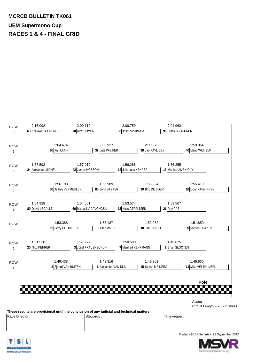**UEM Supermono Cup RACES 1 & 4 - FINAL GRID**



Circuit Length = 2.8223 miles Assen

**These results are provisional until the conclusion of any judicial and technical matters.**

| Race Director: | Stewards: | Timekeeper: |
|----------------|-----------|-------------|
|                |           |             |
|                |           |             |
|                |           |             |



*Printed - 10.13 Saturday, 22 September 2012*

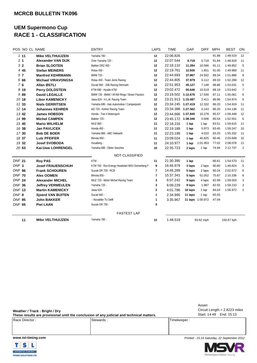### **RACE 1 - CLASSIFICATION UEM Supermono Cup**

| POS NO CL NAME    |                           | <b>ENTRY</b>                                   | LAPS           | <b>TIME</b>        | GAP     | <b>DIFF</b>      | <b>MPH</b> | <b>BEST</b> | ON             |
|-------------------|---------------------------|------------------------------------------------|----------------|--------------------|---------|------------------|------------|-------------|----------------|
| 111               | <b>Mike VELTHUIJZEN</b>   | Yamaha 780 -                                   | 12             | 22:06.826          |         |                  | 91.88      | 1:48.519    | 12             |
| 2 <sub>1</sub>    | <b>Alexander VAN DIJK</b> | Over Yamaha 720 -                              | 12             | 22:07.544          | 0.718   | 0.718            | 91.84      | 1:48.918    | 11             |
| 32                | <b>Brian SLOOTEN</b>      | Bakker DRZ 450 -                               | 12             | 22:18.110          | 11.284  | 10.566           | 91.11      | 1:49.852    | 5              |
| 4 4 5             | <b>Stefan MEINERS</b>     | Rotax 450 -                                    | 12             | 22:19.761          | 12.935  | 1.651            | 91.00      | 1:49.968    | 11             |
| 57                | <b>Manfred KEHRMANN</b>   | BMW 720 -                                      | 12             | 22:44.693          | 37.867  | 24.932           | 89.34      | 1:51.886    | 8              |
| 6 6 6             | <b>Michael VIRAVONGSA</b> | Rotax 450 - Team Jems Racing                   | 12             | 22:44.805          | 37.979  | 0.112            | 89.33      | 1:52.289    | 12             |
| 76                | Allan ØSTLI               | Ducati 560 - JSB Racing Denmark                | 12             | 22:51.953          | 45.127  | 7.148            | 88.86      | 1:53.031    | 5              |
| 8 19              | <b>Perry GOLDSTEIN</b>    | KTM 690 - Hyside KTM                           | 12             | 23:02.472          | 55.646  | 10.519           | 88.19      | 1:53.642    | $\overline{7}$ |
| 989               | <b>David LEGALLE</b>      | BMW 720 - BMW / AFAM Rings / Boxer Passion     | 12             | 23:19.502 1:12.676 |         | 17.030           | 87.11      | 1:55.061    | 6              |
| 10 18             | <b>Libor KAMENICKY</b>    | Jawa 624 - H.L.M. Racing Team                  | 12             | 23:21.913 1:15.087 |         | 2.411            | 86.96      | 1:54.974    | 6              |
| 11 33             | <b>Niels GERRITSEN</b>    | Yamaha 686 - Han Automotive / Camperpoint      | 12             | 23:34.245 1:27.419 |         | 12.332           | 86.20      | 1:54.919    | 11             |
| 12 14             | <b>Johannes KEHRER</b>    | MZ 720 - Kehrer Racing Team                    | 12             | 23:34.388 1:27.562 |         | 0.143            | 86.20      | 1:54.138    | 11             |
| 13 42             | <b>James HOBSON</b>       | Honda - Two 4 Motorsport                       | 12             | 23:44.666 1:37.840 |         | 10.278           | 85.57      | 1:56.448    | 12             |
| 14 99             | <b>Michel CAMPEN</b>      | <b>Bakker 720 -</b>                            | 12             | 23:45.172 1:38.346 |         | 0.506            | 85.54      | 1:52.551    | 6              |
| 15 40             | <b>Mario WILHELM</b>      | MUZ 660 -                                      | 11             | 22:18.216          | 1 lap   | 1 lap            | 83.51      | 1:59.615    | 11             |
| 16 38             | <b>Jan PAVLICEK</b>       | Honda 450 -                                    | 11             | 22:19.189          | 1 lap   | 0.973            | 83.45      | 1:59.247    | 10             |
| 17 30             | <b>Bob DE BOER</b>        | Yamaha 686 - ABC Hekwerk                       | 11             | 22:23.199          | 1 lap   | 4.010            | 83.20      | 1:55.332    | 11             |
| 18 37             | <b>Lutz PFEIFER</b>       | Bimota 650 -                                   | 11             | 23:09.024          | 1 lap   | 45.825           | 80.46      | 2:03.848    | 10             |
| 19 32             | <b>Josef SVOBODA</b>      | Husaberg -                                     | 11             | 24:10.977          | 1 lap   | 1:01.953         | 77.02      | 2:08.078    | 11             |
| 20 63             | Kai-Uwe LOHRENGEL         | Yamaha 686 - Dieter Sanchex                    | 10             | 22:35.723          | 2 laps  | 1 lap            | 74.94      | 2:12.737    | $\overline{2}$ |
|                   |                           | <b>NOT CLASSIFIED</b>                          |                |                    |         |                  |            |             |                |
| DNF <sub>21</sub> | <b>Roy PAS</b>            | KTM-                                           | 11             | 21:30.395          | 1 lap   |                  | 86.61      | 1:54.570    | 11             |
| DNF <sub>3</sub>  | <b>Josef FRAUENSCHUH</b>  | KTM 750 - Rox-Energy Headstart MSV Domerberg F | 9              | 16:46.979          | 3 laps  | 2 laps           | 90.80      | 1:49.824    | 5              |
| DNF <sub>96</sub> | <b>Frank SCHOUREN</b>     | Suzuki DR 750 - RCB                            | $\overline{7}$ | 14:46.289          | 5 laps  | 2 laps           | 80.24      | 2:02.672    | 6              |
| DNF 70            | <b>Alex OOMEN</b>         | Bimota 650 -                                   | $\overline{7}$ | 15:37.341          | 5 laps  | 51.052           | 75.87      | 2:10.336    | 6              |
| DNF <sub>24</sub> | <b>Alexander MICHEL</b>   | MUZ 720 - Motor Michel Racing Team             | 3              | 6:07.242           | 9 laps  | 4 laps           | 82.99      | 1:59.003    | 3              |
| DNF 36            | <b>Jeffrey VERMEULEN</b>  | Yamaha 720 -                                   | 3              | 6:09.229           | 9 laps  | 1.987            | 82.55      | 1:59.210    | 3              |
| DNF 13            | <b>Martin KAMENICKY</b>   | Jawa 624 -                                     | $\overline{2}$ | 4:01.786           | 10 laps | 1 lap            | 84.04      | 1:56.972    | $\overline{2}$ |
| DNF 8             | <b>Sjoerd VAN BUITEN</b>  | Ducati 560 -                                   | $\mathbf{1}$   | 2:34.995           | 11 laps | 1 lap            | 65.55      |             |                |
| <b>DNF 85</b>     | <b>John BAKKER</b>        | - Novabike TU Delft                            | $\mathbf{1}$   | 3:35.967           |         | 11 laps 1:00.972 | 47.04      |             |                |
| <b>DNF 65</b>     | <b>Piet LAAN</b>          | Suzuki DR 750 -                                | $\bf{0}$       |                    |         |                  |            |             |                |
|                   |                           | <b>FASTEST LAP</b>                             |                |                    |         |                  |            |             |                |
| 11                | <b>Mike VELTHUIJZEN</b>   | Yamaha 780 -                                   | 12             | 1:48.519           |         | 93.62 mph        |            | 150.67 kph  |                |

Race Director : Stewards : Stewards : Timekeeper : Timekeeper : **These results are provisional until the conclusion of any judicial and technical matters.** Circuit Length = 2.8223 miles Start: 14:49 End: 15:13 Assen **Weather / Track : Bright / Dry**



**www.tsl-timing.com** *Printed - 15.14 Saturday, 22 September 2012*

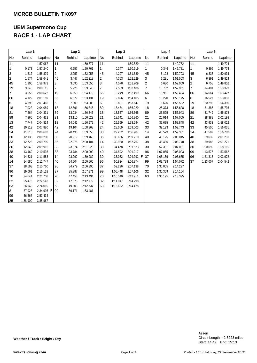## **RACE 1 - LAP CHART UEM Supermono Cup**

|                | Lap 1         |            |                | Lap <sub>2</sub> |          |                | Lap3          |               |                | Lap 4         |          |                         | Lap <sub>5</sub> |          |
|----------------|---------------|------------|----------------|------------------|----------|----------------|---------------|---------------|----------------|---------------|----------|-------------------------|------------------|----------|
| No             | <b>Behind</b> | Laptime    | No             | <b>Behind</b>    | Laptime  | No             | <b>Behind</b> | Laptime       | <b>No</b>      | <b>Behind</b> | Laptime  | No                      | <b>Behind</b>    | Laptime  |
| 11             |               | 1:57.067   | 11             |                  | 1:50.677 | 11             |               | 1:50.829      | 11             |               | 1:49.782 | 11                      |                  | 1:49.724 |
| $\mathbf{1}$   | 0.173         | 1:57.240   | $\mathbf{1}$   | 0.257            | 1:50.761 | 1              | 0.347         | 1:50.919      | $\mathbf{1}$   | 0.346         | 1:49.781 | $\mathbf{1}$            | 0.396            | 1:49.774 |
| 3              | 1.312         | 1:58.379   | $\overline{2}$ | 2.953            | 1:52.056 | 45             | 4.207         | 1:51.589      | 45             | 5.128         | 1:50.703 | 45                      | 6.338            | 1:50.934 |
| $\mathbf 2$    | 1.574         | 1:58.641   | 45             | 3.447            | 1:52.218 | 2              | 4.353         | 1:52.229      | 3              | 6.291         | 1:51.503 | 3                       | 6.391            | 1:49.824 |
| 45             | 1.906         | 1:58.973   | 3              | 3.690            | 1:53.055 | 3              | 4.570         | 1:51.709      | $\overline{2}$ | 6.630         | 1:52.059 | $\overline{c}$          | 6.758            | 1:49.852 |
| 19             | 3.048         | 2:00.115   | $\overline{7}$ | 5.926            | 1:53.048 | $\overline{7}$ | 7.583         | 1:52.486      | $\overline{7}$ | 10.752        | 1:52.951 | $\overline{\mathbf{7}}$ | 14.401           | 1:53.373 |
| $\overline{7}$ | 3.555         | 2:00.622   | 19             | 6.550            | 1:54.179 | 66             | 8.249         | 1:52.499      | 66             | 10.961        | 1:52.494 | 66                      | 14.664           | 1:53.427 |
| 66             | 4.122         | 2:01.189   | 66             | 6.579            | 1:53.134 | 19             | 9.826         | 1:54.105      | 6              | 13.220        | 1:53.175 | 6                       | 16.527           | 1:53.031 |
| 6              | 4.398         | 2:01.465   | 6              | 7.009            | 1:53.288 | 6              | 9.827         | 1:53.647      | 19             | 15.626        | 1:55.582 | 19                      | 20.298           | 1:54.396 |
| 18             | 7.022         | 2:04.089   | 18             | 12.691           | 1:56.346 | 89             | 18.434        | 1:56.229      | 18             | 25.373        | 1:56.628 | 18                      | 31.385           | 1:55.736 |
| 21             | 7.264         | 2:04.331   | 89             | 13.034           | 1:56.346 | 18             | 18.527        | 1:56.665      | 89             | 25.595        | 1:56.943 | 89                      | 31.749           | 1:55.878 |
| 89             | 7.365         | 2:04.432   | 21             | 13.110           | 1:56.523 | 21             | 18.641        | 1:56.360      | 21             | 25.914        | 1:57.055 | 21                      | 38.388           | 2:02.198 |
| 13             | 7.747         | 2:04.814   | 13             | 14.042           | 1:56.972 | 42             | 26.569        | 1:58.294      | 42             | 35.635        | 1:58.848 | 42                      | 43.933           | 1:58.022 |
| 42             | 10.813        | 2:07.880   | 42             | 19.104           | 1:58.968 | 24             | 28.669        | 1:59.003      | 33             | 39.193        | 1:59.743 | 33                      | 45.500           | 1:56.031 |
| 24             | 11.616        | 2:08.683   | 24             | 20.495           | 1:59.556 | 33             | 29.232        | 1:56.987      | 14             | 40.529        | 1:59.381 | 14                      | 47.507           | 1:56.702 |
| 30             | 12.133        | 2:09.200   | 30             | 20.919           | 1:59.463 | 36             | 30.656        | 1:59.210      | 40             | 48.125        | 2:03.015 | 40                      | 59.632           | 2:01.231 |
| 33             | 12.723        | 2:09.790   | 36             | 22.275           | 2:00.104 | 14             | 30.930        | 1:57.767      | 38             | 48.436        | 2:03.740 | 38                      | 59.983           | 2:01.271 |
| 36             | 12.848        | 2:09.915   | 33             | 23.074           | 2:01.028 | 38             | 34.478        | 2:01.523      | 30             | 52.301        | 2:07.001 | 30                      | 1:00.692         | 1:58.115 |
| 38             | 13.469        | 2:10.536   | 38             | 23.784           | 2:00.992 | 40             | 34.892        | 2:01.217      | 96             | 1:07.065      | 2:06.023 | 99                      | 1:13.576         | 1:53.562 |
| 40             | 14.521        | 2:11.588   | 14             | 23.992           | 1:59.989 | 30             | 35.082        | 2:04.992 P 37 |                | 1:08.189      | 2:05.675 | 96                      | 1:21.313         | 2:03.972 |
| 14             | 14.680        | 2:11.747   | 40             | 24.504           | 2:00.660 | 96             | 50.824        | 2:06.874      | 99             | 1:09.738      | 1:54.072 | 37                      | 1:23.007         | 2:04.542 |
| 37             | 18.693        | 2:15.760   | 96             | 34.779           | 2:06.395 | 37             | 52.296        | 2:07.138      | 70             | 1:35.055      | 2:14.297 |                         |                  |          |
| 96             | 19.061        | 2:16.128   | 37             | 35.987           | 2:07.971 | 99             | 1:05.448      | 1:57.106      | 32             | 1:35.369      | 2:14.104 |                         |                  |          |
| 70             | 24.641        | 2:21.708   | 70             | 47.458           | 2:13.494 | 70             | 1:10.540      | 2:13.911      | 63             | 1:36.195      | 2:13.375 |                         |                  |          |
| 32             | 25.476        | 2:22.543   | 32             | 47.578           | 2:12.779 | 32             | 1:11.047      | 2:14.298      |                |               |          |                         |                  |          |
| 63             | 26.943        | 2:24.010   | 63             | 49.003           | 2:12.737 | 63             | 1:12.602      | 2:14.428      |                |               |          |                         |                  |          |
| 8              | 37.928        | 2:34.995 P | 99             | 59.171           | 1:53.481 |                |               |               |                |               |          |                         |                  |          |
| 99             | 56.367        | 2:53.434   |                |                  |          |                |               |               |                |               |          |                         |                  |          |
| 85             | 1:38.900      | 3:35.967   |                |                  |          |                |               |               |                |               |          |                         |                  |          |

Circuit Length = 2.8223 miles Start: 14:49 End: 15:13 Assen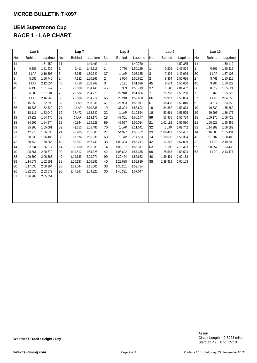## **RACE 1 - LAP CHART UEM Supermono Cup**

|                | Lap <sub>6</sub> |              |                | Lap <sub>7</sub> |          |              | Lap 8         |          |              | Lap <sub>9</sub> |          |                | Lap 10        |          |
|----------------|------------------|--------------|----------------|------------------|----------|--------------|---------------|----------|--------------|------------------|----------|----------------|---------------|----------|
| No             | <b>Behind</b>    | Laptime      | <b>No</b>      | <b>Behind</b>    | Laptime  | <b>No</b>    | <b>Behind</b> | Laptime  | No           | <b>Behind</b>    | Laptime  | No             | <b>Behind</b> | Laptime  |
| 11             |                  | 1:51.450     | 11             |                  | 1:49.493 | 11           |               | 1:49.770 | 11           |                  | 1:50.385 | 11             |               | 1:50.119 |
| $\mathbf{1}$   | 0.385            | 1:51.439     | $\mathbf{1}$   | 0.411            | 1:49.519 | $\mathbf{1}$ | 0.770         | 1:50.129 | $\mathbf{1}$ | 0.209            | 1:49.824 | 1              | 0.309         | 1:50.219 |
| 32             | 1 LAP            | 2:10.895     | 3              | 6.935            | 1:50.742 | 37           | 1 LAP         | 2:05.385 | 3            | 7.802            | 1:49.996 | 30             | 1 LAP         | 1:57.108 |
| 3              | 5.686            | 1:50.745     | $\overline{c}$ | 7.182            | 1:50.366 | $\vert$ 2    | 8.064         | 1:50.652 | 2            | 8.364            | 1:50.685 | 2              | 8.461         | 1:50.216 |
| 70             | 1 LAP            | 2:12.054     | 45             | 7.410            | 1:50.768 | 3            | 8.191         | 1:51.026 | 45           | 8.574            | 1:50.600 | 45             | 9.284         | 1:50.829 |
| 45             | 6.135            | 1:51.247     | 66             | 20.388           | 1:54.145 | 45           | 8.359         | 1:50.719 | 37           | 1 LAP            | 2:04.432 | 66             | 30.819        | 1:55.021 |
| $\overline{2}$ | 6.309            | 1:51.001     | $\overline{7}$ | 20.832           | 1:54.775 | 17           | 22.948        | 1:51.886 | 7            | 25.763           | 1:53.200 | $\overline{7}$ | 31.469        | 1:55.825 |
| 63             | 1 LAP            | 2:16.265     | 6              | 22.836           | 1:54.212 | 66           | 23.248        | 1:52.630 | 66           | 25.917           | 1:53.054 | 37             | 1 LAP         | 2:04.658 |
| $\overline{7}$ | 15.550           | 1:52.599     | 32             | 1 LAP            | 2:08.838 | 6            | 26.983        | 1:53.917 | 6            | 30.438           | 1:53.840 | 6              | 33.677        | 1:53.358 |
| 66             | 15.736           | 1:52.522     | 70             | 1 LAP            | 2:10.336 | 19           | 31.394        | 1:53.692 | 19           | 34.882           | 1:53.873 | 19             | 40.632        | 1:55.869 |
| 6              | 18.117           | 1:53.040     | 19             | 27.472           | 1:53.642 | 32           | 1 LAP         | 2:10.524 | 18           | 53.561           | 1:56.595 | 89             | 59.993        | 1:56.176 |
| 19             | 23.323           | 1:54.475     | 63             | 1 LAP            | 2:13.170 | 18           | 47.351        | 1:56.177 | 89           | 53.936           | 1:56.724 | 18             | 1:00.170      | 1:56.728 |
| 18             | 34.909           | 1:54.974     | 18             | 40.944           | 1:55.528 | 89           | 47.597        | 1:56.014 | 21           | 1:01.192         | 1:56.580 | 21             | 1:06.529      | 1:55.456 |
| 89             | 35.360           | 1:55.061     | 89             | 41.353           | 1:55.486 | 70           | 1 LAP         | 2:11.541 | 32           | 1 LAP            | 2:09.742 | 33             | 1:14.982      | 1:56.682 |
| 21             | 42.973           | 1:56.035     | 21             | 48.985           | 1:55.505 | 21           | 54.997        | 1:55.782 | 33           | 1:08.419         | 1:55.481 | 14             | 1:16.008      | 1:55.431 |
| 33             | 50.533           | 1:56.483     | 33             | 57.876           | 1:56.836 | 63           | 1 LAP         | 2:14.533 | 14           | 1:10.696         | 1:55.354 | 42             | 1:21.587      | 1:58.480 |
| 42             | 50.749           | 1:58.266     | 42             | 58.997           | 1:57.741 | 33           | 1:03.323      | 1:55.217 | 42           | 1:13.226         | 1:57.009 | 32             | 1 LAP         | 2:10.500 |
| 14             | 52.634           | 1:56.577     | 14             | 59.180           | 1:56.039 | 14           | 1:05.727      | 1:56.317 | 63           | 1 LAP            | 2:15.463 | 99             | 1:28.857      | 1:53.433 |
| 40             | 1:08.861         | 2:00.679     | 99             | 1:19.512         | 1:54.328 | 42           | 1:06.602      | 1:57.375 | 99           | 1:25.543         | 1:53.504 | 63             | 1 LAP         | 2:13.477 |
| 38             | 1:09.399         | 2:00.866     | 40             | 1:19.639         | 2:00.271 | 99           | 1:22.424      | 1:52.682 | 40           | 1:39.491         | 2:00.188 |                |               |          |
| 99             | 1:14.677         | 1:52.551     | 38             | 1:20.187         | 2:00.281 | 40           | 1:29.688      | 1:59.819 | 38           | 1:39.919         | 2:00.103 |                |               |          |
| 30             | 1:17.536         | $2:08.294$ P | 30             | 1:39.044         | 2:11.001 | 38           | 1:30.201      | 1:59.784 |              |                  |          |                |               |          |
| 96             | 1:32.535         | 2:02.672     | 96             | 1:47.267         | 2:04.225 | 30           | 1:46.321      | 1:57.047 |              |                  |          |                |               |          |
| 37             | 1:36.908         | 2:05.351     |                |                  |          |              |               |          |              |                  |          |                |               |          |
|                |                  |              |                |                  |          |              |               |          |              |                  |          |                |               |          |
|                |                  |              |                |                  |          |              |               |          |              |                  |          |                |               |          |
|                |                  |              |                |                  |          |              |               |          |              |                  |          |                |               |          |
|                |                  |              |                |                  |          |              |               |          |              |                  |          |                |               |          |
|                |                  |              |                |                  |          |              |               |          |              |                  |          |                |               |          |

Circuit Length = 2.8223 miles Start: 14:49 End: 15:13 Assen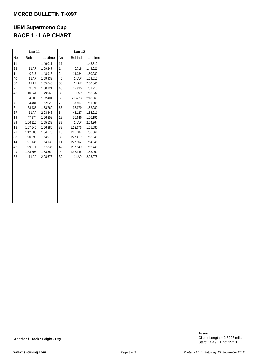## **RACE 1 - LAP CHART UEM Supermono Cup**

|           | Lap 11        |          |    | Lap 12        |          |
|-----------|---------------|----------|----|---------------|----------|
| <b>No</b> | <b>Behind</b> | Laptime  | No | <b>Behind</b> | Laptime  |
| 11        |               | 1:49.011 | 11 |               | 1:48.519 |
| 38        | 1 LAP         | 1:59.247 | 1  | 0.718         | 1:49.021 |
| 1         | 0.216         | 1:48.918 | 2  | 11.284        | 1:50.232 |
| 40        | 1 LAP         | 1:59.933 | 40 | 1 LAP         | 1:59.615 |
| 30        | 1 LAP         | 1:55.646 | 38 | 1 LAP         | 2:00.846 |
| 2         | 9.571         | 1:50.121 | 45 | 12.935        | 1:51.213 |
| 45        | 10.241        | 1:49.968 | 30 | 1 LAP         | 1:55.332 |
| 66        | 34.209        | 1:52.401 | 63 | 2 LAPS        | 2:18.265 |
| 7         | 34.481        | 1:52.023 | 7  | 37.867        | 1:51.905 |
| 6         | 38.435        | 1:53.769 | 66 | 37.979        | 1:52.289 |
| 37        | 1 LAP         | 2:03.848 | 6  | 45.127        | 1:55.211 |
| 19        | 47.974        | 1:56.353 | 19 | 55.646        | 1:56.191 |
| 89        | 1:06.115      | 1:55.133 | 37 | 1 LAP         | 2:04.264 |
| 18        | 1:07.545      | 1:56.386 | 89 | 1:12.676      | 1:55.080 |
| 21        | 1:12.088      | 1:54.570 | 18 | 1:15.087      | 1:56.061 |
| 33        | 1:20.890      | 1:54.919 | 33 | 1:27.419      | 1:55.048 |
| 14        | 1:21.135      | 1:54.138 | 14 | 1:27.562      | 1:54.946 |
| 42        | 1:29.911      | 1:57.335 | 42 | 1:37.840      | 1:56.448 |
| 99        | 1:33.396      | 1:53.550 | 99 | 1:38.346      | 1:53.469 |
| 32        | 1 LAP         | 2:08.676 | 32 | 1 LAP         | 2:08.078 |
|           |               |          |    |               |          |

Circuit Length = 2.8223 miles Start: 14:49 End: 15:13 Assen

**Weather / Track : Bright / Dry**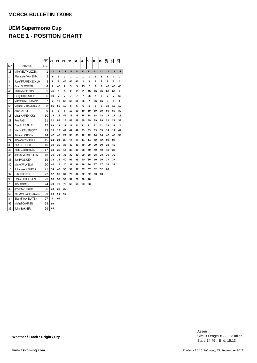## **UEM Supermono Cup RACE 1 - POSITION CHART**

|                |                          | Laps           |    | kч             | lက | 4              | l۴             | ဖ  |    | ထ              | ၜ  | å              |                | N              |
|----------------|--------------------------|----------------|----|----------------|----|----------------|----------------|----|----|----------------|----|----------------|----------------|----------------|
| No             | Name                     | Pos            |    |                |    |                |                |    |    |                |    |                |                |                |
| 11             | Mike VELTHUIJZEN         | 1              | 11 | 11             | 11 | 11             | 11             | 11 | 11 | 11             | 11 | 11             | 11             | 11             |
| $\mathbf{1}$   | Alexander VAN DIJK       | $\overline{2}$ | 1  | 1              | 1  | 1              | 1              | 1  | 1  | 1              | 1  | 1              | 1              | 1              |
| 3              | <b>Josef FRAUENSCHUH</b> | 3              | 3  | $\overline{2}$ | 45 | 45             | 45             | 3  | 3  | $\overline{a}$ | 3  | $\overline{a}$ | $\overline{a}$ | $\overline{a}$ |
| $\overline{2}$ | <b>Brian SLOOTEN</b>     | 4              | 2  | 45             | 2  | 3              | 3              | 45 | 2  | 3              | 2  | 45             | 45             | 45             |
| 45             | <b>Stefan MEINERS</b>    | 5              | 45 | 3              | 3  | $\overline{a}$ | $\overline{a}$ | 2  | 45 | 45             | 45 | 66             | 66             | $\overline{7}$ |
| 19             | Perry GOLDSTEIN          | 6              | 19 | 7              | 7  | $\overline{7}$ | 7              | 7  | 66 | 7              | 7  | $\overline{7}$ | $\overline{7}$ | 66             |
| $\overline{7}$ | Manfred KEHRMANN         | $\overline{7}$ | 7  | 19             | 66 | 66             | 66             | 66 | 7  | 66             | 66 | 6              | 6              | 6              |
| 66             | Michael VIRAVONGSA       | 8              | 66 | 66             | 19 | 6              | 6              | 6  | 6  | 6              | 6  | 19             | 19             | 19             |
| 6              | Allan ØSTLI              | 9              | 6  | 6              | 6  | 19             | 19             | 19 | 19 | 19             | 19 | 89             | 89             | 89             |
| 18             | <b>Libor KAMENICKY</b>   | 10             | 18 | 18             | 89 | 18             | 18             | 18 | 18 | 18             | 18 | 18             | 18             | 18             |
| 21             | <b>Roy PAS</b>           | 11             | 21 | 89             | 18 | 89             | 89             | 89 | 89 | 89             | 89 | 21             | 21             | 33             |
| 89             | David LEGALLE            | 12             | 89 | 21             | 21 | 21             | 21             | 21 | 21 | 21             | 21 | 33             | 33             | 14             |
| 13             | Martin KAMENICKY         | 13             | 13 | 13             | 42 | 42             | 42             | 33 | 33 | 33             | 33 | 14             | 14             | 42             |
| 42             | James HOBSON             | 14             | 42 | 42             | 24 | 33             | 33             | 42 | 42 | 14             | 14 | 42             | 42             | 99             |
| 24             | Alexander MICHEL         | 15             | 24 | 24             | 33 | 14             | 14             | 14 | 14 | 42             | 42 | 99             | 99             |                |
| 30             | <b>Bob DE BOER</b>       | 16             | 30 | 30             | 36 | 40             | 40             | 40 | 99 | 99             | 99 | 38             | 40             |                |
| 33             | <b>Niels GERRITSEN</b>   | 17             | 33 | 36             | 14 | 38             | 38             | 38 | 40 | 40             | 40 | 40             | 38             |                |
| 36             | Jeffrey VERMEULEN        | 18             | 36 | 33             | 38 | 30             | 30             | 99 | 38 | 38             | 38 | 30             | 30             |                |
| 38             | Jan PAVLICEK             | 19             | 38 | 38             | 40 | 96             | 99             | 30 | 30 | 30             | 30 | 37             | 37             |                |
| 40             | Mario WILHELM            | 20             | 40 | 14             | 30 | 37             | 96             | 96 | 96 | 37             | 37 | 32             | 32             |                |
| 14             | <b>Johannes KEHRER</b>   | 21             | 14 | 40             | 96 | 99             | 37             | 37 | 37 | 32             | 32 | 63             |                |                |
| 37             | <b>Lutz PFEIFER</b>      | 22             | 37 | 96             | 37 | 70             | 32             | 32 | 32 | 63             | 63 |                |                |                |
| 96             | Frank SCHOUREN           | 23             | 96 | 37             | 99 | 32             | 70             | 70 | 70 |                |    |                |                |                |
| 70             | Alex OOMEN               | 24             | 70 | 70             | 70 | 63             | 63             | 63 | 63 |                |    |                |                |                |
| 32             | Josef SVOBODA            | 25             | 32 | 32             | 32 |                |                |    |    |                |    |                |                |                |
| 63             | Kai-Uwe LOHRENGEL        | 26             | 63 | 63             | 63 |                |                |    |    |                |    |                |                |                |
| 8              | Sjoerd VAN BUITEN        | 27             | 8  | 99             |    |                |                |    |    |                |    |                |                |                |
| 99             | Michel CAMPEN            | 28             | 99 |                |    |                |                |    |    |                |    |                |                |                |
| 85             | <b>John BAKKER</b>       | 29             | 85 |                |    |                |                |    |    |                |    |                |                |                |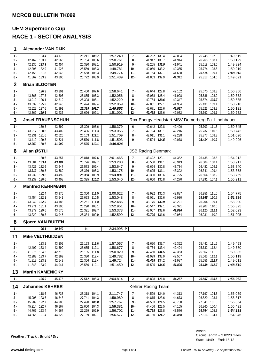## **UEM Supermono Cup RACE 1 - SECTOR ANALYSIS**

| 1              | <b>Alexander VAN DIJK</b>    |                  |                                 |                      |              |                                    |                  |                                                   |                      |
|----------------|------------------------------|------------------|---------------------------------|----------------------|--------------|------------------------------------|------------------|---------------------------------------------------|----------------------|
| $1 -$          | 133.4                        | 43.173           | 109.7<br>26.211                 | 1:57.240             | 7 -          | 41.737 133.4                       | 42.034           | 107.8<br>25.748                                   | 1:49.519             |
| 2 -            | 42.462 133.7                 | 42.565           | 108.6<br>25.734                 | 1:50.761             | 8 -          | 41.947 133.7                       | 41.914           | 26.268 108.1                                      | 1:50.129             |
| 3 -            | 42.135<br>133.9              | 42.454           | 26.330<br>108.1                 | 1:50.919             | 9.           | 133.9<br>42.265                    | 41.941           | 25.618 108.6                                      | 1:49.824             |
| 4 -            | 42.296 132.9                 | 41.926           | 108.3<br>25.559                 | 1:49.781             | $10 -$       | 133.2<br>42.080                    | 42.365           | 25.774 108.6                                      | 1:50.219             |
| $5 -$          | 42.158 131.8                 | 42.048           | 108.3<br>25.568                 | 1:49.774             | $11 -$       | 132.1<br>41.764                    | 41.638           | 25.516 109.1                                      | 1:48.918             |
| 6 -            | 41.867 133.2                 | 43.800           | 25.772<br>108.9                 | 1:51.439             | $12 -$       | 41.863<br>132.9                    | 41.341           | 25.817 104.6                                      | 1:49.021             |
| $\mathbf 2$    | <b>Brian SLOOTEN</b>         |                  |                                 |                      |              |                                    |                  |                                                   |                      |
| $1 -$          | 126.9                        | 43.201           | 107.6<br>26.400                 | 1:58.641             | 7 -          | 127.8<br>42.644                    | 42.152           | 25.570 108.3                                      | 1:50.366             |
| $2 -$          | 43.565 127.3                 | 42.606           | 108.3<br>25.885                 | 1:52.056             | $8 -$        | 43.068 125.4                       | 41.998           | 25.586 108.9                                      | 1:50.652             |
| 3 -            | 43.012 126.1                 | 42.819           | 108.1<br>26.398                 | 1:52.229             | 9 -          | 129.6<br>42.764                    | 42.347           | 25.574<br>109.7                                   | 1:50.685             |
| 4 -            | 43.639 125.2                 | 42.946           | 109.4<br>25.474                 | 1:52.059             | $10 -$       | 42.851<br>127.1                    | 41.934           | 25.431<br>109.1                                   | 1:50.216             |
| 5 -            | 42.522 127.6                 | 41.991           | 25.339 109.7                    | 1:49.852             | $11 -$       | 42.671 126.6                       | 41.927           | 25.523 108.9                                      | 1:50.121             |
| 6 -            | 42.869 129.6                 | 42.436           | 25.696 109.1                    | 1:51.001             | $12 -$       | 42.458 126.6                       | 42.082           | 25.692 109.1                                      | 1:50.232             |
| 3              | <b>Josef FRAUENSCHUH</b>     |                  |                                 |                      |              |                                    |                  | Rox-Energy Headstart MSV Domerberg Fa. Lindhbauer |                      |
| $1 -$          | 130.8                        | 43.599           | 26.309<br>108.6                 | 1:58.379             | $6 -$        | 42.642 129.8                       | 42.400           | 25.703 111.8                                      | 1:50.745             |
| 2 -            | 43.217 130.6                 | 43.402           | 26.436 111.3                    | 1:53.055             | 7 -          | 42.794 130.1                       | 42.216           | 25.732 110.5                                      | 1:50.742             |
| 3 -            | 42.931 131.6                 | 42.625           | 26.153<br>112.1                 | 1:51.709             | 8 -          | 42.911 131.1                       | 42.238           | 25.877 108.3                                      | 1:51.026             |
| 4.<br>5 -      | 43.412 129.3<br>42.250 130.6 | 42.521<br>41.999 | 25.570 111.8<br>25.575 112.1    | 1:51.503<br>1:49.824 | 9.           | 42.504 734.5                       | 42.078           | 25.414 110.7                                      | 1:49.996             |
|                |                              |                  |                                 |                      |              |                                    |                  |                                                   |                      |
| 6              | Allan ØSTLI                  |                  |                                 |                      |              | <b>JSB Racing Denmark</b>          |                  |                                                   |                      |
| $1 -$          | 130.6                        | 43.857           | 26.818<br>107.6                 | 2:01.465             | $7 -$        | 43.422 129.1                       | 44.352           | 26.438<br>108.6                                   | 1:54.212             |
| 2 -            | 43.381 133.4                 | 43.181           | 109.7<br>26.726                 | 1:53.288             | $8 -$<br>9.  | 43.500 131.1                       | 43.913           | 26.504 108.1                                      | 1:53.917             |
| 3 -<br>4 -     | 43.427 132.6<br>43.219 130.8 | 43.647<br>43.580 | 109.4<br>26.573<br>26.376 108.3 | 1:53.647<br>1:53.175 | $10 -$       | 130.8<br>43.624<br>43.625<br>131.1 | 43.734<br>43.392 | 26.482 109.1<br>26.341<br>109.4                   | 1:53.840<br>1:53.358 |
| 5 -            | 43.239 129.8                 | 43.492           | 26.300 108.9                    | 1:53.031             | $11 -$       | 43.380<br>130.6                    | 43.725           | 26.664<br>108.9                                   | 1:53.769             |
| 6 -            | 43.237 130.6                 | 43.408           | 26.395<br>110.2                 | 1:53.040             | $12 -$       | 130.8<br>43.650                    | 44.270           | 27.291<br>107.1                                   | 1:55.211             |
| $\overline{7}$ | <b>Manfred KEHRMANN</b>      |                  |                                 |                      |              |                                    |                  |                                                   |                      |
|                |                              |                  |                                 |                      |              |                                    |                  |                                                   |                      |
|                |                              |                  |                                 |                      |              |                                    |                  |                                                   |                      |
| $1 -$          | 132.4                        | 43.975           | 26.300 111.0                    | 2:00.622             | 7 -          | 43.932 130.3                       | 43.887           | 26.956 111.0                                      | 1:54.775             |
| $2 -$<br>3 -   | 43.454 132.1<br>43.042 132.9 | 43.541<br>43.183 | 26.053 110.5<br>26.261 111.0    | 1:53.048<br>1:52.486 | $8 -$<br>9 - | 43.091<br>132.6<br>43.775<br>132.9 | 42.930<br>43.221 | 25.865 110.7<br>26.204 109.4                      | 1:51.886<br>1:53.200 |
| 4 -            | 43.271 131.1                 | 43.390           | 108.1<br>26.290                 | 1:52.951             | 10 -         | 45.547<br>132.1                    | 43.371           | 26.907 110.5                                      | 1:55.825             |
| 5 -            | 43.377 129.6                 | 43.675           | 26.321<br>109.7                 | 1:53.373             | $11 -$       | 43.007<br>132.6                    | 42.896           | 26.120<br>112.1                                   | 1:52.023             |
| 6 -            | 43.220 130.3                 | 43.045           | 26.334 109.9                    | 1:52.599             | $12 -$       | 42.720 131.6                       | 42.954           | 26.231 110.2                                      | 1:51.905             |
| 8              | <b>Sjoerd VAN BUITEN</b>     |                  |                                 |                      |              |                                    |                  |                                                   |                      |
| $1 -$          | 96.1                         | 49.649           | In                              | 2:34.995 P           |              |                                    |                  |                                                   |                      |
| 11             | <b>Mike VELTHUIJZEN</b>      |                  |                                 |                      |              |                                    |                  |                                                   |                      |
| $1 -$          | 133.2                        | 43.209           | 26.153 111.6                    | 1:57.067             | $7 -$        | 41.690 133.7                       | 42.362           | 25.441 111.6                                      | 1:49.493             |
| 2 -            | 42.402 133.4                 | 42.590           | 25.685 112.1                    | 1:50.677             | 8 -          | 41.734 133.4                       | 42.404           | 25.632 112.4                                      | 1:49.770             |
| 3 -            | 41.976 134.2                 | 42.718           | 26.135 111.8                    | 1:50.829             | 9 -          | 42.460 134.5                       | 42.363           | 25.562 111.8                                      | 1:50.385             |
| 4 -            | 42.283 133.7                 | 42.169           | 25.330 112.4                    | 1:49.782             | 10 -         | 41.999 133.9                       | 42.557           | 25.563 112.1                                      | 1:50.119             |
| 5 -            | 41.819 133.2                 | 42.549           | 25.356 112.4                    | 1:49.724             | $11 -$       | 41.468 134.2                       | 41.987           | 25.556 112.7                                      | 1:49.011             |
| 6 -            | 41.843 133.9                 | 44.041           | 25.566 112.1                    | 1:51.450             | $12 -$       | 41.505<br>134.5                    | 41.826           | 25.188 112.7                                      | 1:48.519             |
| 13             | <b>Martin KAMENICKY</b>      |                  |                                 |                      |              |                                    |                  |                                                   |                      |
| $1 -$          | 125.9                        | 45.475           | 27.512 105.3                    | 2:04.814             | $2 -$        | 45.828 121.8                       | 44.287           | 26.857 105.5                                      | 1:56.972             |
| 14             | <b>Johannes KEHRER</b>       |                  |                                 |                      |              | Kehrer Racing Team                 |                  |                                                   |                      |
| $1 -$          | 118.6                        | 46.738           | 28.318 104.1                    | 2:11.747             | $7 -$        | 44.529 124.0                       | 44.313           | 27.197 104.8                                      | 1:56.039             |
| $2 -$<br>3 -   | 45.905 123.6                 | 46.343<br>44.988 | 27.741 104.3<br>27.490<br>106.0 | 1:59.989<br>1:57.767 | $8 -$<br>9.  | 44.815 123.6                       | 44.673<br>43.780 | 26.829 103.1<br>27.041 101.3                      | 1:56.317             |
| 4.             | 45.289 122.7<br>45.214 122.7 | 46.167           | 28.000<br>104.3                 | 1:59.381             | $10 -$       | 44.533 124.5<br>44.406 122.5       | 44.165           | 26.860 100.4                                      | 1:55.354<br>1:55.431 |
| 5 -            | 44.766 123.4                 | 44.667           | 27.269<br>102.9                 | 1:56.702             | $11 -$       | 43.798 123.8                       | 43.576           | 26.764 105.3                                      | 1:54.138<br>1:54.946 |

Circuit Length = 2.8223 miles Start: 14:49 End: 15:13 Assen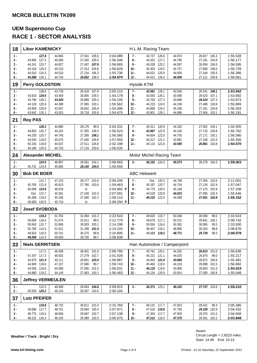## **UEM Supermono Cup RACE 1 - SECTOR ANALYSIS**

| 18         | <b>Libor KAMENICKY</b>       |                  |                                  |                      |        | H.L.M. Racing Team           |        |                 |          |
|------------|------------------------------|------------------|----------------------------------|----------------------|--------|------------------------------|--------|-----------------|----------|
| $1 -$      | 127.8                        | 44.883           | 27.541 105.5                     | 2:04.089             | $7 -$  | 43.727 126.6                 | 44.974 | 26.827<br>105.3 | 1:55.528 |
| $2 -$      | 43.905 127.3                 | 45.006           | 27.435 105.5                     | 1:56.346             | $8 -$  | 44.201 127.1                 | 44.795 | 27.181<br>104.8 | 1:56.177 |
| 3 -        | 44.241 125.7                 | 44.927           | 27.497<br>107.6                  | 1:56.665             | 9.     | 45.039 125.2                 | 44.597 | 26.959<br>106.5 | 1:56.595 |
| 4 -        | 44.104 125.4                 | 45.210           | 27.314 104.6                     | 1:56.628             | $10 -$ | 44.303 124.5                 | 44.757 | 27.668<br>106.0 | 1:56.728 |
| 5.         | 44.010 124.3                 | 44.510           | 27.216 106.3                     | 1:55.736             | 11 -   | 44.622 125.9                 | 44.600 | 27.164<br>105.5 | 1:56.386 |
| 6 -        | 43.588 126.1                 | 44.734           | 26.652 106.0                     | 1:54.974             | 12 -   | 44.431<br>126.4              | 44.509 | 27.121<br>105.8 | 1:56.061 |
| 19         | <b>Perry GOLDSTEIN</b>       |                  |                                  |                      |        | <b>Hyside KTM</b>            |        |                 |          |
| $1 -$      | 128.6                        | 43.739           | 26.418 107.8                     | 2:00.115             | $7 -$  | 43.561 126.1                 | 43.540 | 26.541<br>108.1 | 1:53.642 |
| 2 -        | 43.815<br>129.6              | 43.459           | 105.5<br>26.905                  | 1:54.179             | $8 -$  | 43.583 126.1                 | 43.586 | 26.523 107.1    | 1:53.692 |
| 3 -        | 43.790 129.1                 | 43.426           | 26.889<br>105.3                  | 1:54.105             | 9 -    | 43.763 127.3                 | 43.696 | 26.414 107.3    | 1:53.873 |
| 4 -        | 44.128 125.9                 | 44.389           | 27.065<br>103.1                  | 1:55.582             | $10 -$ | 44.223 124.5                 | 44.158 | 27.488<br>103.6 | 1:55.869 |
| 5 -        | 43.858 126.9                 | 43.937           | 26.601<br>105.8                  | 1:54.396             | $11 -$ | 43.856<br>125.4              | 45.336 | 27.161<br>104.8 | 1:56.353 |
| 6 -        | 43.842 126.1                 | 43.915           | 105.8<br>26.718                  | 1:54.475             | $12 -$ | 43.901<br>128.1              | 44.886 | 103.1<br>27.404 | 1:56.191 |
| 21         | <b>Roy PAS</b>               |                  |                                  |                      |        |                              |        |                 |          |
| $1 -$      | 128.3                        | 44.880           | 28.176<br>99.5                   | 2:04.331             | 7 -    | 44.311 120.9                 | 44.192 | 27.002 104.1    | 1:55.505 |
| $2 -$      | 44.853 125.7                 | 44.315           | 106.5<br>27.355                  | 1:56.523             | $8 -$  | 43.967 122.9                 | 44.105 | 27.710 103.8    | 1:55.782 |
| 3 -        | 44.230 125.7                 | 44.745           | 27.385<br>108.1                  | 1:56.360             | 9 -    | 44.654 122.0                 | 44.755 | 103.1<br>27.171 | 1:56.580 |
| 4.         | 44.540 119.0                 | 45.075           | 27.440<br>105.8                  | 1:57.055             | $10 -$ | 44.317 121.1                 | 43.981 | 27.158<br>101.0 | 1:55.456 |
| 5.         | 50.150 118.8                 | 44.537           | 27.511 104.8                     | 2:02.198             | $11 -$ | 44.114 121.6                 | 43.595 | 26.861 103.8    | 1:54.570 |
| 6 -        | 44.186 120.5                 | 44.733           | 27.116 103.6                     | 1:56.035             |        |                              |        |                 |          |
| 24         | <b>Alexander MICHEL</b>      |                  |                                  |                      |        | Motor Michel Racing Team     |        |                 |          |
| $1 -$      | 124.5                        | 46.907           | 28.561<br>104.1                  | 2:08.683             | $3 -$  | 45.152 124.3                 | 45.573 | 28.278 104.3    | 1:59.003 |
| $2 -$      | 45.731 123.8                 | 45.685           | 28.140 104.6                     | 1:59.556             |        |                              |        |                 |          |
| 30         | <b>Bob DE BOER</b>           |                  |                                  |                      |        | <b>ABC Hekwerk</b>           |        |                 |          |
| $1 -$      | 122.7                        | 47.215           | 103.4<br>28.177                  | 2:09.200             | $7 -$  | 120.3<br>Out                 | 44.708 | 27.356<br>103.6 | 2:11.001 |
| $2 -$      | 45.765 121.8                 | 45.913           | 27.785<br>103.6                  | 1:59.463             | $8 -$  | 45.167 120.7                 | 44.754 | 27.126<br>102.4 | 1:57.047 |
| 3 -        | 45.008<br>123.6              | 46.016           | In                               | 2:04.992 P           | 9 -    | 44.775<br>120.5              | 45.158 | 27.175<br>102.9 | 1:57.108 |
| 4 -        | Out<br>122.7                 | 45.361           | 27.428<br>102.4                  | 2:07.001             | $10 -$ | 44.528<br>120.9              | 44.023 | 27.095<br>102.4 | 1:55.646 |
| 5.         | 45.289 119.0                 | 45.246           | 27.580<br>102.2                  | 1:58.115             | $11 -$ | 44.232 122.0                 | 44.099 | 27.001 103.8    | 1:55.332 |
| $6 -$      | 45.693 120.5                 | 45.710           | In                               | 2:08.294 P           |        |                              |        |                 |          |
| 32         | <b>Josef SVOBODA</b>         |                  |                                  |                      |        |                              |        |                 |          |
| $1 -$      | 119.2                        | 51.754           | 31.084<br>101.3                  | 2:22.543             | 7 -    | 49.620 115.7                 | 50.348 | 30.556<br>99.0  | 2:10.524 |
| $2 -$      | 50.094 118.4                 | 51.074           | 31.611<br>99.5                   | 2:12.779             | $8 -$  | 49.670 117.1                 | 50.231 | 29.841<br>100.1 | 2:09.742 |
| 3 -        | 50.563 115.7                 | 52.806           | 30.929<br>100.1                  | 2:14.298             | 9 -    | 50.054<br>118.4              | 50.381 | 30.065<br>99.3  | 2:10.500 |
| 4.         | 50.785 114.3                 | 52.021           | 31.298<br>101.5                  | 2:14.104             | $10 -$ | 49.457 118.1                 | 48.885 | 30.334<br>98.8  | 2:08.676 |
| 5 -<br>6 - | 49.924 116.5<br>49.260 114.3 | 50.701<br>49.828 | 30.270<br>99.9<br>29.750<br>99.7 | 2:10.895<br>2:08.838 | $11 -$ | 49.568 119.2                 | 48.771 | 29.739<br>99.5  | 2:08.078 |
| 33         | <b>Niels GERRITSEN</b>       |                  |                                  |                      |        | Han Automotive / Camperpoint |        |                 |          |
| $1 -$      | 117.5                        | 46.308           | 28.401 101.0                     | 2:09.790             | $7 -$  | 45.761 120.1                 | 44.262 | 26.813 101.0    | 1:56.836 |
| $2 -$      | 47.247 117.3                 | 46.502           | 27.279 102.7                     | 2:01.028             | $8 -$  | 44.221 121.1                 | 44.020 | 26.976<br>99.0  | 1:55.217 |
| 3 -        | 44.975 121.4                 | 45.111           | 26.901<br>103.4                  | 1:56.987             | 9 -    | 44.943 121.4                 | 43.666 | 26.872 100.6    | 1:55.481 |
| 4.         | 44.900 118.6                 | 47.157           | 27.686<br>99.7                   | 1:59.743             | $10 -$ | 45.465 119.0                 | 44.319 | 26.898<br>101.5 | 1:56.682 |
| $5 -$      | 44.556 118.6                 | 44.380           | 27.095<br>101.5                  | 1:56.031             | $11 -$ | 44.110 119.6                 | 43.906 | 26.903<br>101.0 | 1:54.919 |
| $6 -$      | 44.880 119.2                 | 44.140           | 27.463 100.1                     | 1:56.483             | 12 -   | 44.134 120.9                 | 43.914 | 27.000<br>100.8 | 1:55.048 |
| 36         | <b>Jeffrey VERMEULEN</b>     |                  |                                  |                      |        |                              |        |                 |          |
| $1 -$      | 122.5                        | 46.949           | 28.654<br>104.6                  | 2:09.915             | $3 -$  | 45.371 123.1                 | 46.102 | 27.737 103.8    | 1:59.210 |
| $2 -$      | 45.593 125.2                 | 46.224           | 28.287 103.6                     | 2:00.104             |        |                              |        |                 |          |
| 37         | <b>Lutz PFEIFER</b>          |                  |                                  |                      |        |                              |        |                 |          |
| $1 -$      | 119.8                        | 48.732           | 30.611 101.0                     | 2:15.760             | $7 -$  | 48.131 117.7                 | 47.823 | 29.431<br>99.3  | 2:05.385 |
| $2 -$      | 49.686 117.7                 | 48.701           | 29.584 100.4                     | 2:07.971             | $8 -$  | 47.516 119.8                 | 47.760 | 29.156 102.9    | 2:04.432 |
| $3 -$      | 48.775 119.4                 | 48.666           | 29.697 102.7                     | 2:07.138             | 9.     | 47.354 117.7                 | 47.929 | 29.375<br>101.5 | 2:04.658 |
| 4 -        | 48.131 116.3                 | 48.155           | 29.389 102.0                     | 2:05.675             | 10 -   | 47.212 116.3                 | 47.375 | 29.261<br>102.2 | 2:03.848 |

Assen

Circuit Length = 2.8223 miles Start: 14:49 End: 15:13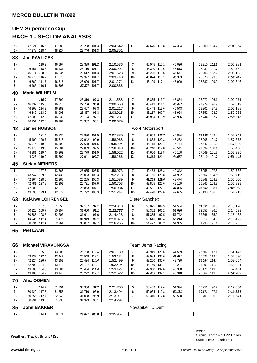## **RACE 1 - SECTOR ANALYSIS**

| $5 -$ | 47.924 116.5              | 47.380 | 29.238<br>101.3 | 2:04.542 | $11 -$ | 47.670 118.8     | 47.394 | 29.200<br>103.1 | 2:04.264 |
|-------|---------------------------|--------|-----------------|----------|--------|------------------|--------|-----------------|----------|
| $6 -$ | 47.378 118.4              | 48.227 | 29.746 101.3    | 2:05.351 |        |                  |        |                 |          |
| 38    | <b>Jan PAVLICEK</b>       |        |                 |          |        |                  |        |                 |          |
|       |                           |        |                 |          |        |                  |        |                 |          |
| $1 -$ | 119.2                     | 46.597 | 102.2<br>28.339 | 2:10.536 | $7 -$  | 46.045 117.1     | 46.026 | 28.210<br>102.2 | 2:00.281 |
| $2 -$ | 46.451 118.8              | 46.431 | 101.7<br>28.110 | 2:00.992 | $8 -$  | 46.340 119.6     | 45.513 | 27.931<br>101.7 | 1:59.784 |
| $3 -$ | 45.974<br>120.9           | 46.937 | 28.612 101.3    | 2:01.523 | 9.     | 46.226 118.6     | 45.671 | 28.206<br>102.2 | 2:00.103 |
| 4 -   | 46.970 116.7              | 47.373 | 29.397<br>101.7 | 2:03.740 | $10 -$ | 45.874 118.1     | 45.303 | 28.070<br>93.5  | 1:59.247 |
| 5.    | 46.862 111.7              | 46.313 | 28.096 101.7    | 2:01.271 | $11 -$ | 46.109 117.1     | 45.900 | 28.837<br>99.9  | 2:00.846 |
| 6 -   | 46.463 116.1              | 46.506 | 27.897 101.7    | 2:00.866 |        |                  |        |                 |          |
| 40    | <b>Mario WILHELM</b>      |        |                 |          |        |                  |        |                 |          |
| $1 -$ | 115.9                     | 47.390 | 28.316<br>97.3  | 2:11.588 | $7 -$  | 46.365<br>113.7  | 45.834 | 28.072<br>96.1  | 2:00.271 |
| $2 -$ | 46.737 115.3              | 46.215 | 98.8<br>27.708  | 2:00.660 | $8 -$  | 46.413 114.1     | 45.427 | 27.979<br>96.9  | 1:59.819 |
| $3 -$ | 46.368 114.3              | 46.382 | 97.3<br>28.467  | 2:01.217 | $9 -$  | 46.443 113.6     | 45.543 | 28.202<br>97.3  | 2:00.188 |
| 4 -   | 46.540 113.2              | 48.008 | 96.3<br>28.467  | 2:03.015 | $10 -$ | 46.157 107.7     | 45.924 | 27.852<br>98.0  | 1:59.933 |
| $5 -$ | 47.008<br>112.0           | 46.039 | 28.184<br>97.1  | 2:01.231 | $11 -$ | 45.935 113.9     | 45.936 | 97.7<br>27.744  | 1:59.615 |
| 6 -   | 46.151<br>112.0           | 46.161 | 28.367<br>96.1  | 2:00.679 |        |                  |        |                 |          |
| 42    | <b>James HOBSON</b>       |        |                 |          |        | Two 4 Motorsport |        |                 |          |
|       |                           |        |                 |          |        |                  |        |                 |          |
| $1 -$ | 121.4                     | 45.830 | 101.0<br>27.890 | 2:07.880 | $7 -$  | 45.662<br>122.7  | 44.884 | 27.195 102.4    | 1:57.741 |
| $2 -$ | 45.409 120.7              | 45.617 | 99.9<br>27.942  | 1:58.968 | $8 -$  | 44.888 120.3     | 45.282 | 27.205 101.7    | 1:57.375 |
| $3 -$ | 45.074<br>119.8           | 45.592 | 101.5<br>27.628 | 1:58.294 | 9.     | 44.718 121.1     | 44.744 | 27.547 101.3    | 1:57.009 |
| 4 -   | 45.175 119.6              | 45.804 | 27.869<br>99.5  | 1:58.848 | $10 -$ | 45.240 119.8     | 45.541 | 27.699<br>100.4 | 1:58.480 |
| 5.    | 44.881<br>119.4           | 45.362 | 101.0<br>27.779 | 1:58.022 | $11 -$ | 44.606 119.8     | 45.160 | 27.569<br>101.7 | 1:57.335 |
| 6 -   | 44.926 119.2              | 45.399 | 27.941<br>102.7 | 1:58.266 | $12 -$ | 44.361 121.4     | 44.677 | 27.410 101.7    | 1:56.448 |
| 45    | <b>Stefan MEINERS</b>     |        |                 |          |        |                  |        |                 |          |
| $1 -$ | 127.6                     | 43.366 | 26.635<br>106.5 | 1:58.973 | $7 -$  | 42.468<br>128.3  | 42.342 | 25.958<br>107.8 | 1:50.768 |
| $2 -$ | 129.3<br>43.747           | 42.438 | 26.033<br>108.3 | 1:52.218 | $8 -$  | 128.8<br>43.165  | 41.992 | 25.562<br>108.9 | 1:50.719 |
| $3 -$ | 42.964<br>128.6           | 42.360 | 106.3<br>26.265 | 1:51.589 | 9.     | 42.258 129.6     | 42.474 | 25.868 108.3    | 1:50.600 |
| 4 -   | 42.781<br>127.8           | 42.201 | 107.6<br>25.721 | 1:50.703 | $10 -$ | 42.805<br>127.6  | 42.159 | 25.865<br>108.3 | 1:50.829 |
| 5 -   | 42.809<br>127.3           | 42.272 | 25.853<br>107.1 | 1:50.934 | $11 -$ | 42.531 127.1     | 41.885 | 25.552 108.1    | 1:49.968 |
| 6 -   | 43.096 129.1              | 42.379 | 25.772<br>108.3 | 1:51.247 | $12 -$ | 42.478<br>127.6  | 42.605 | 26.130<br>106.3 | 1:51.213 |
|       |                           |        |                 |          |        |                  |        |                 |          |
| 63    | Kai-Uwe LOHRENGEL         |        |                 |          |        | Dieter Sanchex   |        |                 |          |
| $1 -$ | 107.0                     | 51.050 | 32.137<br>92.1  | 2:24.010 | $6 -$  | 50.025<br>107.5  | 51.554 | 31.591<br>88.5  | 2:13.170 |
| $2 -$ | 109.7<br>50.120           | 50.957 | 31.660<br>92.1  | 2:12.737 | $7 -$  | 106.2<br>50.352  | 51.626 | 32.555<br>86.0  | 2:14.533 |
| $3 -$ | 50.585<br>108.8           | 52.202 | 91.6<br>31.641  | 2:14.428 | $8 -$  | 51.355<br>97.5   | 51.742 | 32.366<br>85.2  | 2:15.463 |
| 4.    | 49.949 111.1              | 51.477 | 31.949<br>92.1  | 2:13.375 | 9 -    | 108.4<br>50.646  | 50.214 | 32.617<br>84.5  | 2:13.477 |
| 5 -   | 50.234<br>111.1           | 52.964 | 33.067<br>89.7  | 2:16.265 | $10 -$ | 80.2<br>54.427   | 51.905 | 31.933<br>91.4  | 2:18.265 |
| 65    | <b>Piet LAAN</b>          |        |                 |          |        |                  |        |                 |          |
|       |                           |        |                 |          |        |                  |        |                 |          |
| 66    | <b>Michael VIRAVONGSA</b> |        |                 |          |        | Team Jems Racing |        |                 |          |
| $1 -$ | 135.3                     | 43.803 | 112.4<br>26.708 | 2:01.189 | $7 -$  | 42.949 129.6     | 44.589 | 26.607 112.1    | 1:54.145 |
| $2 -$ | 43.137 137.0              | 43.449 | 26.548 112.1    | 1:53.134 | $8 -$  | 43.084 132.6     | 43.021 | 26.525 112.4    | 1:52.630 |

| <u> 2 - </u> | 40. ION<br>ש.נכו   | 43.447 | Z0.040<br>11Z.I | . ၁၁. ၊ ၁4 | . o    | 40.U04<br>132.0   | 4 <i>3.UZ 1</i> | 20.JZJ<br>11Z.4 | . 32. 030 |
|--------------|--------------------|--------|-----------------|------------|--------|-------------------|-----------------|-----------------|-----------|
| 3 -          | 136.7<br>42.924    | 43.151 | 26.424<br>114.4 | 1:52.499   | 9.     | 43.250<br>132.6   | 43.720          | 26.084 114.4    | 1:53.054  |
| 4 -          | 42.709<br>134.2    | 43.678 | 26.107<br>112.7 | 1:52.494   | $10 -$ | 44.749<br>133.4   | 43.281          | 26.991<br>111.8 | 1:55.021  |
| 5 -          | 134.5<br>43.306    | 43.687 | 26.434<br>114.4 | 1:53.427   | $11 -$ | 42.900<br>132.6   | 43.330          | 113.0<br>26.171 | 1:52.401  |
| 6 -          | 134.2<br>43.105    | 43.145 | 26.272 112.7    | 1:52.522   | $12 -$ | 42.409 132.1      | 43.318          | 26.562 113.0    | 1:52.289  |
| 70           | <b>Alex OOMEN</b>  |        |                 |            |        |                   |                 |                 |           |
| $1 -$        | 114.7              | 51.794 | 97.7<br>30.386  | 2:21.708   | -5 -   | 112.4<br>50.409   | 51.394          | 96.7<br>30.251  | 2:12.054  |
| $2 -$        | 50.420<br>117.5    | 51.358 | 93.9<br>31.716  | 2:13.494   | 6 -    | 50.034<br>112.8   | 50.131          | 97.1<br>30.171  | 2:10.336  |
| 3 -          | 117.7<br>50.555    | 52.348 | 31.008<br>96.9  | 2:13.911   | 7.     | 112.8<br>50.310   | 50.530          | 96.3<br>30.701  | 2:11.541  |
| 4 -          | 50.991<br>113.0    | 51.933 | 31.373<br>96.1  | 2:14.297   |        |                   |                 |                 |           |
| 85           | <b>John BAKKER</b> |        |                 |            |        | Novabike TU Delft |                 |                 |           |
| $1 -$        | 114.1              | 50.074 | 29.071 100.8    | 3:35.967   |        |                   |                 |                 |           |

**Weather / Track : Bright / Dry**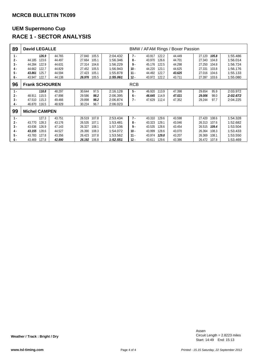## **UEM Supermono Cup RACE 1 - SECTOR ANALYSIS**

| 89    | <b>David LEGALLE</b>  |        |                 |          |            | BMW / AFAM Rings / Boxer Passion |        |                 |          |
|-------|-----------------------|--------|-----------------|----------|------------|----------------------------------|--------|-----------------|----------|
| $1 -$ | 126.9                 | 44.765 | 105.5<br>27.840 | 2:04.432 | $7 -$      | 43.917<br>122.2                  | 44.449 | 27.120<br>105.8 | 1:55.486 |
| $2 -$ | 123.6<br>44.185       | 44.497 | 105.1<br>27.664 | 1:56.346 | 8 -        | 126.6<br>43.970                  | 44.701 | 27.343<br>104.8 | 1:56.014 |
| 3 -   | 122.9<br>44.284       | 44.631 | 104.6<br>27.314 | 1:56.229 | 9.         | 45.176<br>122.5                  | 44.298 | 27.250<br>104.8 | 1:56.724 |
| 4 -   | 122.7<br>44.662       | 44.829 | 105.5<br>27.452 | 1:56.943 | $10 -$     | 44.220<br>123.1                  | 44.625 | 27.331<br>103.8 | 1:56.176 |
| 5 -   | 125.7<br>43.861       | 44.594 | 105.1<br>27.423 | 1:55.878 | $11 -$     | 44.492<br>122.7                  | 43.625 | 104.6<br>27.016 | 1:55.133 |
| 6 -   | 122.7<br>43.947       | 44.138 | 26.976 105.5    | 1:55.061 | $12 -$     | 43.972<br>122.2                  | 43.711 | 27.397<br>103.6 | 1:55.080 |
| 96    | <b>Frank SCHOUREN</b> |        |                 |          | <b>RCB</b> |                                  |        |                 |          |
| $1 -$ | 118.8                 | 48.297 | 97.5<br>30.644  | 2:16.128 | $5 -$      | 46.920<br>113.9                  | 47.398 | 95.9<br>29.654  | 2:03.972 |
| 2 -   | 115.5<br>48.911       | 47.898 | 98.2<br>29.586  | 2:06.395 | 6 -        | 46.645<br>114.9                  | 47.021 | 29.006<br>98.0  | 2:02.672 |
| 3 -   | 115.3<br>47.510       | 49.466 | 98.2<br>29.898  | 2:06.874 | 7.         | 47.629<br>112.4                  | 47.352 | 97.7<br>29.244  | 2:04.225 |
| 4 -   | 46.870<br>116.5       | 48.929 | 30.224<br>96.7  | 2:06.023 |            |                                  |        |                 |          |
| 99    | <b>Michel CAMPEN</b>  |        |                 |          |            |                                  |        |                 |          |
| $1 -$ | 127.3                 | 43.751 | 107.8<br>26.519 | 2:53.434 | 7.         | 129.6<br>43.310                  | 43.598 | 108.6<br>27.420 | 1:54.328 |
| $2 -$ | 128.3<br>43.770       | 43.176 | 107.1<br>26.535 | 1:53.481 | 8 -        | 43.323<br>129.1                  | 43.046 | 26.313<br>107.6 | 1:52.682 |
| 3 -   | 126.9<br>43.636       | 47.143 | 108.1<br>26.327 | 1:57.106 | 9.         | 43.535<br>128.6                  | 43.454 | 26.515<br>109.4 | 1.53.504 |
| 4 -   | 128.6<br>43.155       | 44.527 | 108.3<br>26.390 | 1:54.072 | $10 -$     | 43.999<br>128.6                  | 43.070 | 108.3<br>26.364 | 1:53.433 |
| 5 -   | 127.8<br>43.783       | 43.356 | 107.8<br>26.423 | 1:53.562 | $11 -$     | 43.974<br>129.8                  | 43.207 | 26.369<br>108.1 | 1:53.550 |
| $6 -$ | 127.8<br>43.469       | 42.890 | 26.192 106.8    | 1:52.551 | $12 -$     | 129.6<br>43.611                  | 43.386 | 26.472<br>107.8 | 1:53.469 |

Assen

Circuit Length = 2.8223 miles Start: 14:49 End: 15:13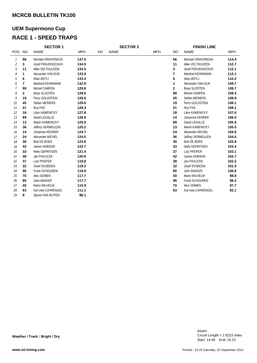## **RACE 1 - SPEED TRAPS**

|                             |                | <b>SECTOR 1</b>          |       |     |             | <b>SECTOR 2</b> |            |              | <b>FINISH LINE</b>       |            |
|-----------------------------|----------------|--------------------------|-------|-----|-------------|-----------------|------------|--------------|--------------------------|------------|
| POS NO                      |                | <b>NAME</b>              | MPH   | NO. | <b>NAME</b> |                 | <b>MPH</b> | NO           | <b>NAME</b>              | <b>MPH</b> |
| $\mathcal I$                | 66             | Michael VIRAVONGSA       | 137.0 |     |             |                 |            | 66           | Michael VIRAVONGSA       | 114.4      |
| $\mathcal{Z}_{\mathcal{C}}$ | 3              | <b>Josef FRAUENSCHUH</b> | 134.5 |     |             |                 |            | 11           | Mike VELTHUIJZEN         | 112.7      |
| $\mathcal{S}$               | 11             | Mike VELTHUIJZEN         | 134.5 |     |             |                 |            | 3            | <b>Josef FRAUENSCHUH</b> | 112.1      |
| 4                           | 1              | Alexander VAN DIJK       | 133.9 |     |             |                 |            | 7            | <b>Manfred KEHRMANN</b>  | 112.1      |
| 5                           | 6              | Allan ØSTLI              | 133.4 |     |             |                 |            | 6            | Allan ØSTLI              | 110.2      |
| 6                           | $\overline{7}$ | <b>Manfred KEHRMANN</b>  | 132.9 |     |             |                 |            | 1            | Alexander VAN DIJK       | 109.7      |
|                             | 99             | <b>Michel CAMPEN</b>     | 129.8 |     |             |                 |            | $\mathbf{2}$ | <b>Brian SLOOTEN</b>     | 109.7      |
| 8                           | $\mathbf{2}$   | <b>Brian SLOOTEN</b>     | 129.6 |     |             |                 |            | 99           | Michel CAMPEN            | 109.4      |
| 9                           | 19             | Perry GOLDSTEIN          | 129.6 |     |             |                 |            | 45           | Stefan MEINERS           | 108.9      |
| 10                          | 45             | <b>Stefan MEINERS</b>    | 129.6 |     |             |                 |            | 19           | Perry GOLDSTEIN          | 108.1      |
| 11                          | 21             | Roy PAS                  | 128.3 |     |             |                 |            | 21           | <b>Roy PAS</b>           | 108.1      |
| 12                          | 18             | <b>Libor KAMENICKY</b>   | 127.8 |     |             |                 |            | 18           | Libor KAMENICKY          | 107.6      |
| 13                          | 89             | David LEGALLE            | 126.9 |     |             |                 |            | 14           | Johannes KEHRER          | 106.0      |
| 14                          | 13             | Martin KAMENICKY         | 125.9 |     |             |                 |            | 89           | David LEGALLE            | 105.8      |
| 15                          | 36             | Jeffrey VERMEULEN        | 125.2 |     |             |                 |            | 13           | Martin KAMENICKY         | 105.5      |
| 16                          | 14             | Johannes KEHRER          | 124.7 |     |             |                 |            | 24           | <b>Alexander MICHEL</b>  | 104.6      |
| 17                          | 24             | Alexander MICHEL         | 124.5 |     |             |                 |            | 36           | Jeffrey VERMEULEN        | 104.6      |
| 18                          | 30             | <b>Bob DE BOER</b>       | 123.6 |     |             |                 |            | 30           | <b>Bob DE BOER</b>       | 103.8      |
| 19                          | 42             | James HOBSON             | 122.7 |     |             |                 |            | 33           | Niels GERRITSEN          | 103.4      |
| 20                          | 33             | Niels GERRITSEN          | 121.4 |     |             |                 |            | 37           | Lutz PFEIFER             | 103.1      |
| 21                          | 38             | Jan PAVLICEK             | 120.9 |     |             |                 |            | 42           | James HOBSON             | 102.7      |
| 22                          | 37             | <b>Lutz PFEIFER</b>      | 119.8 |     |             |                 |            | 38           | <b>Jan PAVLICEK</b>      | 102.2      |
| 23                          | 32             | Josef SVOBODA            | 119.2 |     |             |                 |            | 32           | Josef SVOBODA            | 101.5      |
| 24                          | 96             | Frank SCHOUREN           | 118.8 |     |             |                 |            | 85           | John BAKKER              | 100.8      |
| 25                          | 70             | Alex OOMEN               | 117.7 |     |             |                 |            | 40           | Mario WILHELM            | 98.8       |
| 26                          | 85             | John BAKKER              | 117.7 |     |             |                 |            | 96           | Frank SCHOUREN           | 98.2       |
| 27                          | 40             | Mario WILHELM            | 115.9 |     |             |                 |            | 70           | Alex OOMEN               | 97.7       |
| 28                          | 63             | Kai-Uwe LOHRENGEL        | 111.1 |     |             |                 |            | 63           | Kai-Uwe LOHRENGEL        | 92.1       |
| 29                          | 8              | Sjoerd VAN BUITEN        | 96.1  |     |             |                 |            |              |                          |            |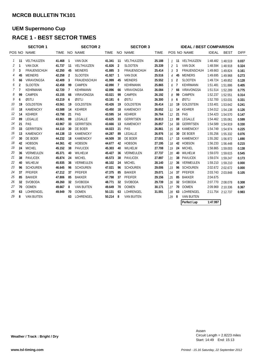## **RACE 1 - BEST SECTOR TIMES**

|               |                | <b>SECTOR 1</b>    |        |                | <b>SECTOR 2</b>    |        |                | <b>SECTOR 3</b>    |             |     |                 | <b>IDEAL / BEST COMPARISON</b> |                   |             |             |
|---------------|----------------|--------------------|--------|----------------|--------------------|--------|----------------|--------------------|-------------|-----|-----------------|--------------------------------|-------------------|-------------|-------------|
|               |                | POS NO NAME        |        |                | TIME NO NAME       | TIME   |                | NO NAME            | <b>TIME</b> |     |                 | POS NO NAME                    | <b>IDEAL</b>      | <b>BEST</b> | <b>DIFF</b> |
|               | $7 \quad 11$   | VELTHUIJZEN        | 41.468 | $\overline{1}$ | <b>VAN DIJK</b>    | 41.341 | 11             | VELTHUIJZEN        | 25.188      |     |                 | / 11 VELTHUIJZEN               | 1:48.482 1:48.519 |             | 0.037       |
| $\mathcal{Z}$ | $\mathbf{1}$   | <b>VAN DIJK</b>    | 41.737 | $-11$          | VELTHUIJZEN        | 41.826 | $\overline{2}$ | <b>SLOOTEN</b>     | 25.339      |     | $2^{1}$         | <b>VAN DIJK</b>                | 1:48.594 1:48.918 |             | 0.324       |
| 3             | 3              | <b>FRAUENSCHUH</b> | 42.250 | 45             | <b>MEINERS</b>     | 41.885 | 3              | <b>FRAUENSCHUH</b> | 25.414      |     | 3 <sup>3</sup>  | FRAUENSCHUH                    | 1:49.663 1:49.824 |             | 0.161       |
| 4             | 45             | <b>MEINERS</b>     | 42.258 | $\overline{2}$ | <b>SLOOTEN</b>     | 41.927 | $\mathbf{1}$   | <b>VAN DIJK</b>    | 25.516      |     | $4\frac{45}{6}$ | MEINERS                        | 1:49.695 1:49.968 |             | 0.273       |
| 5             | 66             | <b>VIRAVONGSA</b>  | 42.409 | 3              | <b>FRAUENSCHUH</b> | 41.999 | 45             | <b>MEINERS</b>     | 25.552      |     | 52              | <b>SLOOTEN</b>                 | 1:49.724 1:49.852 |             | 0.128       |
| 6             | $\overline{2}$ | <b>SLOOTEN</b>     | 42.458 | - 99           | <b>CAMPEN</b>      | 42.890 | 7              | <b>KEHRMANN</b>    | 25.865      |     | $6\sqrt{7}$     | <b>KEHRMANN</b>                | 1:51.481 1:51.886 |             | 0.405       |
| $\mathcal{I}$ | $\overline{7}$ | <b>KEHRMANN</b>    | 42.720 | - 7            | <b>KEHRMANN</b>    | 42.896 | 66             | VIRAVONGSA         | 26.084      |     | 766             | VIRAVONGSA                     | 1:51.514 1:52.289 |             | 0.775       |
| 8             | 99             | <b>CAMPEN</b>      | 43.155 | - 66           | <b>VIRAVONGSA</b>  | 43.021 | 99             | <b>CAMPEN</b>      | 26.192      |     | 899             | CAMPEN                         | 1:52.237 1:52.551 |             | 0.314       |
| 9             | 6              | ØSTLI              | 43.219 | 6              | ØSTLI              | 43.181 | 6              | ØSTLI              | 26.300      |     | 96              | ØSTLI                          | 1:52.700 1:53.031 |             | 0.331       |
| 10            | 19             | <b>GOLDSTEIN</b>   | 43.561 | 19             | <b>GOLDSTEIN</b>   | 43.426 | 19             | <b>GOLDSTEIN</b>   | 26.414      |     | $10^{19}$       | GOLDSTEIN                      | 1:53.401 1:53.642 |             | 0.241       |
| $\mathcal{U}$ | 18             | <b>KAMENICKY</b>   | 43.588 | 14             | <b>KEHRER</b>      | 43.450 | 18             | <b>KAMENICKY</b>   | 26.652      |     | $11$ 14         | KEHRER                         | 1:54.012 1:54.138 |             | 0.126       |
| 12            | 14             | <b>KEHRER</b>      | 43.798 | 21             | PAS                | 43.595 | 14             | <b>KEHRER</b>      | 26.764      |     |                 | 12 21 PAS                      | 1:54.423 1:54.570 |             | 0.147       |
| 13            | 89             | LEGALLE            | 43.861 | 89             | <b>LEGALLE</b>     | 43.625 | 33             | <b>GERRITSEN</b>   | 26.813      |     | 7389            | LEGALLE                        | 1:54.462 1:55.061 |             | 0.599       |
| 14            | 21             | PAS                | 43.967 | 33             | <b>GERRITSEN</b>   | 43.666 | 13             | <b>KAMENICKY</b>   | 26.857      | 14  | 33              | GERRITSEN                      | 1:54.589 1:54.919 |             | 0.330       |
| 15            | 33             | <b>GERRITSEN</b>   | 44.110 | 30             | DE BOER            | 44.023 | 21             | PAS                | 26.861      |     | $75^{18}$       | <b>KAMENICKY</b>               | 1:54.749 1:54.974 |             | 0.225       |
| 16            | 13             | <b>KAMENICKY</b>   | 44.138 | 13             | <b>KAMENICKY</b>   | 44.287 | 89             | LEGALLE            | 26.976      |     | 1630            | DE BOER                        | 1:55.256 1:55.332 |             | 0.076       |
| 17            | 30             | DE BOER            | 44.232 | 18             | <b>KAMENICKY</b>   | 44.509 | 30             | DE BOER            | 27.001      |     | 1713            | <b>KAMENICKY</b>               | 1:55.282 1:56.972 |             | 1.690       |
| 18            | 42             | <b>HOBSON</b>      | 44.361 | 42             | <b>HOBSON</b>      | 44.677 | 42             | <b>HOBSON</b>      | 27.195      | 18  |                 | 42 HOBSON                      | 1:56.233 1:56.448 |             | 0.215       |
| 19            | 24             | <b>MICHEL</b>      | 45.152 | 38             | <b>PAVLICEK</b>    | 45.303 | 40             | WILHELM            | 27.708      |     |                 | 79 24 MICHEL                   | 1:58.865 1:59.003 |             | 0.138       |
| 20            | 36             | <b>VERMEULEN</b>   | 45.371 | 40             | WILHELM            | 45.427 | 36             | <b>VERMEULEN</b>   | 27.737      | 20  | 40              | WILHELM                        | 1:59.070 1:59.615 |             | 0.545       |
| 21            | 38             | <b>PAVLICEK</b>    | 45.874 | 24             | <b>MICHEL</b>      | 45.573 | 38             | <b>PAVLICEK</b>    | 27.897      | 21  |                 | 38 PAVLICEK                    | 1:59.074 1:59.247 |             | 0.173       |
| 22            | 40             | WILHELM            | 45.935 | 36             | VERMEULEN          | 46.102 | 24             | <b>MICHEL</b>      | 28.140      | 22  |                 | 36 VERMEULEN                   | 1:59.210 1:59.210 |             | 0.000       |
| 23            | 96             | <b>SCHOUREN</b>    | 46.645 | 96             | <b>SCHOUREN</b>    | 47.021 | 96             | <b>SCHOUREN</b>    | 29.006      |     |                 | 23 96 SCHOUREN                 | 2:02.672 2:02.672 |             | 0.000       |
| 24            | 37             | PFEIFER            | 47.212 | 37             | <b>PFEIFER</b>     | 47.375 | 85             | <b>BAKKER</b>      | 29.071      | 24  | 37              | PFEIFER                        | 2:03.743 2:03.848 |             | 0.105       |
| 25            | 85             | <b>BAKKER</b>      | 47.806 | 85             | <b>BAKKER</b>      | 47.798 | 37             | PFEIFER            | 29.156      |     | 2585            | BAKKER                         | 2:04.675          |             |             |
| 26            | 32             | <b>SVOBODA</b>     | 49.260 | 32             | <b>SVOBODA</b>     | 48.771 | 32             | <b>SVOBODA</b>     | 29.739      | 26  | 32              | SVOBODA                        | 2:07.770 2:08.078 |             | 0.308       |
| 27            | 70             | <b>OOMEN</b>       | 49.667 | - 8            | <b>VAN BUITEN</b>  | 49.649 | 70             | <b>OOMEN</b>       | 30.171      |     | $27$ 70         | <b>OOMEN</b>                   | 2:09.969 2:10.336 |             | 0.367       |
| 28            | 63             | LOHRENGEL          | 49.949 | 70             | <b>OOMEN</b>       | 50.131 | 63             | LOHRENGEL          | 31.591      |     | 28 63           | LOHRENGEL                      | 2:11.754 2:12.737 |             | 0.983       |
| 29            | 8              | <b>VAN BUITEN</b>  |        | 63             | LOHRENGEL          | 50.214 | 8              | <b>VAN BUITEN</b>  |             | 298 |                 | <b>VAN BUITEN</b>              |                   |             |             |
|               |                |                    |        |                |                    |        |                |                    |             |     |                 | <b>Perfect Lap</b>             | 1:47.997          |             |             |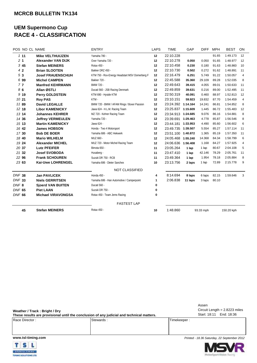### **RACE 4 - CLASSIFICATION UEM Supermono Cup**

| POS NO CL NAME    |                           | <b>ENTRY</b>                                   | <b>LAPS</b> | <b>TIME</b>        | GAP     | <b>DIFF</b> | <b>MPH</b> | <b>BEST</b> | ON             |
|-------------------|---------------------------|------------------------------------------------|-------------|--------------------|---------|-------------|------------|-------------|----------------|
| 111               | <b>Mike VELTHUIJZEN</b>   | Yamaha 780 -                                   | 12          | 22:10.228          |         |             | 91.65      | 1:49.173    | 12             |
| 2 <sub>1</sub>    | <b>Alexander VAN DIJK</b> | Over Yamaha 720 -                              | 12          | 22:10.278          | 0.050   | 0.050       | 91.65      | 1:48.977    | 12             |
| 345               | <b>Stefan MEINERS</b>     | Rotax 450 -                                    | 12          | 22:10.458          | 0.230   | 0.180       | 91.63      | 1:48.860    | 10             |
| 42                | <b>Brian SLOOTEN</b>      | Bakker DRZ 450 -                               | 12          | 22:10.730          | 0.502   | 0.272       | 91.62      | 1:48.891    | 11             |
| 53                | <b>Josef FRAUENSCHUH</b>  | KTM 750 - Rox-Energy Headstart MSV Domerberg F | 12          | 22:16.479          | 6.251   | 5.749       | 91.22      | 1:50.057    | $\overline{4}$ |
| 6 99              | <b>Michel CAMPEN</b>      | <b>Bakker 720 -</b>                            | 12          | 22:45.588          | 35.360  | 29.109      | 89.28      | 1:52.035    | 8              |
| 77                | <b>Manfred KEHRMANN</b>   | BMW 720 -                                      | 12          | 22:49.643          | 39.415  | 4.055       | 89.01      | 1:50.633    | 11             |
| 86                | Allan ØSTLI               | Ducati 560 - JSB Racing Denmark                | 12          | 22:49.859          | 39.631  | 0.216       | 89.00      | 1:52.495    | 11             |
| 9 19              | Perry GOLDSTEIN           | KTM 690 - Hyside KTM                           | 12          | 22:50.319          | 40.091  | 0.460       | 88.97      | 1:52.813    | 12             |
| 10 21             | <b>Roy PAS</b>            | KTM-                                           | 12          | 23:10.151          | 59.923  | 19.832      | 87.70      | 1:54.459    | $\overline{4}$ |
| 1189              | <b>David LEGALLE</b>      | BMW 720 - BMW / AFAM Rings / Boxer Passion     | 12          | 23:24.392 1:14.164 |         | 14.241      | 86.81      | 1:54.852    | 8              |
| 12 18             | <b>Libor KAMENICKY</b>    | Jawa 624 - H.L.M. Racing Team                  | 12          | 23:25.837 1:15.609 |         | 1.445       | 86.72      | 1:55.483    | 12             |
| 13 14             | <b>Johannes KEHRER</b>    | MZ 720 - Kehrer Racing Team                    | $12 \,$     | 23:34.913 1:24.685 |         | 9.076       | 86.16      | 1:54.881    | 8              |
| 14 36             | <b>Jeffrey VERMEULEN</b>  | Yamaha 720 -                                   | 12          | 23:39.691 1:29.463 |         | 4.778       | 85.87      | 1:56.546    | 8              |
| 15 13             | <b>Martin KAMENICKY</b>   | Jawa 624 -                                     | 12          | 23:44.181 1:33.953 |         | 4.490       | 85.60      | 1:56.602    | 6              |
| 16 42             | <b>James HOBSON</b>       | Honda - Two 4 Motorsport                       | 12          | 23:49.735 1:39.507 |         | 5.554       | 85.27      | 1:57.114    | 11             |
| 17 30             | <b>Bob DE BOER</b>        | Yamaha 686 - ABC Hekwerk                       | 12          | 23:51.100 1:40.872 |         | 1.365       | 85.19      | 1:57.350    | 11             |
| 18 40             | <b>Mario WILHELM</b>      | MUZ 660 -                                      | 12          | 24:05.468 1:55.240 |         | 14.368      | 84.34      | 1:58.799    | 6              |
| 19 24             | <b>Alexander MICHEL</b>   | MUZ 720 - Motor Michel Racing Team             | 12          | 24:06.636 1:56.408 |         | 1.168       | 84.27      | 1:57.925    | 4              |
| 20 37             | <b>Lutz PFEIFER</b>       | Bimota 650 -                                   | 11          | 23:05.264          | 1 lap   | 1 lap       | 80.67      | 2:04.108    | 5              |
| 21 32             | <b>Josef SVOBODA</b>      | Husaberg -                                     | 11          | 23:47.410          | 1 lap   | 42.146      | 78.29      | 2:05.761    | 11             |
| 22 96             | <b>Frank SCHOUREN</b>     | Suzuki DR 750 - RCB                            | 11          | 23:49.364          | 1 lap   | 1.954       | 78.18      | 2:05.884    | 8              |
| 23 63             | Kai-Uwe LOHRENGEL         | Yamaha 686 - Dieter Sanchex                    | 10          | 23:13.756          | 2 laps  | 1 lap       | 72.89      | 2:15.778    | 9              |
|                   |                           | <b>NOT CLASSIFIED</b>                          |             |                    |         |             |            |             |                |
| DNF <sub>38</sub> | <b>Jan PAVLICEK</b>       | Honda 450 -                                    | 4           | 8:14.694           | 8 laps  | 6 laps      | 82.15      | 1:59.646    | 3              |
| DNF <sub>33</sub> | <b>Niels GERRITSEN</b>    | Yamaha 686 - Han Automotive / Camperpoint      | 1           | 2:06.838           | 11 laps | 3 laps      | 80.10      |             |                |
| DNF <sub>8</sub>  | <b>Sjoerd VAN BUITEN</b>  | Ducati 560 -                                   | 0           |                    |         |             |            |             |                |
| <b>DNF 65</b>     | <b>Piet LAAN</b>          | Suzuki DR 750 -                                | 0           |                    |         |             |            |             |                |
| DNF 66            | <b>Michael VIRAVONGSA</b> | Rotax 450 - Team Jems Racing                   | $\bf{0}$    |                    |         |             |            |             |                |
|                   |                           | <b>FASTEST LAP</b>                             |             |                    |         |             |            |             |                |
| 45                | <b>Stefan MEINERS</b>     | Rotax 450 -                                    | 10          | 1:48.860           |         | 93.33 mph   |            | 150.20 kph  |                |

Race Director : Stewards : Stewards : Timekeeper : Timekeeper : **These results are provisional until the conclusion of any judicial and technical matters.** Circuit Length = 2.8223 miles Start: 18:11 End: 18:36 Assen **Weather / Track : Bright / Dry**



**www.tsl-timing.com** *Printed - 18.36 Saturday, 22 September 2012*

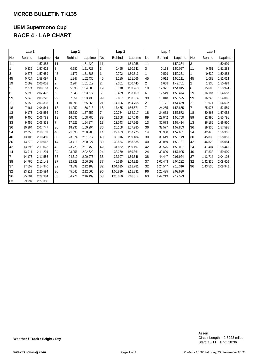## **RACE 4 - LAP CHART UEM Supermono Cup**

|                | Lap 1         |          |                | Lap <sub>2</sub> |          |           | Lap <sub>3</sub> |          |                | Lap 4         |          |                | Lap <sub>5</sub> |          |
|----------------|---------------|----------|----------------|------------------|----------|-----------|------------------|----------|----------------|---------------|----------|----------------|------------------|----------|
| No.            | <b>Behind</b> | Laptime  | No.            | <b>Behind</b>    | Laptime  | <b>No</b> | <b>Behind</b>    | Laptime  | <b>No</b>      | <b>Behind</b> | Laptime  | <b>No</b>      | <b>Behind</b>    | Laptime  |
| 11             |               | 1:57.383 | 11             |                  | 1:51.422 | 11        |                  | 1:51.058 | 11             |               | 1:50.384 | 3              |                  | 1:50.699 |
| $\mathbf{1}$   | 0.239         | 1:57.622 | 3              | 0.582            | 1:51.728 | 3         | 0.465            | 1:50.941 | 3              | 0.138         | 1:50.057 | 11             | 0.451            | 1:51.288 |
| 3              | 0.276         | 1:57.659 | 45             | 1.177            | 1:51.885 | 1         | 0.702            | 1:50.513 | 1              | 0.579         | 1:50.261 | 1              | 0.630            | 1:50.888 |
| 45             | 0.714         | 1:58.097 | 1              | 1.247            | 1:52.430 | 45        | 1.185            | 1:51.066 | 45             | 0.912         | 1:50.111 | 45             | 1.089            | 1:51.014 |
| 19             | 2.669         | 2:00.052 | 2              | 2.964            | 1:51.612 | 2         | 2.351            | 1:50.445 | 2              | 1.668         | 1:49.701 | 2              | 1.330            | 1:50.499 |
| 2              | 2.774         | 2:00.157 | 19             | 5.835            | 1:54.588 | 19        | 8.740            | 1:53.963 | 19             | 12.371        | 1:54.015 | 6              | 15.686           | 1:53.974 |
| 6              | 5.093         | 2:02.476 | 6              | 7.348            | 1:53.677 | 6         | 9.459            | 1:53.169 | 6              | 12.549        | 1:53.474 | 19             | 16.187           | 1:54.653 |
| 99             | 5.843         | 2:03.226 | 99             | 7.851            | 1:53.430 | 99        | 9.807            | 1:53.014 | 99             | 13.018        | 1:53.595 | 99             | 16.246           | 1:54.065 |
| 21             | 5.953         | 2:03.336 | 21             | 10.396           | 1:55.865 | 21        | 14.096           | 1:54.758 | 21             | 18.171        | 1:54.459 | 21             | 21.971           | 1:54.637 |
| 18             | 7.161         | 2:04.544 | 18             | 11.952           | 1:56.213 | 18        | 17.465           | 1:56.571 | $\overline{7}$ | 24.255        | 1:53.855 | $\overline{7}$ | 25.977           | 1:52.559 |
| 13             | 9.173         | 2:06.556 | 89             | 15.630           | 1:57.652 | 7         | 20.784           | 1:54.217 | 18             | 24.653        | 1:57.572 | 18             | 30.868           | 1:57.052 |
| 89             | 9.400         | 2:06.783 | 13             | 16.536           | 1:58.785 | 89        | 21.668           | 1:57.096 | 89             | 28.042        | 1:56.758 | 89             | 32.996           | 1:55.791 |
| 33             | 9.455         | 2:06.838 | $\overline{7}$ | 17.625           | 1:54.874 | 13        | 23.043           | 1:57.565 | 13             | 30.073        | 1:57.414 | 13             | 36.166           | 1:56.930 |
| 36             | 10.364        | 2:07.747 | 36             | 18.236           | 1:59.294 | 36        | 25.158           | 1:57.980 | 36             | 32.577        | 1:57.803 | 36             | 39.335           | 1:57.595 |
| 24             | 12.756        | 2:10.139 | 40             | 21.890           | 2:00.206 | 14        | 29.633           | 1:57.275 | 14             | 36.930        | 1:57.681 | 14             | 42.448           | 1:56.355 |
| 40             | 13.106        | 2:10.489 | 30             | 23.074           | 2:01.217 | 40        | 30.316           | 1:59.484 | 30             | 38.619        | 1:58.149 | 30             | 45.833           | 1:58.051 |
| 30             | 13.279        | 2:10.662 | 14             | 23.416           | 2:00.927 | 30        | 30.854           | 1:58.838 | 40             | 39.069        | 1:59.137 | 42             | 46.822           | 1:58.084 |
| 42             | 13.695        | 2:11.078 | 42             | 23.723           | 2:01.450 | 42        | 31.862           | 1:59.197 | 42             | 39.575        | 1:58.097 | 24             | 47.404           | 1:58.441 |
| 14             | 13.911        | 2:11.294 | 24             | 23.956           | 2:02.622 | 24        | 32.259           | 1:59.361 | 24             | 39.800        | 1:57.925 | 40             | 47.832           | 1:59.600 |
| $\overline{7}$ | 14.173        | 2:11.556 | 38             | 24.319           | 2:00.976 | 38        | 32.907           | 1:59.646 | 38             | 44.447        | 2:01.924 | 37             | 1:13.714         | 2:04.108 |
| 38             | 14.765        | 2:12.148 | 37             | 32.728           | 2:06.593 | 37        | 46.595           | 2:04.925 | 37             | 1:00.443      | 2:04.232 | 32             | 1:42.336         | 2:08.626 |
| 37             | 17.557        | 2:14.940 | 32             | 43.892           | 2:12.103 | 32        | 1:04.615         | 2:11.781 | 32             | 1:24.547      | 2:10.316 | 96             | 1:43.530         | 2:08.942 |
| 32             | 23.211        | 2:20.594 | 96             | 45.645           | 2:12.066 | 96        | 1:05.819         | 2:11.232 | 96             | 1:25.425      | 2:09.990 |                |                  |          |
| 96             | 25.001        | 2:22.384 | 63             | 54.774           | 2:16.199 | 63        | 1:20.030         | 2:16.314 | 63             | 1:47.219      | 2:17.573 |                |                  |          |
| 63             | 29.997        | 2:27.380 |                |                  |          |           |                  |          |                |               |          |                |                  |          |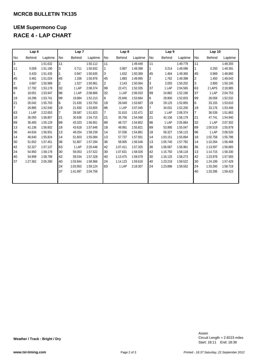## **RACE 4 - LAP CHART UEM Supermono Cup**

|           | Lap <sub>6</sub> |          |                | Lap <sub>7</sub> |          |           | Lap 8         |          |           | Lap 9         |          |                | Lap <sub>10</sub> |          |
|-----------|------------------|----------|----------------|------------------|----------|-----------|---------------|----------|-----------|---------------|----------|----------------|-------------------|----------|
| <b>No</b> | <b>Behind</b>    | Laptime  | No             | <b>Behind</b>    | Laptime  | No        | <b>Behind</b> | Laptime  | <b>No</b> | <b>Behind</b> | Laptime  | No             | <b>Behind</b>     | Laptime  |
| 3         |                  | 1:51.632 | 11             |                  | 1:50.112 | 11        |               | 1:49.448 | 11        |               | 1:49.779 | 11             |                   | 1:49.355 |
| 11        | 0.009            | 1:51.190 | 3              | 0.711            | 1:50.832 | $\vert$ 1 | 0.897         | 1:49.398 | 1         | 0.214         | 1:49.096 |                | 0.250             | 1:49.391 |
| 1         | 0.433            | 1:51.435 | 1              | 0.947            | 1:50.635 | 3         | 1.632         | 1:50.369 | 45        | 1.464         | 1:49.360 | 45             | 0.969             | 1:48.860 |
| 45        | 0.481            | 1:51.024 | 45             | 1.336            | 1:50.976 | 45        | 1.883         | 1:49.995 | 2         | 1.762         | 1:49.398 | $\overline{2}$ | 1.450             | 1:49.043 |
| 2         | 0.687            | 1:50.989 | 2              | 1.527            | 1:50.961 | 2         | 2.143         | 1:50.064 | 3         | 2.055         | 1:50.202 | 3              | 2.800             | 1:50.100 |
| 99        | 17.792           | 1:53.178 | 32             | 1 LAP            | 2:08.374 | 99        | 22.471        | 1:52.035 | 37        | 1 LAP         | 2:04.565 | 63             | 2 LAPS            | 2:18.985 |
| 6         | 18.001           | 1:53.947 | 96             | 1 LAP            | 2:08.866 | 32        | 1 LAP         | 2:06.033 | 99        | 24.882        | 1:52.190 | 37             | 1 LAP             | 2:04.753 |
| 19        | 18.296           | 1:53.741 | 99             | 19.884           | 1:52.213 | 16        | 25.846        | 1:53.664 | 6         | 28.900        | 1:52.833 | 99             | 28.059            | 1:52.532 |
| 21        | 26.042           | 1:55.703 | 6              | 21.630           | 1:53.750 | 19        | 26.049        | 1:53.667 | 19        | 29.125        | 1:52.855 | 6              | 33.155            | 1:53.610 |
| 7         | 26.885           | 1:52.540 | 19             | 21.830           | 1:53.655 | 96        | 1 LAP         | 2:07.045 | 7         | 34.031        | 1:52.200 | 19             | 33.176            | 1:53.406 |
| 63        | 1 LAP            | 2:22.653 | $\overline{7}$ | 28.587           | 1:51.823 | 17        | 31.610        | 1:52.471 | 32        | 1 LAP         | 2:06.374 | 7              | 36.539            | 1:51.863 |
| 18        | 36.093           | 1:56.857 | 21             | 30.636           | 1:54.715 | 21        | 35.756        | 1:54.568 | 21        | 42.156        | 1:56.179 | 21             | 47.741            | 1:54.940 |
| 89        | 36.493           | 1:55.129 | 89             | 43.323           | 1:56.951 | 89        | 48.727        | 1:54.852 | 96        | 1 LAP         | 2:05.884 | 32             | 1 LAP             | 2:07.302 |
| 13        | 41.136           | 1:56.602 | 18             | 43.618           | 1:57.646 | 18        | 49.991        | 1:55.821 | 89        | 53.995        | 1:55.047 | 89             | 1:00.519          | 1:55.879 |
| 36        | 44.634           | 1:56.931 | 13             | 49.254           | 1:58.239 | 14        | 57.036        | 1:54.881 | 18        | 56.327        | 1:56.115 | 96             | 1 LAP             | 2:06.520 |
| 14        | 46.640           | 1:55.824 | 14             | 51.603           | 1:55.084 | 13        | 57.737        | 1:57.931 | 14        | 1:03.151      | 1:55.894 | 18             | 1:02.758          | 1:55.786 |
| 30        | 51.652           | 1:57.451 | 36             | 51.807           | 1:57.294 | 36        | 58.905        | 1:56.546 | 13        | 1:05.740      | 1:57.782 | 14             | 1:10.264          | 1:56.468 |
| 42        | 52.327           | 1:57.137 | 63             | 1 LAP            | 2:20.446 | 42        | 1:07.411      | 1:57.325 | 36        | 1:06.087      | 1:56.961 | 36             | 1:13.597          | 1:56.865 |
| 24        | 54.950           | 1:59.178 | 30             | 59.053           | 1:57.522 | 30        | 1:07.631      | 1:58.026 | 42        | 1:15.750      | 1:58.118 | 13             | 1:14.715          | 1:58.330 |
| 40        | 54.999           | 1:58.799 | 42             | 59.534           | 1:57.328 | 40        | 1:13.475      | 1:59.079 | 30        | 1:16.125      | 1:58.273 | 42             | 1:23.978          | 1:57.583 |
| 37        | 1:27.362         | 2:05.280 | 40             | 1:03.844         | 1:58.966 | 24        | 1:14.123      | 1:59.618 | 40        | 1:23.218      | 1:59.522 | 30             | 1:24.199          | 1:57.429 |
|           |                  |          | 24             | 1:03.953         | 1:59.124 | 63        | 1 LAP         | 2:18.307 | 24        | 1:23.896      | 1:59.552 | 24             | 1:33.260          | 1:58.719 |
|           |                  |          | 37             | 1:41.997         | 2:04.756 |           |               |          |           |               |          | 40             | 1:33.286          | 1:59.423 |
|           |                  |          |                |                  |          |           |               |          |           |               |          |                |                   |          |
|           |                  |          |                |                  |          |           |               |          |           |               |          |                |                   |          |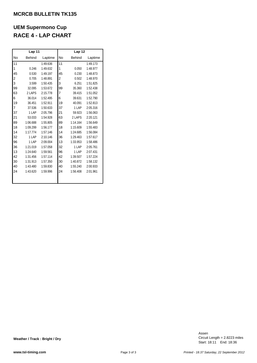## **RACE 4 - LAP CHART UEM Supermono Cup**

|    | Lap 11        |          |    | Lap 12        |          |
|----|---------------|----------|----|---------------|----------|
| No | <b>Behind</b> | Laptime  | No | <b>Behind</b> | Laptime  |
| 11 |               | 1:49.636 | 11 |               | 1:49.173 |
| 1  | 0.246         | 1:49.632 | 1  | 0.050         | 1:48.977 |
| 45 | 0.530         | 1:49.197 | 45 | 0.230         | 1:48.873 |
| 2  | 0.705         | 1:48.891 | 2  | 0.502         | 1:48.970 |
| 3  | 3.599         | 1:50.435 | 3  | 6.251         | 1:51.825 |
| 99 | 32.095        | 1:53.672 | 99 | 35.360        | 1:52.438 |
| 63 | 2 LAPS        | 2:15.778 | 7  | 39.415        | 1:51.052 |
| 6  | 36.014        | 1:52.495 | 6  | 39.631        | 1:52.790 |
| 19 | 36.451        | 1:52.911 | 19 | 40.091        | 1:52.813 |
| 7  | 37.536        | 1:50.633 | 37 | 1 LAP         | 2:05.316 |
| 37 | 1 LAP         | 2:05.796 | 21 | 59.923        | 1:56.063 |
| 21 | 53.033        | 1:54.928 | 63 | 2 LAPS        | 2:20.121 |
| 89 | 1:06.688      | 1:55.805 | 89 | 1:14.164      | 1:56.649 |
| 18 | 1:09.299      | 1:56.177 | 18 | 1:15.609      | 1:55.483 |
| 14 | 1:17.774      | 1:57.146 | 14 | 1:24.685      | 1:56.084 |
| 32 | 1 LAP         | 2:10.146 | 36 | 1:29.463      | 1:57.617 |
| 96 | 1 LAP         | 2:09.004 | 13 | 1:33.953      | 1:58.486 |
| 36 | 1:21.019      | 1:57.058 | 32 | 1 LAP         | 2:05.761 |
| 13 | 1:24.640      | 1:59.561 | 96 | 1 LAP         | 2:07.431 |
| 42 | 1:31.456      | 1:57.114 | 42 | 1:39.507      | 1:57.224 |
| 30 | 1:31.913      | 1:57.350 | 30 | 1:40.872      | 1:58.132 |
| 40 | 1:43.480      | 1:59.830 | 40 | 1:55.240      | 2:00.933 |
| 24 | 1:43.620      | 1:59.996 | 24 | 1:56.408      | 2:01.961 |
|    |               |          |    |               |          |

Circuit Length = 2.8223 miles Start: 18:11 End: 18:36 Assen

**Weather / Track : Bright / Dry**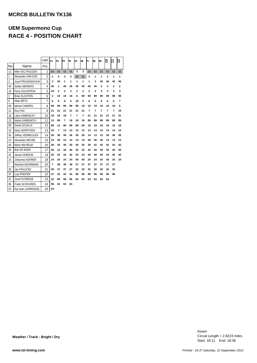## **UEM Supermono Cup RACE 4 - POSITION CHART**

|                |                          | Laps           |                | ี่∾            | lო             | 4              | Lω             | ဖ              |                | œ              | ၜ              | $\mathbf{e}$   | 7              | N              |
|----------------|--------------------------|----------------|----------------|----------------|----------------|----------------|----------------|----------------|----------------|----------------|----------------|----------------|----------------|----------------|
| No             | Name                     | Pos            |                |                |                |                |                |                |                |                |                |                |                |                |
| 11             | Mike VELTHULJZEN         | 1              | 11             | 11             | 11             | 11             | 3              | 3              | 11             | 11             | 11             | 11             | 11             | 11             |
| 1              | Alexander VAN DLIK       | $\overline{2}$ | 1              | 3              | 3              | 3              | 11             | 11             | 3              | 1              | 1              | 1              | 1              | 1              |
| 3              | <b>Josef FRAUENSCHUH</b> | 3              | 3              | 45             | 1              | 1              | 1              | 1              | 1              | 3              | 45             | 45             | 45             | 45             |
| 45             | <b>Stefan MEINERS</b>    | 4              | 45             | 1              | 45             | 45             | 45             | 45             | 45             | 45             | $\overline{2}$ | $\overline{2}$ | $\overline{2}$ | $\overline{a}$ |
| 19             | Perry GOLDSTEIN          | 5              | 19             | $\overline{2}$ | $\overline{2}$ | $\overline{2}$ | $\overline{2}$ | $\overline{2}$ | $\overline{2}$ | $\overline{a}$ | 3              | 3              | 3              | 3              |
| $\overline{2}$ | <b>Brian SLOOTEN</b>     | 6              | $\overline{2}$ | 19             | 19             | 19             | 6              | 99             | 99             | 99             | 99             | 99             | 99             | 99             |
| 6              | Allan ØSTLI              | $\overline{7}$ | 6              | 6              | 6              | 6              | 19             | 6              | 6              | 6              | 6              | 6              | 6              | $\overline{7}$ |
| 99             | Michel CAMPEN            | 8              | 99             | 99             | 99             | 99             | 99             | 19             | 19             | 19             | 19             | 19             | 19             | 6              |
| 21             | <b>Roy PAS</b>           | 9              | 21             | 21             | 21             | 21             | 21             | 21             | 7              | 7              | $\overline{7}$ | $\overline{7}$ | $\overline{7}$ | 19             |
| 18             | <b>Libor KAMENICKY</b>   | 10             | 18             | 18             | 18             | 7              | 7              | 7              | 21             | 21             | 21             | 21             | 21             | 21             |
| 13             | <b>Martin KAMENICKY</b>  | 11             | 13             | 89             | 7              | 18             | 18             | 18             | 89             | 89             | 89             | 89             | 89             | 89             |
| 89             | David LEGALLE            | 12             | 89             | 13             | 89             | 89             | 89             | 89             | 18             | 18             | 18             | 18             | 18             | 18             |
| 33             | <b>Niels GERRITSEN</b>   | 13             | 33             | 7              | 13             | 13             | 13             | 13             | 13             | 14             | 14             | 14             | 14             | 14             |
| 36             | <b>Jeffrey VERMEULEN</b> | 14             | 36             | 36             | 36             | 36             | 36             | 36             | 14             | 13             | 13             | 36             | 36             | 36             |
| 24             | Alexander MICHEL         | 15             | 24             | 40             | 14             | 14             | 14             | 14             | 36             | 36             | 36             | 13             | 13             | 13             |
| 40             | Mario WILHELM            | 16             | 40             | 30             | 40             | 30             | 30             | 30             | 30             | 42             | 42             | 42             | 42             | 42             |
| 30             | <b>Bob DE BOER</b>       | 17             | 30             | 14             | 30             | 40             | 42             | 42             | 42             | 30             | 30             | 30             | 30             | 30             |
| 42             | James HOBSON             | 18             | 42             | 42             | 42             | 42             | 24             | 24             | 40             | 40             | 40             | 24             | 40             | 40             |
| 14             | Johannes KEHRER          | 19             | 14             | 24             | 24             | 24             | 40             | 40             | 24             | 24             | 24             | 40             | 24             | 24             |
| 7              | <b>Manfred KEHRMANN</b>  | 20             | 7              | 38             | 38             | 38             | 37             | 37             | 37             | 37             | 37             | 37             | 37             |                |
| 38             | <b>Jan PAVLICEK</b>      | 21             | 38             | 37             | 37             | 37             | 32             | 32             | 32             | 32             | 32             | 32             | 32             |                |
| 37             | <b>Lutz PFEIFER</b>      | 22             | 37             | 32             | 32             | 32             | 96             | 96             | 96             | 96             | 96             | 96             | 96             |                |
| 32             | Josef SVOBODA            | 23             | 32             | 96             | 96             | 96             | 63             | 63             | 63             | 63             | 63             | 63             |                |                |
| 96             | <b>Frank SCHOUREN</b>    | 24             | 96             | 63             | 63             | 63             |                |                |                |                |                |                |                |                |
| 63             | Kai-Uwe LOHRENGEL        | 25             | 63             |                |                |                |                |                |                |                |                |                |                |                |

Circuit Length = 2.8223 miles Start: 18:11 End: 18:36 Assen

**Weather / Track : Bright / Dry**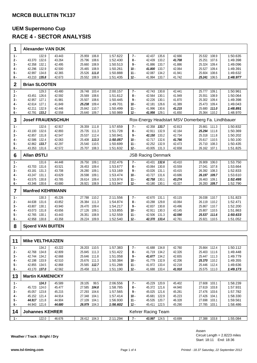## **UEM Supermono Cup RACE 4 - SECTOR ANALYSIS**

| 1                       | <b>Alexander VAN DIJK</b>    |                  |                              |                      |        |                              |                  |                                                   |                      |
|-------------------------|------------------------------|------------------|------------------------------|----------------------|--------|------------------------------|------------------|---------------------------------------------------|----------------------|
| $1 -$                   | 132.9                        | 43.443           | 25.959<br>106.8              | 1:57.622             | $7 -$  | 42.437 135.6                 | 42.666           | 25.532 108.9                                      | 1:50.635             |
| $2 -$                   | 43.370 132.6                 | 43.264           | 25.796<br>108.6              | 1:52.430             | $8 -$  | 42.439 133.2                 | 41.708           | 25.251 107.6                                      | 1:49.398             |
| $3 -$                   | 42.358 132.1                 | 42.495           | 108.9<br>25.660              | 1:50.513             | 9 -    | 41.886 133.7                 | 41.886           | 25.324 109.4                                      | 1:49.096             |
| 4.                      | 42.296 132.9                 | 42.500           | 108.9<br>25.465              | 1:50.261             | $10 -$ | 41.800 133.7                 | 42.064           | 25.527 109.4                                      | 1:49.391             |
| 5 -                     | 42.997 134.8                 | 42.365           | 25.526<br>111.0              | 1:50.888             | $11 -$ | 42.087<br>134.2              | 41.941           | 25.604 108.6                                      | 1:49.632             |
| 6 -                     | 43.210<br>135.8              | 42.673           | 25.552 108.9                 | 1:51.435             | $12 -$ | 41.994<br>133.7              | 41.742           | 25.241 106.5                                      | 1:48.977             |
| $\mathbf{2}$            | <b>Brian SLOOTEN</b>         |                  |                              |                      |        |                              |                  |                                                   |                      |
| $1 -$                   | 129.3                        | 43.480           | 26.748 103.4                 | 2:00.157             | 7 -    | 42.743 130.8                 | 42.441           | 25.777 109.1                                      | 1:50.961             |
| $2 -$                   | 43.451 126.6                 | 42.592           | 25.569<br>108.6              | 1:51.612             | $8 -$  | 42.564<br>130.1              | 41.949           | 25.551 108.9                                      | 1:50.064             |
| 3 -                     | 42.957 127.1                 | 41.981           | 25.507 108.6                 | 1:50.445             | 9.     | 42.226<br>130.1              | 41.870           | 25.302 109.4                                      | 1:49.398             |
| 4.                      | 42.614 127.1                 | 41.849           | 25.238 109.4                 | 1:49.701             | $10 -$ | 42.181<br>126.6              | 41.389           | 25.473 109.4                                      | 1:49.043             |
| 5 -                     | 42.211 132.9                 | 42.446           | 25.842 110.7                 | 1:50.499             | $11 -$ | 130.6<br>41.996              | 41.215           | 25.680<br>111.0                                   | 1:48.891             |
| 6 -                     | 42.791<br>133.2              | 42.558           | 25.640 109.7                 | 1:50.989             | $12 -$ | 41.956 129.1                 | 41.650           | 25.364 110.2                                      | 1:48.970             |
| 3                       | <b>Josef FRAUENSCHUH</b>     |                  |                              |                      |        |                              |                  | Rox-Energy Headstart MSV Domerberg Fa. Lindhbauer |                      |
|                         |                              |                  |                              |                      |        |                              |                  |                                                   |                      |
| $1 -$                   | 132.6                        | 42.917           | 26.359 111.8                 | 1:57.659             | $7 -$  | 42.358<br>133.7              | 42.813           | 25.661 111.3                                      | 1:50.832             |
| $2 -$                   | 43.100 132.6                 | 42.893           | 25.735 111.3                 | 1:51.728             | $8 -$  | 42.911 132.9                 | 42.164           | 25.294 111.8                                      | 1:50.369             |
| $3 -$                   | 42.857 131.8                 | 42.547           | 25.537 112.4                 | 1:50.941             | 9 -    | 42.150 133.2                 | 42.734           | 25.318 111.8                                      | 1:50.202             |
| 4.                      | 42.586 132.4                 | 42.063           | 25.408<br>113.3              | 1:50.057             | $10 -$ | 42.717 132.6                 | 41.766           | 25.617 110.5                                      | 1:50.100             |
| 5 -                     | 42.862 133.7                 | 42.297           | 25.540 110.5                 | 1:50.699             | $11 -$ | 42.252 132.9                 | 42.473           | 25.710 108.3                                      | 1:50.435             |
| 6 -                     | 43.353 131.6                 | 42.572           | 25.707<br>108.3              | 1:51.632             | $12 -$ | 43.005 131.3                 | 42.658           | 26.162 107.1                                      | 1:51.825             |
| 6                       | Allan ØSTLI                  |                  |                              |                      |        | <b>JSB Racing Denmark</b>    |                  |                                                   |                      |
| $1 -$                   | 131.6                        | 44.448           | 26.750<br>109.1              | 2:02.476             | 7 -    | 43.431<br>132.6              | 43.410           | 26.909 106.0                                      | 1:53.750             |
| $2 -$                   | 43.703 131.6                 | 43.521           | 26.453<br>109.4              | 1:53.677             | $8 -$  | 43.064 130.8                 | 43.559           | 27.041 107.8                                      | 1:53.664             |
| $3 -$                   | 43.181 131.3                 | 43.708           | 109.1<br>26.280              | 1:53.169             | 9 -    | 43.026 131.1                 | 43.415           | 26.392 108.3                                      | 1:52.833             |
| 4.                      | 43.247 131.1                 | 43.629           | 109.1<br>26.598              | 1:53.474             | $10 -$ | 43.727 131.6                 | 43.686           | 26.197 109.7                                      | 1:53.610             |
| 5 -                     | 43.575 130.8                 | 43.785           | 109.4<br>26.614              | 1:53.974             | $11 -$ | 42.758 130.1                 | 43.274           | 26.463 109.1                                      | 1:52.495             |
| 6 -                     | 43.346 130.6                 | 43.680           | 26.921<br>108.9              | 1:53.947             | $12 -$ | 43.180<br>130.1              | 43.327           | 26.283<br>109.7                                   | 1:52.790             |
|                         |                              |                  |                              |                      |        |                              |                  |                                                   |                      |
| $\overline{\mathbf{7}}$ | <b>Manfred KEHRMANN</b>      |                  |                              |                      |        |                              |                  |                                                   |                      |
| $1 -$                   | 130.3                        | 45.226           | 27.788 110.2                 | 2:11.556             | 7 -    | 42.670 131.1                 | 43.115           | 26.038 110.7                                      | 1:51.823             |
| $2 -$                   | 44.638 131.6                 | 43.852           | 26.384<br>111.3              | 1:54.874             | 8 -    | 43.288<br>129.8              | 43.064           | 26.119 110.2                                      | 1:52.471             |
| $3 -$                   | 43.807 130.1                 | 43.940           | 109.4<br>26.470              | 1:54.217             | 9 -    | 42.837 130.8                 | 43.496           | 25.867 110.7                                      | 1:52.200             |
| 4 -                     | 43.073 131.8                 | 43.656           | 109.1<br>27.126              | 1:53.855             | $10 -$ | 42.911<br>130.3              | 43.145           | 25.807 110.5                                      | 1:51.863             |
| $5 -$                   | 42.765<br>130.1              | 43.443           | 26.351<br>108.9              | 1:52.559             | $11 -$ | 42.506<br>131.3              | 42.590           | 25.537 111.6                                      | 1:50.633             |
| 6 -                     | 42.958 130.8                 | 43.358           | 26.224 109.9                 | 1:52.540             | $12 -$ | 42.370 133.4                 | 42.761           | 25.921 110.5                                      | 1:51.052             |
| 8                       | <b>Sjoerd VAN BUITEN</b>     |                  |                              |                      |        |                              |                  |                                                   |                      |
|                         |                              |                  |                              |                      |        |                              |                  |                                                   |                      |
| 11                      | <b>Mike VELTHUIJZEN</b>      |                  |                              |                      |        |                              |                  |                                                   |                      |
| $1 -$                   | 134.2                        | 43.222           | 26.203 110.5                 | 1:57.383             | $7 -$  | 41.688<br>134.8              | 42.760           | 25.664 112.4                                      | 1:50.112             |
| $2 -$                   | 42.768 134.8                 | 42.809           | 25.845 111.3                 | 1:51.422             | 8 -    | 41.719 134.2                 | 42.326           | 25.403 111.6                                      | 1:49.448             |
| $3 -$                   | 42.744 134.2                 | 42.668           | 25.646 111.8                 | 1:51.058             | 9 -    | 41.677 134.2                 | 42.655           | 25.447 111.3                                      | 1:49.779             |
| 4 -                     | 42.198 133.9                 | 42.510           | 25.676 111.3                 | 1:50.384             | 10 -   | 41.779 132.9                 | 42.206           | 25.370 110.2                                      | 1:49.355             |
| 5.                      | 42.855 134.5                 | 42.868           | 25.565 112.7                 | 1:51.288             | $11 -$ | 41.972 133.4                 | 42.218           | 25.446 112.4                                      | 1:49.636             |
| 6 -                     | 43.170 137.0                 | 42.562           | 25.458 111.3                 | 1:51.190             | $12 -$ | 41.688 133.4                 | 41.910           | 25.575 111.0                                      | 1:49.173             |
| 13                      | <b>Martin KAMENICKY</b>      |                  |                              |                      |        |                              |                  |                                                   |                      |
| $1 -$                   | 124.3                        | 45.589           | 99.5<br>28.105               | 2:06.556             | $7 -$  | 45.229 120.9                 | 45.402           | 27.608 103.1                                      | 1:58.239             |
| $2 -$                   | 45.723 124.0                 | 45.477           | 27.585<br>104.8              | 1:58.785             | 8 -    | 45.372 121.6                 | 44.940           | 27.619 103.8                                      | 1:57.931             |
| $3 -$                   | 45.057 123.8                 | 45.215           | 27.293<br>104.6              | 1:57.565             |        | 45.025 121.6                 | 45.281           | 27.476 103.6                                      | 1:57.782             |
|                         |                              |                  |                              |                      | 9.     |                              |                  |                                                   |                      |
| 4 -                     | 45.152 121.4                 | 44.914           | 27.348<br>104.1              | 1:57.414             | 10 -   | 45.681 122.9                 | 45.223           | 27.426 104.1                                      | 1:58.330             |
| 5 -                     | 44.917 121.8<br>44.943 121.6 | 44.904<br>44.680 | 27.109 104.1<br>26.979 104.3 | 1:56.930<br>1:56.602 | $11 -$ | 45.535 120.7<br>45.411 122.5 | 46.328<br>45.290 | 27.698 103.1<br>27.785 103.1                      | 1:59.561<br>1:58.486 |
| 6 -                     |                              |                  |                              |                      | $12 -$ |                              |                  |                                                   |                      |
| 14                      | <b>Johannes KEHRER</b>       |                  |                              |                      |        | Kehrer Racing Team           |                  |                                                   |                      |
| $1 -$                   | 122.0                        | 46.676           | 28.412 104.3                 | 2:11.294             | $7 -$  | 43.997 124.5                 | 43.699           | 27.388 103.8                                      | 1:55.084             |

**Weather / Track : Bright / Dry**

Circuit Length = 2.8223 miles Start: 18:11 End: 18:36 Assen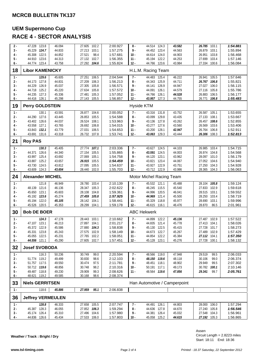### **UEM Supermono Cup RACE 4 - SECTOR ANALYSIS**

| $2 -$          | 47.228 123.8                 | 46.094           | 102.2<br>27.605                  | 2:00.927             | $8 -$          | 44.514 124.3                 | 43.582           | 26.785 103.1                     | 1:54.881             |
|----------------|------------------------------|------------------|----------------------------------|----------------------|----------------|------------------------------|------------------|----------------------------------|----------------------|
| 3 -            | 45.229<br>124.7              | 44.833           | 27.213<br>103.1                  | 1:57.275             | 9 -            | 44.452 123.4                 | 44.563           | 26.879<br>103.1                  | 1:55.894             |
| 4.             | 45.308 122.5                 | 44.852           | 98.4<br>27.521                   | 1:57.681             | $10 -$         | 44.614 124.0                 | 44.903           | 26.951<br>103.8                  | 1:56.468             |
| 5 -            | 44.910 123.6                 | 44.313           | 27.132 102.7                     | 1:56.355             | 11 -           | 45.194 122.2                 | 44.253           | 27.699<br>103.4                  | 1:57.146             |
| 6 -            | 44.774 123.4                 | 43.758           | 27.292<br>104.6                  | 1:55.824             | $12 -$         | 44.766 123.6                 | 43.984           | 27.334<br>100.6                  | 1:56.084             |
| 18             | <b>Libor KAMENICKY</b>       |                  |                                  |                      |                | H.L.M. Racing Team           |                  |                                  |                      |
|                |                              |                  |                                  |                      |                |                              |                  |                                  |                      |
| $1 -$          | 129.6                        | 45.605           | 106.5<br>27.251                  | 2:04.544             | 7 -            | 44.483 125.4                 | 46.222           | 105.5<br>26.941                  | 1:57.646             |
| $2 -$          | 44.173 127.8                 | 44.831           | 27.209<br>106.3                  | 1:56.213             | $8 -$          | 44.343 125.9                 | 44.711           | 26.767 106.8                     | 1:55.821             |
| 3 -            | 44.229 126.9                 | 45.037           | 27.305<br>105.8                  | 1:56.571             | 9.             | 44.141 126.9                 | 44.947           | 27.027<br>106.0                  | 1:56.115             |
| 4.             | 44.718 125.2                 | 45.220           | 27.634<br>105.8                  | 1:57.572             | $10 -$         | 44.091 126.1                 | 44.579           | 105.8<br>27.116                  | 1:55.786             |
| $5 -$          | 44.235<br>127.3              | 45.336           | 27.481<br>105.3                  | 1:57.052             | $11 -$         | 44.766 126.1                 | 44.528           | 26.883<br>106.5                  | 1:56.177             |
| $6 -$          | 44.416 126.1                 | 45.298           | 27.143 105.5                     | 1:56.857             | $12 -$         | 43.957 127.3                 | 44.755           | 26.771<br>106.8                  | 1:55.483             |
| 19             | <b>Perry GOLDSTEIN</b>       |                  |                                  |                      |                | <b>Hyside KTM</b>            |                  |                                  |                      |
| $1 -$          | 130.1                        | 43.591           | 104.6<br>26.877                  | 2:00.052             | $7 -$          | 43.316<br>131.8              | 43.752           | 26.587<br>105.1                  | 1:53.655             |
| $2 -$          | 44.290 127.6                 | 43.445           | 26.853 105.5                     | 1:54.588             | 8 -            | 43.099 129.8                 | 43.435           | 27.133<br>108.1                  | 1:53.667             |
| 3 -            | 43.402 126.6                 | 44.037           | 108.1<br>26.524                  | 1:53.963             | 9 -            | 43.136 127.8                 | 43.262           | 26.457<br>108.6                  | 1:52.855             |
| 4.             | 43.558 127.1                 | 43.765           | 26.692<br>106.8                  | 1:54.015             | $10 -$         | 43.277 127.6                 | 43.560           | 26.569<br>103.6                  | 1:53.406             |
| 5.             | 43.843 732.7                 | 43.779           | 27.031 106.5                     | 1:54.653             | $11 -$         | 43.200 128.1                 | 42.947           | 26.764<br>106.8                  | 1:52.911             |
| $6 -$          | 43.691<br>131.6              | 43.318           | 26.732 107.8                     | 1:53.741             | $12 -$         | 43.063 129.3                 | 43.444           | 26.306 108.3                     | 1:52.813             |
| 21             | <b>Roy PAS</b>               |                  |                                  |                      |                |                              |                  |                                  |                      |
|                |                              |                  | 27.774                           |                      |                |                              |                  |                                  |                      |
| $1 -$          | 130.3                        | 45.405           | 107.1                            | 2:03.336             | $7 -$          | 43.627 124.5                 | 44.103           | 103.4<br>26.985                  | 1:54.715             |
| $2 -$          | 44.371 126.6                 | 44.340           | 27.154 105.5                     | 1:55.865             | 8 -            | 43.591 124.5<br>44.120 123.1 | 44.003           | 26.974<br>104.8                  | 1:54.568             |
| 3 -            | 43.997 125.4                 | 43.692           | 27.069 105.1                     | 1:54.758             | 9 -            |                              | 43.962           | 28.097<br>101.0                  | 1:56.179             |
| 4.<br>5.       | 43.887 125.2                 | 43.657           | 26.915 105.5<br>27.095 105.5     | 1:54.459             | $10 -$         | 43.821 123.4                 | 44.067           | 27.052<br>104.6                  | 1:54.940             |
| 6 -            | 43.730 124.5<br>43.609 124.3 | 43.812<br>43.654 | 28.440 102.0                     | 1:54.637<br>1:55.703 | 11 -<br>$12 -$ | 43.927 122.9                 | 43.751           | 27.250<br>104.3<br>28.365        | 1:54.928<br>1:56.063 |
|                |                              |                  |                                  |                      |                | 43.712 122.9                 | 43.986           | 104.3                            |                      |
| 24             | <b>Alexander MICHEL</b>      |                  |                                  |                      |                | Motor Michel Racing Team     |                  |                                  |                      |
| $1 -$          | 121.8                        | 46.949           | 28.780 103.4                     | 2:10.139             | 7 -            | 45.532 121.1                 | 45.488           | 28.104<br>105.8                  | 1:59.124             |
| $2 -$          | 48.139 121.6                 | 46.136           | 105.3<br>28.347                  | 2:02.622             | 8 -            | 46.245 115.5                 | 45.540           | 27.833<br>102.9                  | 1:59.618             |
| 3 -            | 45.650 123.1                 | 45.603           | 104.8<br>28.108                  | 1:59.361             | 9 -            | 44.996 120.5                 | 46.041           | 28.515<br>103.1                  | 1:59.552             |
| 4 -            | 45.192 123.6                 | 45.274           | 27.459 105.8                     | 1:57.925             | 10 -           | 44.969 121.4                 | 45.500           | 28.250<br>103.4                  | 1:58.719             |
| 5 -            | 45.194<br>122.0              | 45.105           | 28.142 104.1                     | 1:58.441             | $11 -$         | 45.329 118.8                 | 45.977           | 28.690<br>103.1                  | 1:59.996             |
| $6 -$          | 45.526 120.5                 | 45.353           | 28.299 104.1                     | 1:59.178             | $12 -$         | 46.615 116.1                 | 46.476           | 28.870<br>86.5                   | 2:01.961             |
| 30             | <b>Bob DE BOER</b>           |                  |                                  |                      |                | <b>ABC Hekwerk</b>           |                  |                                  |                      |
| $1 -$          | 124.3                        | 47.178           | 28.443 103.1                     | 2:10.662             | $7 -$          | 44.899 122.2                 | 45.136           | 27.487<br>102.9                  | 1:57.522             |
| $2 -$          | 47.107 123.1                 | 46.213           | 27.897<br>104.1                  | 2:01.217             | 8 -            | 44.835<br>121.4              | 45.778           | 27.413<br>104.1                  | 1:58.026             |
| 3 -            | 45.372 122.9                 | 45.586           | 27.880<br>104.3                  | 1:58.838             | 9 -            | 45.130 122.5                 | 45.415           | 27.728<br>101.7                  | 1:58.273             |
| 4.             | 45.331 123.8                 | 45.243           | 27.575 102.9                     | 1:58.149             | $10 -$         | 44.673 122.7                 | 45.267           | 27.489 102.9                     | 1:57.429             |
| 5 -            | 45.055 122.5                 | 45.231           | 27.765 102.2                     | 1:58.051             | $11 -$         | 44.854 122.2                 | 45.384           | 27.112 104.1                     | 1:57.350             |
| $6 -$          | 44.556 121.1                 | 45.290           | 27.605 102.7                     | 1:57.451             | $12 -$         | 45.128 123.1                 | 45.276           | 27.728 100.1                     | 1:58.132             |
| 32             | <b>Josef SVOBODA</b>         |                  |                                  |                      |                |                              |                  |                                  |                      |
|                |                              |                  |                                  |                      |                |                              |                  |                                  |                      |
| $1 -$<br>$2 -$ | 116.3<br>51.774 119.2        | 50.236<br>49.499 | 30.749<br>99.0<br>30.830<br>98.6 | 2:20.594<br>2:12.103 | $7 -$<br>8 -   | 48.566 119.0<br>48.150 119.6 | 47.948<br>48.118 | 29.519<br>99.5<br>30.106<br>99.0 | 2:06.033<br>2:06.374 |
|                | 51.757 117.5                 | 49.550           |                                  |                      |                |                              |                  |                                  |                      |
| 3 -<br>4.      | 50.712 119.6                 | 48.856           | 30.474<br>97.5<br>30.748<br>98.2 | 2:11.781<br>2:10.316 | 9 -<br>10 -    | 48.451 118.1<br>50.191 117.1 | 48.902<br>49.173 | 29.949<br>99.5<br>30.782 100.1   | 2:07.302<br>2:10.146 |
| 5 -            | 49.487 118.8                 | 49.230           | 29.909<br>99.3                   | 2:08.626             | 11 -           | 48.564 119.6                 | 47.856           | 29.341 99.7                      | 2:05.761             |
| $6 -$          | 48.621 119.2                 | 49.585           | 30.168<br>98.6                   | 2:08.374             |                |                              |                  |                                  |                      |
|                | <b>Niels GERRITSEN</b>       |                  |                                  |                      |                | Han Automotive / Camperpoint |                  |                                  |                      |
| 33             |                              |                  |                                  |                      |                |                              |                  |                                  |                      |
| $1 -$          | 118.6                        | 45.886           | 27.959<br>95.1                   | 2:06.838             |                |                              |                  |                                  |                      |
| 36             | <b>Jeffrey VERMEULEN</b>     |                  |                                  |                      |                |                              |                  |                                  |                      |
|                |                              |                  |                                  | 2:07.747             | 7 -            | 44.491 126.1                 | 44.803           | 28.000 106.0                     | 1:57.294             |
| $1 -$          | 128.8                        | 46.333           | 27.658 105.5                     |                      |                |                              |                  |                                  |                      |
| $2 -$          | 45.387 128.3                 | 46.055           | 27.852 106.3                     | 1:59.294             | 8 -            | 44.636 127.8                 | 44.670           | 27.240 105.8                     | 1:56.546             |
| 3 -            | 45.174 126.4<br>44.836 126.6 | 45.310<br>45.434 | 27.496 104.6<br>27.533 106.0     | 1:57.980<br>1:57.803 | 9 -            | 44.381 126.4<br>45.058 125.2 | 45.032<br>44.615 | 27.548 104.3<br>27.192 105.3     | 1:56.961<br>1:56.865 |

Circuit Length = 2.8223 miles Start: 18:11 End: 18:36 Assen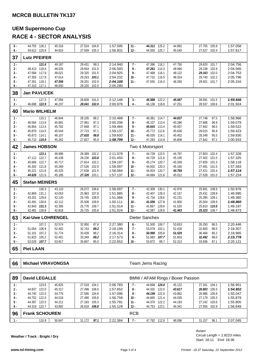## **RACE 4 - SECTOR ANALYSIS**

| $5 -$ | 44.755 126.1          | 45.316 | 104.8<br>27.524 | 1:57.595 | $11 -$ | 44.311 125.2     | 44.992 | 105.8<br>27.755 | 1:57.058 |  |  |  |  |
|-------|-----------------------|--------|-----------------|----------|--------|------------------|--------|-----------------|----------|--|--|--|--|
| 6 -   | 44.612 125.9          | 44.810 | 27.509 105.3    | 1:56.931 | $12 -$ | 44.550 125.7     | 45.540 | 27.527<br>102.4 | 1:57.617 |  |  |  |  |
|       |                       |        |                 |          |        |                  |        |                 |          |  |  |  |  |
| 37    | <b>Lutz PFEIFER</b>   |        |                 |          |        |                  |        |                 |          |  |  |  |  |
| $1 -$ | 121.6                 | 49.187 | 29.431<br>99.3  | 2:14.940 | 7 -    | 47.386 116.1     | 47.750 | 29.620 101.7    | 2:04.756 |  |  |  |  |
| $2 -$ | 48.413 118.4          | 48.526 | 29.654<br>101.0 | 2:06.593 | $8 -$  | 47.261 114.3     | 48.066 | 29.238 102.9    | 2:04.565 |  |  |  |  |
| $3 -$ | 47.584 117.9          | 48.021 | 29.320<br>101.5 | 2:04.925 | 9.     | 47.468<br>118.1  | 48.122 | 29.163 102.0    | 2:04.753 |  |  |  |  |
| 4 -   | 47.355 117.9          | 47.614 | 29.263<br>103.1 | 2:04.232 | $10 -$ | 47.732 116.5     | 48.324 | 102.2<br>29.740 | 2:05.796 |  |  |  |  |
| 5 -   | 47.351 118.1          | 47.556 | 29.201<br>102.9 | 2:04.108 | $11 -$ | 47.555 116.3     | 48.260 | 29.501<br>101.7 | 2:05.316 |  |  |  |  |
| $6 -$ | 47.310 117.1          | 48.650 | 29.320 102.0    | 2:05.280 |        |                  |        |                 |          |  |  |  |  |
|       |                       |        |                 |          |        |                  |        |                 |          |  |  |  |  |
| 38    | <b>Jan PAVLICEK</b>   |        |                 |          |        |                  |        |                 |          |  |  |  |  |
| $1 -$ | 117.3                 | 47.056 | 101.0<br>28.609 | 2:12.148 | $3 -$  | 45.988 122.2     | 45.567 | 101.5<br>28.091 | 1:59.646 |  |  |  |  |
| $2 -$ | 46.698 122.9          | 46.237 | 28.041 102.0    | 2:00.976 | 4.     | 46.136 118.8     | 47.251 | 28.537<br>100.6 | 2:01.924 |  |  |  |  |
|       |                       |        |                 |          |        |                  |        |                 |          |  |  |  |  |
| 40    | <b>Mario WILHELM</b>  |        |                 |          |        |                  |        |                 |          |  |  |  |  |
| $1 -$ | 115.1                 | 46.844 | 28.105<br>98.2  | 2:10.489 | 7.     | 46.381 114.7     | 44.837 | 27.748<br>97.5  | 1:58.966 |  |  |  |  |
| $2 -$ | 46.564 113.9          | 45.681 | 27.961<br>97.3  | 2:00.206 | $8 -$  | 46.107 113.4     | 45.286 | 27.686<br>96.9  | 1:59.079 |  |  |  |  |
| $3 -$ | 45.854 113.4          | 45.782 | 27.848<br>97.1  | 1:59.484 | 9.     | 45.643 113.4     | 45.937 | 27.942<br>96.5  | 1:59.522 |  |  |  |  |
| 4 -   | 45.870 114.5          | 45.544 | 97.1<br>27.723  | 1:59.137 | $10 -$ | 45.772 112.6     | 45.636 | 95.9<br>28.015  | 1:59.423 |  |  |  |  |
| $5 -$ | 45.873 114.1          | 46.107 | 27.620<br>98.8  | 1:59.600 | $11 -$ | 46.030 114.1     | 45.452 | 28.348<br>95.5  | 1:59.830 |  |  |  |  |
| $6 -$ | 45.710 115.9          | 45.262 | 27.827<br>95.9  | 1:58.799 | $12 -$ | 47.283 114.9     | 45.808 | 27.842<br>97.1  | 2:00.933 |  |  |  |  |
|       |                       |        |                 |          |        |                  |        |                 |          |  |  |  |  |
| 42    | <b>James HOBSON</b>   |        |                 |          |        | Two 4 Motorsport |        |                 |          |  |  |  |  |
| $1 -$ | 123.1                 | 46.996 | 28.389<br>102.2 | 2:11.078 | $7 -$  | 44.728 122.5     | 44.797 | 27.803 102.4    | 1:57.328 |  |  |  |  |
| $2 -$ | 47.112 122.7          | 46.108 | 28.230<br>103.8 | 2:01.450 | $8 -$  | 44.728<br>121.6  | 45.195 | 27.402<br>101.5 | 1:57.325 |  |  |  |  |
| $3 -$ | 45.666 122.7          | 45.717 | 102.2<br>27.814 | 1:59.197 | 9 -    | 45.174 120.7     | 45.339 | 27.605<br>101.3 | 1:58.118 |  |  |  |  |
| 4.    | 45.302 121.8          | 45.269 | 102.9<br>27.526 | 1:58.097 | $10 -$ | 44.932 120.3     | 45.160 | 101.5<br>27.491 | 1:57.583 |  |  |  |  |
| $5 -$ | 45.221 121.6          | 45.225 | 27.638 101.5    | 1:58.084 | $11 -$ | 44.924 120.7     | 44.769 | 102.4<br>27.421 | 1:57.114 |  |  |  |  |
| $6 -$ | 44.626 121.6          | 45.185 | 27.326 103.1    | 1:57.137 | $12 -$ | 44.684 121.6     | 45.012 | 27.528<br>101.0 | 1:57.224 |  |  |  |  |
|       |                       |        |                 |          |        |                  |        |                 |          |  |  |  |  |
| 45    | <b>Stefan MEINERS</b> |        |                 |          |        |                  |        |                 |          |  |  |  |  |
| $1 -$ | 130.3                 | 43.110 | 26.072 108.6    | 1:58.097 | $7 -$  | 42.309 130.1     | 42.976 | 25.691<br>108.9 | 1:50.976 |  |  |  |  |
| $2 -$ | 42.869 131.1          | 43.053 | 25.963<br>107.8 | 1:51.885 | $8 -$  | 42.407 128.3     | 42.157 | 25.431<br>109.9 | 1:49.995 |  |  |  |  |
| $3 -$ | 43.201 129.6          | 42.120 | 25.745<br>108.9 | 1:51.066 | 9 -    | 41.734 128.6     | 42.231 | 25.395<br>109.1 | 1:49.360 |  |  |  |  |
|       |                       |        |                 | 1:50.111 | $10 -$ | 41.556 127.8     | 41.800 | 109.9<br>25.504 | 1:48.860 |  |  |  |  |
| 4 -   | 42.491<br>130.6       | 42.112 | 109.9<br>25.508 |          |        |                  |        |                 |          |  |  |  |  |
| $5 -$ | 42.843<br>131.3       | 42.395 | 25.776<br>109.7 | 1:51.014 | $11 -$ | 41.867 129.6     | 41.520 | 25.810 110.5    | 1:49.197 |  |  |  |  |
| 6 -   | 42.481<br>130.8       | 42.818 | 25.725<br>105.8 | 1:51.024 | $12 -$ | 42.087<br>128.6  | 41.463 | 25.323 109.7    | 1:48.873 |  |  |  |  |
|       |                       |        |                 |          |        |                  |        |                 |          |  |  |  |  |
| 63    | Kai-Uwe LOHRENGEL     |        |                 |          |        | Dieter Sanchex   |        |                 |          |  |  |  |  |
| $1 -$ | 107.2                 | 52.574 | 32.950<br>87.6  | 2:27.380 | $6 -$  | 51.500<br>106.7  | 53.653 | 35.293<br>86.5  | 2:20.446 |  |  |  |  |
| $2 -$ | 51.054<br>106.9       | 52.402 | 32.743<br>89.2  | 2:16.199 | $7 -$  | 53.079<br>102.1  | 52.428 | 88.5<br>32.800  | 2:18.307 |  |  |  |  |
| $3 -$ | 51.101 107.2          | 51.774 | 33.439<br>88.2  | 2:16.314 | 8 -    | 50.990 105.8     | 51.529 | 85.2<br>36.466  | 2:18.985 |  |  |  |  |
| 4.    | 51.823<br>105.2       | 52.401 | 33.349<br>89.2  | 2:17.573 | 9.     | 51.683<br>107.7  | 51.603 | 32.492<br>88.0  | 2:15.778 |  |  |  |  |
| 5.    | 53.029<br>107.7       | 53.817 | 35.807<br>85.0  | 2:22.653 | $10 -$ | 53.872<br>89.7   | 52.313 | 33.936<br>87.1  | 2:20.121 |  |  |  |  |

**65 Piet LAAN**

#### **66** | Michael VIRAVONGSA Team Jems Racing

| 89    | <b>David LEGALLE</b>                |        |                 |          | BMW / AFAM Rings / Boxer Passion |                 |        |                 |          |  |  |  |  |
|-------|-------------------------------------|--------|-----------------|----------|----------------------------------|-----------------|--------|-----------------|----------|--|--|--|--|
| 1 -   | 123.6                               | 45.825 | 27.518<br>104.1 | 2:06.783 | 7.                               | 124.0<br>44.668 | 45.122 | 104.1<br>27.161 | 1:56.951 |  |  |  |  |
| $2 -$ | 44.837<br>122.0                     | 45.317 | 27.498<br>106.0 | 1:57.652 | -8                               | 44.332<br>122.0 | 43.617 | 26.903 105.5    | 1:54.852 |  |  |  |  |
| 3 -   | 122.5<br>44.740                     | 44.776 | 104.8<br>27.580 | 1:57.096 | 9.                               | 44.199 122.5    | 43.862 | 26.986<br>105.8 | 1:55.047 |  |  |  |  |
| 4.    | 44.752<br>122.0                     | 44.516 | 27.490<br>105.8 | 1:56.758 | $10 -$                           | 44.665 121.4    | 44.035 | 27.179<br>105.3 | 1:55.879 |  |  |  |  |
| 5 -   | 44.397<br>122.5                     | 44.211 | 105.3<br>27.183 | 1:55.791 | $11 -$                           | 122.2<br>44.370 | 44.193 | 27.242<br>103.6 | 1:55.805 |  |  |  |  |
| $6 -$ | 44.319<br>122.7                     | 43.892 | 26.918<br>106.8 | 1:55.129 | $12 -$                           | 44.753 123.1    | 44.341 | 27.555<br>102.9 | 1:56.649 |  |  |  |  |
| 96    | <b>Frank SCHOUREN</b><br><b>RCB</b> |        |                 |          |                                  |                 |        |                 |          |  |  |  |  |
|       | 110.9                               | 50.647 | 97.1<br>31.172  | 2:22.384 |                                  | 47.792<br>112.8 | 48.096 | 31.157<br>96.1  | 2:07.045 |  |  |  |  |

Assen

Circuit Length = 2.8223 miles Start: 18:11 End: 18:36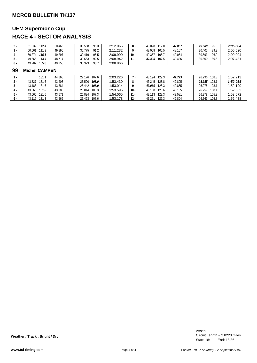## **UEM Supermono Cup RACE 4 - SECTOR ANALYSIS**

| $2 -$        | 112.4<br>51.032      | 50.466 | 30.568<br>95.3  | 2:12.066 | 8 -    | 112.0<br>48.028 | 47.867 | 95.3<br>29.989  | 2:05.884 |  |  |  |
|--------------|----------------------|--------|-----------------|----------|--------|-----------------|--------|-----------------|----------|--|--|--|
| 3 -          | 111.3<br>50.561      | 49.896 | 30.775<br>91.2  | 2:11.232 | 9.     | 48.008<br>105.5 | 48.107 | 30.405<br>89.9  | 2:06.520 |  |  |  |
| 4.           | 50.274<br>115.5      | 49.297 | 95.5<br>30.419  | 2:09.990 | $10 -$ | 49.357<br>105.7 | 49.054 | 30.593<br>96.9  | 2:09.004 |  |  |  |
| 5 -          | 49.565<br>113.4      | 48.714 | 30.663<br>92.5  | 2:08.942 | $11 -$ | 47.495 107.5    | 49.436 | 30.500<br>89.6  | 2:07.431 |  |  |  |
| 6 -          | 105.8<br>49.287      | 49.256 | 30.323<br>93.7  | 2:08.866 |        |                 |        |                 |          |  |  |  |
| 99           | <b>Michel CAMPEN</b> |        |                 |          |        |                 |        |                 |          |  |  |  |
| $1 -$        | 131.1                | 44.868 | 107.6<br>27.176 | 2:03.226 | 7.     | 129.3<br>43.194 | 42.723 | 108.3<br>26.296 | 1:52.213 |  |  |  |
| 2 -          | 43.527<br>131.6      | 43.403 | 26.500<br>108.9 | 1:53.430 | 8 -    | 43.245<br>128.8 | 42.805 | 25,985 108.1    | 1:52.035 |  |  |  |
| 3 -          | 43.188<br>131.6      | 43.384 | 26.442<br>108.9 | 1:53.014 | 9.     | 128.3<br>43.060 | 42.855 | 26.275<br>108.1 | 1:52.190 |  |  |  |
| 4 -          | 131.8<br>43.366      | 43.385 | 108.3<br>26.844 | 1:53.595 | $10 -$ | 43.138<br>128.6 | 43.135 | 26.259<br>108.1 | 1:52.532 |  |  |  |
| 5 -          | 131.6<br>43.660      | 43.571 | 107.3<br>26.834 | 1:54.065 | $11 -$ | 128.3<br>43.113 | 43.581 | 26.978<br>105.3 | 1:53.672 |  |  |  |
| $\mathbf{6}$ | 131.3<br>43.119      | 43.566 | 107.6<br>26.493 | 1:53.178 | $12 -$ | 129.3<br>43.271 | 42.804 | 26.363<br>105.8 | 1:52.438 |  |  |  |

**Weather / Track : Bright / Dry**

Assen

Circuit Length = 2.8223 miles Start: 18:11 End: 18:36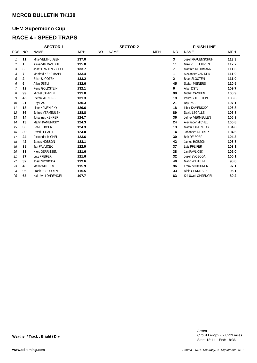## **RACE 4 - SPEED TRAPS**

|               | <b>SECTOR 1</b> |                          |            |           |             | <b>SECTOR 2</b> | <b>FINISH LINE</b> |     |                          |            |
|---------------|-----------------|--------------------------|------------|-----------|-------------|-----------------|--------------------|-----|--------------------------|------------|
| POS NO        |                 | <b>NAME</b>              | <b>MPH</b> | <b>NO</b> | <b>NAME</b> |                 | <b>MPH</b>         | NO. | <b>NAME</b>              | <b>MPH</b> |
|               | 11              | Mike VELTHUIJZEN         | 137.0      |           |             |                 |                    | 3   | <b>Josef FRAUENSCHUH</b> | 113.3      |
| 2             | 1               | Alexander VAN DIJK       | 135.8      |           |             |                 |                    | 11  | Mike VELTHUIJZEN         | 112.7      |
| $\mathcal{S}$ | 3               | <b>Josef FRAUENSCHUH</b> | 133.7      |           |             |                 |                    | 7   | <b>Manfred KEHRMANN</b>  | 111.6      |
| 4             | 7               | <b>Manfred KEHRMANN</b>  | 133.4      |           |             |                 |                    | 1   | Alexander VAN DIJK       | 111.0      |
| 5             | $\mathbf{2}$    | <b>Brian SLOOTEN</b>     | 133.2      |           |             |                 |                    | 2   | <b>Brian SLOOTEN</b>     | 111.0      |
| 6             | 6               | Allan ØSTLI              | 132.6      |           |             |                 |                    | 45  | <b>Stefan MEINERS</b>    | 110.5      |
|               | 19              | Perry GOLDSTEIN          | 132.1      |           |             |                 |                    | 6   | Allan ØSTLI              | 109.7      |
| 8             | 99              | Michel CAMPEN            | 131.8      |           |             |                 |                    | 99  | Michel CAMPEN            | 108.9      |
| 9             | 45              | <b>Stefan MEINERS</b>    | 131.3      |           |             |                 |                    | 19  | Perry GOLDSTEIN          | 108.6      |
| 10            | 21              | <b>Roy PAS</b>           | 130.3      |           |             |                 |                    | 21  | <b>Roy PAS</b>           | 107.1      |
| 11            | 18              | <b>Libor KAMENICKY</b>   | 129.6      |           |             |                 |                    | 18  | <b>Libor KAMENICKY</b>   | 106.8      |
| 12            | 36              | Jeffrey VERMEULEN        | 128.8      |           |             |                 |                    | 89  | David LEGALLE            | 106.8      |
| 73            | 14              | Johannes KEHRER          | 124.7      |           |             |                 |                    | 36  | <b>Jeffrey VERMEULEN</b> | 106.3      |
| 14            | 13              | <b>Martin KAMENICKY</b>  | 124.3      |           |             |                 |                    | 24  | Alexander MICHEL         | 105.8      |
| 15            | 30              | <b>Bob DE BOER</b>       | 124.3      |           |             |                 |                    | 13  | Martin KAMENICKY         | 104.8      |
| 16            | 89              | David LEGALLE            | 124.0      |           |             |                 |                    | 14  | Johannes KEHRER          | 104.6      |
| 17            | 24              | Alexander MICHEL         | 123.6      |           |             |                 |                    | 30  | <b>Bob DE BOER</b>       | 104.3      |
| 18            | 42              | James HOBSON             | 123.1      |           |             |                 |                    | 42  | James HOBSON             | 103.8      |
| 19            | 38              | <b>Jan PAVLICEK</b>      | 122.9      |           |             |                 |                    | 37  | <b>Lutz PFEIFER</b>      | 103.1      |
| 20            | 33              | Niels GERRITSEN          | 121.6      |           |             |                 |                    | 38  | Jan PAVLICEK             | 102.0      |
| 21            | 37              | Lutz PFEIFER             | 121.6      |           |             |                 |                    | 32  | Josef SVOBODA            | 100.1      |
| 22            | 32              | Josef SVOBODA            | 119.6      |           |             |                 |                    | 40  | Mario WILHELM            | 98.8       |
| 23            | 40              | Mario WILHELM            | 115.9      |           |             |                 |                    | 96  | Frank SCHOUREN           | 97.1       |
| 24            | 96              | Frank SCHOUREN           | 115.5      |           |             |                 |                    | 33  | Niels GERRITSEN          | 95.1       |
| 25            | 63              | Kai-Uwe LOHRENGEL        | 107.7      |           |             |                 |                    | 63  | Kai-Uwe LOHRENGEL        | 89.2       |